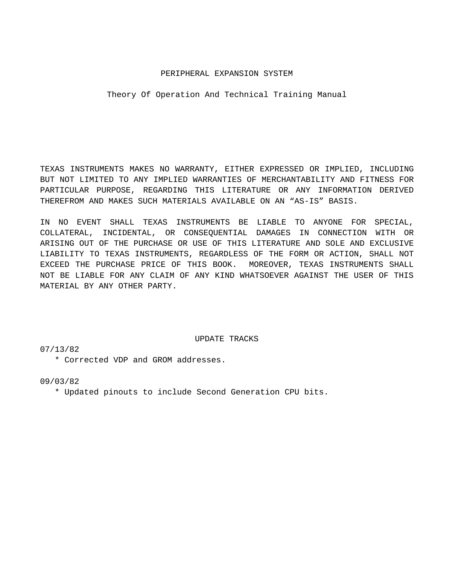#### PERIPHERAL EXPANSION SYSTEM

Theory Of Operation And Technical Training Manual

TEXAS INSTRUMENTS MAKES NO WARRANTY, EITHER EXPRESSED OR IMPLIED, INCLUDING BUT NOT LIMITED TO ANY IMPLIED WARRANTIES OF MERCHANTABILITY AND FITNESS FOR PARTICULAR PURPOSE, REGARDING THIS LITERATURE OR ANY INFORMATION DERIVED THEREFROM AND MAKES SUCH MATERIALS AVAILABLE ON AN "AS-IS" BASIS.

IN NO EVENT SHALL TEXAS INSTRUMENTS BE LIABLE TO ANYONE FOR SPECIAL, COLLATERAL, INCIDENTAL, OR CONSEQUENTIAL DAMAGES IN CONNECTION WITH OR ARISING OUT OF THE PURCHASE OR USE OF THIS LITERATURE AND SOLE AND EXCLUSIVE LIABILITY TO TEXAS INSTRUMENTS, REGARDLESS OF THE FORM OR ACTION, SHALL NOT EXCEED THE PURCHASE PRICE OF THIS BOOK. MOREOVER, TEXAS INSTRUMENTS SHALL NOT BE LIABLE FOR ANY CLAIM OF ANY KIND WHATSOEVER AGAINST THE USER OF THIS MATERIAL BY ANY OTHER PARTY.

#### UPDATE TRACKS

07/13/82

\* Corrected VDP and GROM addresses.

09/03/82

\* Updated pinouts to include Second Generation CPU bits.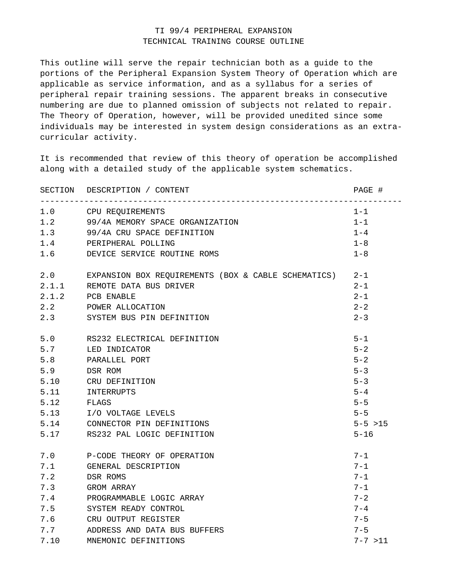## TI 99/4 PERIPHERAL EXPANSION TECHNICAL TRAINING COURSE OUTLINE

This outline will serve the repair technician both as a guide to the portions of the Peripheral Expansion System Theory of Operation which are applicable as service information, and as a syllabus for a series of peripheral repair training sessions. The apparent breaks in consecutive numbering are due to planned omission of subjects not related to repair. The Theory of Operation, however, will be provided unedited since some individuals may be interested in system design considerations as an extracurricular activity.

It is recommended that review of this theory of operation be accomplished along with a detailed study of the applicable system schematics.

|       | SECTION DESCRIPTION / CONTENT                               | PAGE #       |  |  |
|-------|-------------------------------------------------------------|--------------|--|--|
|       | 1.0 CPU REQUIREMENTS                                        | $1 - 1$      |  |  |
|       | 1.2 99/4A MEMORY SPACE ORGANIZATION                         | $1 - 1$      |  |  |
|       | 1.3 99/4A CRU SPACE DEFINITION                              | $1 - 4$      |  |  |
| 1.4   | PERIPHERAL POLLING                                          | $1 - 8$      |  |  |
|       | 1.6 DEVICE SERVICE ROUTINE ROMS                             | $1 - 8$      |  |  |
|       | 2.0 EXPANSION BOX REQUIREMENTS (BOX & CABLE SCHEMATICS) 2-1 |              |  |  |
|       | 2.1.1 REMOTE DATA BUS DRIVER                                | $2 - 1$      |  |  |
| 2.1.2 | PCB ENABLE                                                  | $2 - 1$      |  |  |
| 2.2   | POWER ALLOCATION                                            | $2 - 2$      |  |  |
| 2.3   | SYSTEM BUS PIN DEFINITION                                   | $2 - 3$      |  |  |
|       | 5.0 RS232 ELECTRICAL DEFINITION                             | $5 - 1$      |  |  |
| 5.7   | LED INDICATOR                                               | $5 - 2$      |  |  |
| 5.8   | PARALLEL PORT                                               | $5 - 2$      |  |  |
|       | $5 - 3$<br>5.9 DSR ROM                                      |              |  |  |
| 5.10  | CRU DEFINITION                                              | $5 - 3$      |  |  |
| 5.11  | <b>INTERRUPTS</b>                                           | $5 - 4$      |  |  |
| 5.12  | <b>FLAGS</b>                                                | $5 - 5$      |  |  |
| 5.13  | I/O VOLTAGE LEVELS                                          | $5 - 5$      |  |  |
| 5.14  | CONNECTOR PIN DEFINITIONS<br>$5 - 5 > 15$                   |              |  |  |
| 5.17  | RS232 PAL LOGIC DEFINITION                                  | $5 - 16$     |  |  |
| 7.0   | P-CODE THEORY OF OPERATION                                  | $7 - 1$      |  |  |
| 7.1   | GENERAL DESCRIPTION                                         | $7 - 1$      |  |  |
| 7.2   | DSR ROMS                                                    | $7 - 1$      |  |  |
| 7.3   | GROM ARRAY                                                  | $7 - 1$      |  |  |
|       | 7.4 PROGRAMMABLE LOGIC ARRAY                                | $7 - 2$      |  |  |
| 7.5   | SYSTEM READY CONTROL                                        | $7 - 4$      |  |  |
| 7.6   | CRU OUTPUT REGISTER                                         | $7 - 5$      |  |  |
|       | 7.7 ADDRESS AND DATA BUS BUFFERS                            | $7 - 5$      |  |  |
|       | 7.10 MNEMONIC DEFINITIONS                                   | $7 - 7 > 11$ |  |  |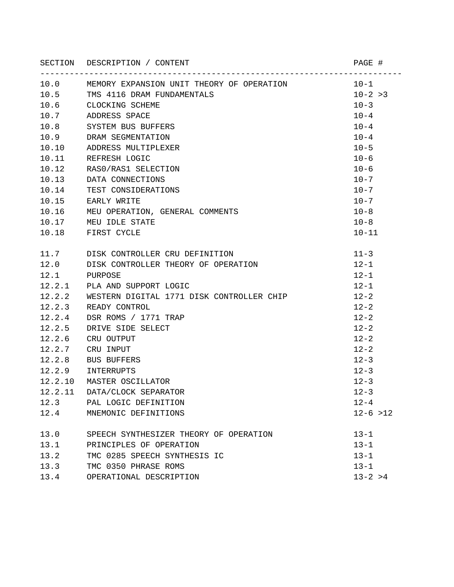|      | 10.0 MEMORY EXPANSION UNIT THEORY OF OPERATION   | $10 - 1$      |  |  |
|------|--------------------------------------------------|---------------|--|--|
|      | 10.5 TMS 4116 DRAM FUNDAMENTALS                  | $10 - 2 > 3$  |  |  |
|      | 10.6 CLOCKING SCHEME                             | $10 - 3$      |  |  |
|      | 10.7 ADDRESS SPACE                               | $10 - 4$      |  |  |
|      | 10.8 SYSTEM BUS BUFFERS                          | $10 - 4$      |  |  |
|      | 10.9 DRAM SEGMENTATION                           | $10 - 4$      |  |  |
|      | 10.10 ADDRESS MULTIPLEXER                        | $10 - 5$      |  |  |
|      | 10.11 REFRESH LOGIC                              | $10 - 6$      |  |  |
|      | 10.12 RAS0/RAS1 SELECTION                        | $10 - 6$      |  |  |
|      | 10.13 DATA CONNECTIONS                           | $10 - 7$      |  |  |
|      | 10.14 TEST CONSIDERATIONS                        | $10 - 7$      |  |  |
|      | 10.15 EARLY WRITE                                | $10 - 7$      |  |  |
|      | 10.16 MEU OPERATION, GENERAL COMMENTS            | $10 - 8$      |  |  |
|      | 10.17 MEU IDLE STATE                             | $10 - 8$      |  |  |
|      | 10.18 FIRST CYCLE                                | $10 - 11$     |  |  |
|      |                                                  |               |  |  |
|      | 11.7 DISK CONTROLLER CRU DEFINITION              | $11 - 3$      |  |  |
|      | 12.0 DISK CONTROLLER THEORY OF OPERATION         | $12 - 1$      |  |  |
|      | 12.1 PURPOSE                                     | $12 - 1$      |  |  |
|      | $12 - 1$<br>12.2.1 PLA AND SUPPORT LOGIC         |               |  |  |
|      | 12.2.2 WESTERN DIGITAL 1771 DISK CONTROLLER CHIP | $12 - 2$      |  |  |
|      | 12.2.3 READY CONTROL                             | $12 - 2$      |  |  |
|      | 12.2.4 DSR ROMS / 1771 TRAP                      | $12 - 2$      |  |  |
|      | 12.2.5 DRIVE SIDE SELECT                         | $12 - 2$      |  |  |
|      | 12.2.6 CRU OUTPUT                                | $12 - 2$      |  |  |
|      | 12.2.7 CRU INPUT                                 | $12 - 2$      |  |  |
|      | 12.2.8 BUS BUFFERS                               | $12 - 3$      |  |  |
|      | 12.2.9 INTERRUPTS                                | $12 - 3$      |  |  |
|      | 12.2.10 MASTER OSCILLATOR                        | $12 - 3$      |  |  |
|      | 12.2.11 DATA/CLOCK SEPARATOR                     | $12 - 3$      |  |  |
|      | 12.3 PAL LOGIC DEFINITION                        | $12 - 4$      |  |  |
| 12.4 | MNEMONIC DEFINITIONS                             | $12 - 6 > 12$ |  |  |
|      |                                                  |               |  |  |
| 13.0 | SPEECH SYNTHESIZER THEORY OF OPERATION           | $13 - 1$      |  |  |
| 13.1 | PRINCIPLES OF OPERATION                          | $13 - 1$      |  |  |
| 13.2 | TMC 0285 SPEECH SYNTHESIS IC                     | $13 - 1$      |  |  |
| 13.3 | TMC 0350 PHRASE ROMS                             | $13 - 1$      |  |  |
| 13.4 | OPERATIONAL DESCRIPTION                          | $13 - 2 > 4$  |  |  |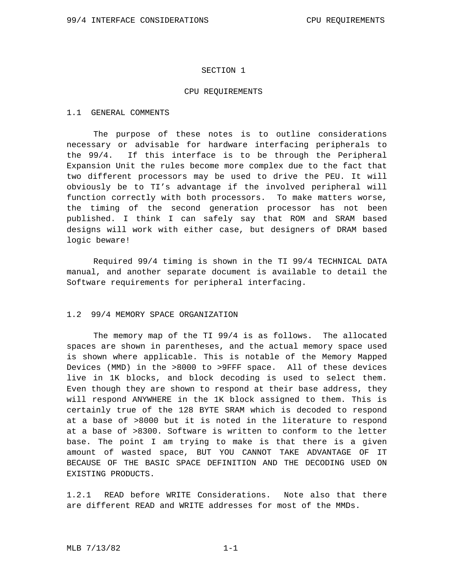#### SECTION 1

#### CPU REQUIREMENTS

#### 1.1 GENERAL COMMENTS

The purpose of these notes is to outline considerations necessary or advisable for hardware interfacing peripherals to the 99/4. If this interface is to be through the Peripheral Expansion Unit the rules become more complex due to the fact that two different processors may be used to drive the PEU. It will obviously be to TI's advantage if the involved peripheral will function correctly with both processors. To make matters worse, the timing of the second generation processor has not been published. I think I can safely say that ROM and SRAM based designs will work with either case, but designers of DRAM based logic beware!

Required 99/4 timing is shown in the TI 99/4 TECHNICAL DATA manual, and another separate document is available to detail the Software requirements for peripheral interfacing.

#### 1.2 99/4 MEMORY SPACE ORGANIZATION

The memory map of the TI 99/4 is as follows. The allocated spaces are shown in parentheses, and the actual memory space used is shown where applicable. This is notable of the Memory Mapped Devices (MMD) in the >8000 to >9FFF space. All of these devices live in 1K blocks, and block decoding is used to select them. Even though they are shown to respond at their base address, they will respond ANYWHERE in the 1K block assigned to them. This is certainly true of the 128 BYTE SRAM which is decoded to respond at a base of >8000 but it is noted in the literature to respond at a base of >8300. Software is written to conform to the letter base. The point I am trying to make is that there is a given amount of wasted space, BUT YOU CANNOT TAKE ADVANTAGE OF IT BECAUSE OF THE BASIC SPACE DEFINITION AND THE DECODING USED ON EXISTING PRODUCTS.

1.2.1 READ before WRITE Considerations. Note also that there are different READ and WRITE addresses for most of the MMDs.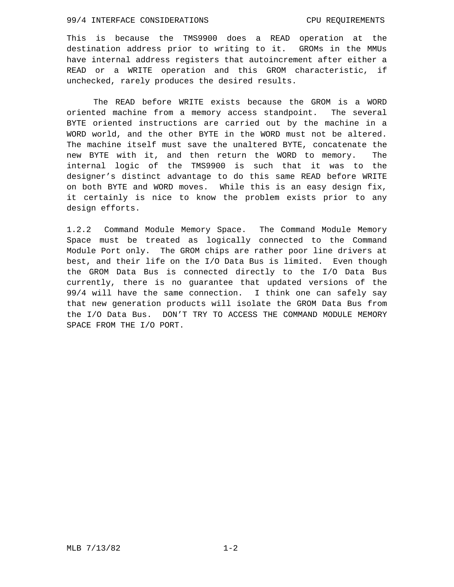#### 99/4 INTERFACE CONSIDERATIONS CPU REQUIREMENTS

This is because the TMS9900 does a READ operation at the destination address prior to writing to it. GROMs in the MMUs have internal address registers that autoincrement after either a READ or a WRITE operation and this GROM characteristic, if unchecked, rarely produces the desired results.

The READ before WRITE exists because the GROM is a WORD oriented machine from a memory access standpoint. The several BYTE oriented instructions are carried out by the machine in a WORD world, and the other BYTE in the WORD must not be altered. The machine itself must save the unaltered BYTE, concatenate the new BYTE with it, and then return the WORD to memory. The internal logic of the TMS9900 is such that it was to the designer's distinct advantage to do this same READ before WRITE on both BYTE and WORD moves. While this is an easy design fix, it certainly is nice to know the problem exists prior to any design efforts.

1.2.2 Command Module Memory Space. The Command Module Memory Space must be treated as logically connected to the Command Module Port only. The GROM chips are rather poor line drivers at best, and their life on the I/O Data Bus is limited. Even though the GROM Data Bus is connected directly to the I/O Data Bus currently, there is no guarantee that updated versions of the 99/4 will have the same connection. I think one can safely say that new generation products will isolate the GROM Data Bus from the I/O Data Bus. DON'T TRY TO ACCESS THE COMMAND MODULE MEMORY SPACE FROM THE I/O PORT.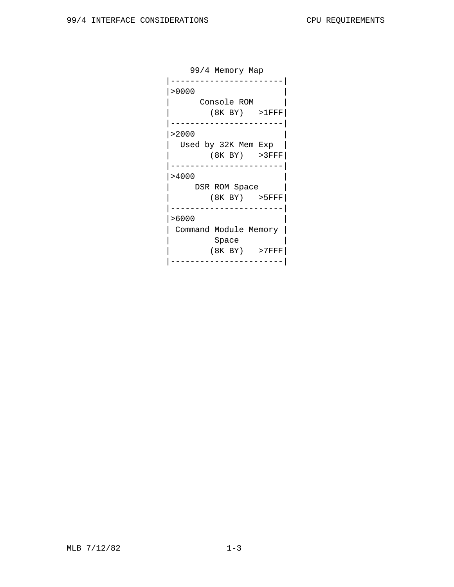99/4 Memory Map |-----------------------|  $|>0000$ | Console ROM | | (8K BY) >1FFF| |-----------------------|  $|>2000$ | Used by 32K Mem Exp | | (8K BY) >3FFF| |-----------------------|  $|>4000$ | DSR ROM Space | | (8K BY) >5FFF| |-----------------------|  $|>6000$ | Command Module Memory | Space | (8K BY) >7FFF| |-----------------------|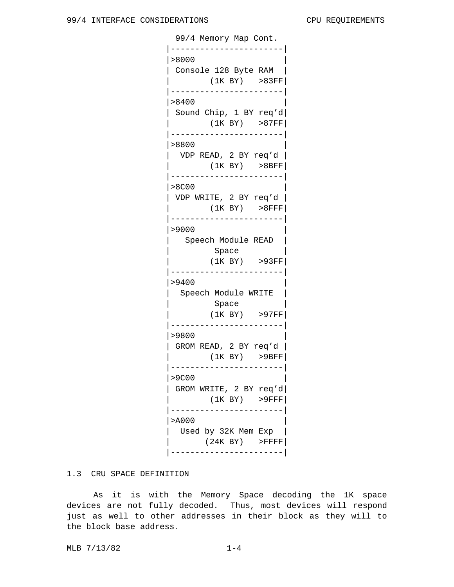99/4 Memory Map Cont. |-----------------------|  $|>8000$ | Console 128 Byte RAM | | (1K BY) >83FF| |-----------------------|  $|>8400$ | Sound Chip, 1 BY req'd| | (1K BY) >87FF| |-----------------------|  $|>8800$ | VDP READ, 2 BY req'd | | (1K BY) >8BFF| |-----------------------|  $|>8$ COO | VDP WRITE, 2 BY req'd | | (1K BY) >8FFF| |-----------------------|  $|>9000$ | Speech Module READ | Space | (1K BY) >93FF| |-----------------------|  $|>9400$ | Speech Module WRITE | Space | (1K BY) >97FF| |-----------------------| |>9800 | | GROM READ, 2 BY req'd | | (1K BY) >9BFF| |-----------------------|  $|>9C00$ | GROM WRITE, 2 BY req'd| | (1K BY) >9FFF| |-----------------------|  $|>$ A000 | Used by 32K Mem Exp |  $(24K BY)$  >FFFF| |-----------------------|

## 1.3 CRU SPACE DEFINITION

As it is with the Memory Space decoding the 1K space devices are not fully decoded. Thus, most devices will respond just as well to other addresses in their block as they will to the block base address.

MLB  $7/13/82$  1-4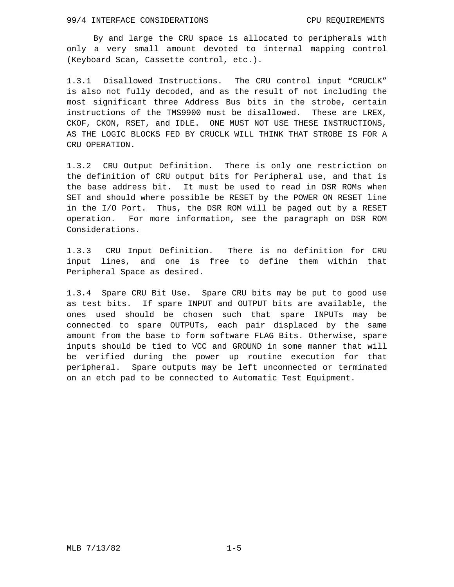By and large the CRU space is allocated to peripherals with only a very small amount devoted to internal mapping control (Keyboard Scan, Cassette control, etc.).

1.3.1 Disallowed Instructions. The CRU control input "CRUCLK" is also not fully decoded, and as the result of not including the most significant three Address Bus bits in the strobe, certain instructions of the TMS9900 must be disallowed. These are LREX, CKOF, CKON, RSET, and IDLE. ONE MUST NOT USE THESE INSTRUCTIONS, AS THE LOGIC BLOCKS FED BY CRUCLK WILL THINK THAT STROBE IS FOR A CRU OPERATION.

1.3.2 CRU Output Definition. There is only one restriction on the definition of CRU output bits for Peripheral use, and that is the base address bit. It must be used to read in DSR ROMs when SET and should where possible be RESET by the POWER ON RESET line in the I/O Port. Thus, the DSR ROM will be paged out by a RESET operation. For more information, see the paragraph on DSR ROM Considerations.

1.3.3 CRU Input Definition. There is no definition for CRU input lines, and one is free to define them within that Peripheral Space as desired.

1.3.4 Spare CRU Bit Use. Spare CRU bits may be put to good use as test bits. If spare INPUT and OUTPUT bits are available, the ones used should be chosen such that spare INPUTs may be connected to spare OUTPUTs, each pair displaced by the same amount from the base to form software FLAG Bits. Otherwise, spare inputs should be tied to VCC and GROUND in some manner that will be verified during the power up routine execution for that peripheral. Spare outputs may be left unconnected or terminated on an etch pad to be connected to Automatic Test Equipment.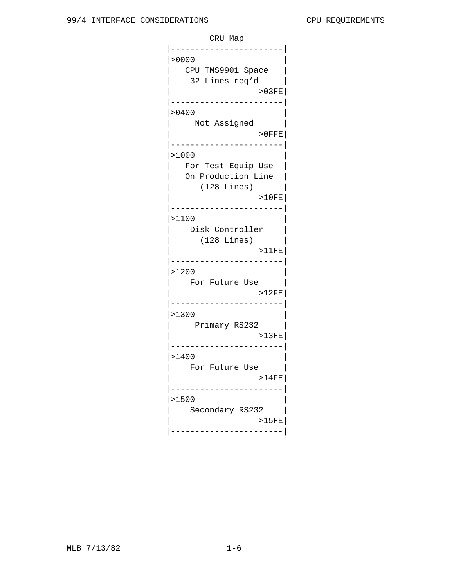```
CRU Map
```
|-----------------------|  $|>0000$ | CPU TMS9901 Space | | 32 Lines req'd | | >03FE| |-----------------------|  $|>0400$ | Not Assigned | | >0FFE| |-----------------------|  $|>1000$ | For Test Equip Use | | On Production Line | | (128 Lines) | | >10FE| |-----------------------|  $|>1100$ | Disk Controller | | (128 Lines) | | >11FE| |-----------------------| |>1200 | | For Future Use | >12FE| |-----------------------|  $|>1300$ | Primary RS232 | | >13FE| |-----------------------|  $|>1400$ | For Future Use | | >14FE| |-----------------------|  $|>1500$ | Secondary RS232 | | >15FE| |-----------------------|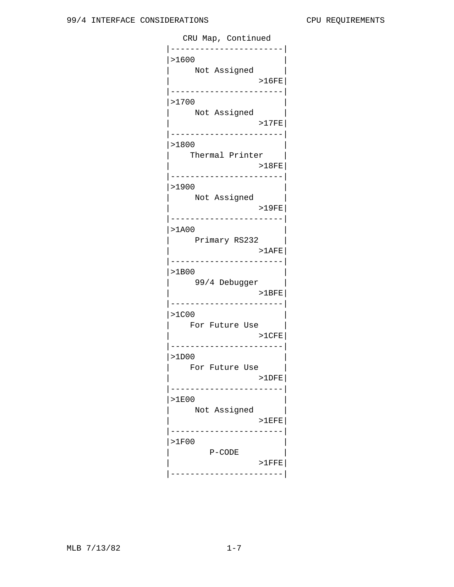CRU Map, Continued |-----------------------|  $|>1600$ | Not Assigned | | >16FE| |-----------------------|  $|>1700$ | Not Assigned | | >17FE| |-----------------------| |>1800 | | Thermal Printer | >18FE| |-----------------------|  $|>1900$ | Not Assigned | | >19FE| |-----------------------|  $|>1A00$ | Primary RS232 |  $>1$ AFE $|$ |-----------------------|  $|>1$ B00 | 99/4 Debugger |  $>1$ BFE $|$ |-----------------------|  $| > 1$ COO | For Future Use  $>1$ CFE |-----------------------|  $|>1$ D $00$ | For Future Use | | >1DFE| |-----------------------|  $| > 1E00$ Not Assigned |  $>1$ EFE |-----------------------|  $|>1$ F00 | P-CODE |  $>1$ FFE $|$ |-----------------------|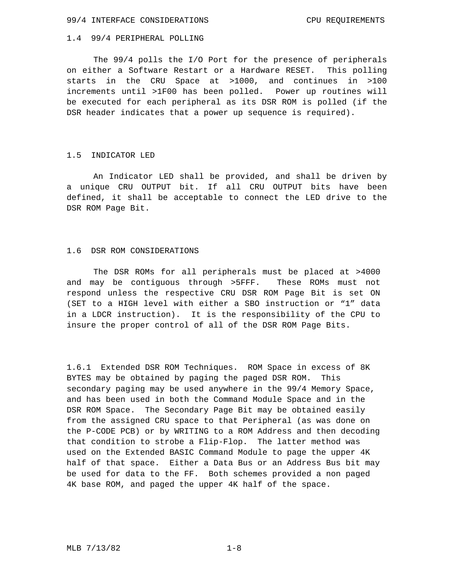#### 99/4 INTERFACE CONSIDERATIONS THE CONSTRUCTER CONSERVED CPU REQUIREMENTS

#### 1.4 99/4 PERIPHERAL POLLING

The 99/4 polls the I/O Port for the presence of peripherals on either a Software Restart or a Hardware RESET. This polling starts in the CRU Space at >1000, and continues in >100 increments until >1F00 has been polled. Power up routines will be executed for each peripheral as its DSR ROM is polled (if the DSR header indicates that a power up sequence is required).

#### 1.5 INDICATOR LED

An Indicator LED shall be provided, and shall be driven by a unique CRU OUTPUT bit. If all CRU OUTPUT bits have been defined, it shall be acceptable to connect the LED drive to the DSR ROM Page Bit.

#### 1.6 DSR ROM CONSIDERATIONS

The DSR ROMs for all peripherals must be placed at >4000 and may be contiguous through >5FFF. These ROMs must not respond unless the respective CRU DSR ROM Page Bit is set ON (SET to a HIGH level with either a SBO instruction or "1" data in a LDCR instruction). It is the responsibility of the CPU to insure the proper control of all of the DSR ROM Page Bits.

1.6.1 Extended DSR ROM Techniques. ROM Space in excess of 8K BYTES may be obtained by paging the paged DSR ROM. This secondary paging may be used anywhere in the 99/4 Memory Space, and has been used in both the Command Module Space and in the DSR ROM Space. The Secondary Page Bit may be obtained easily from the assigned CRU space to that Peripheral (as was done on the P-CODE PCB) or by WRITING to a ROM Address and then decoding that condition to strobe a Flip-Flop. The latter method was used on the Extended BASIC Command Module to page the upper 4K half of that space. Either a Data Bus or an Address Bus bit may be used for data to the FF. Both schemes provided a non paged 4K base ROM, and paged the upper 4K half of the space.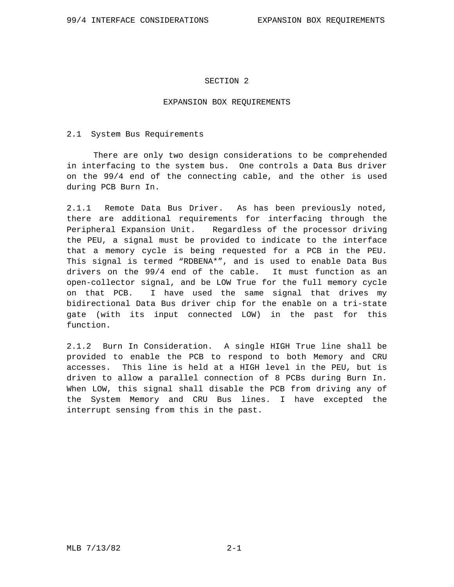#### SECTION<sub>2</sub>

#### EXPANSION BOX REQUIREMENTS

#### 2.1 System Bus Requirements

There are only two design considerations to be comprehended in interfacing to the system bus. One controls a Data Bus driver on the 99/4 end of the connecting cable, and the other is used during PCB Burn In.

2.1.1 Remote Data Bus Driver. As has been previously noted, there are additional requirements for interfacing through the Peripheral Expansion Unit. Regardless of the processor driving the PEU, a signal must be provided to indicate to the interface that a memory cycle is being requested for a PCB in the PEU. This signal is termed "RDBENA\*", and is used to enable Data Bus drivers on the 99/4 end of the cable. It must function as an open-collector signal, and be LOW True for the full memory cycle on that PCB. I have used the same signal that drives my bidirectional Data Bus driver chip for the enable on a tri-state gate (with its input connected LOW) in the past for this function.

2.1.2 Burn In Consideration. A single HIGH True line shall be provided to enable the PCB to respond to both Memory and CRU accesses. This line is held at a HIGH level in the PEU, but is driven to allow a parallel connection of 8 PCBs during Burn In. When LOW, this signal shall disable the PCB from driving any of the System Memory and CRU Bus lines. I have excepted the interrupt sensing from this in the past.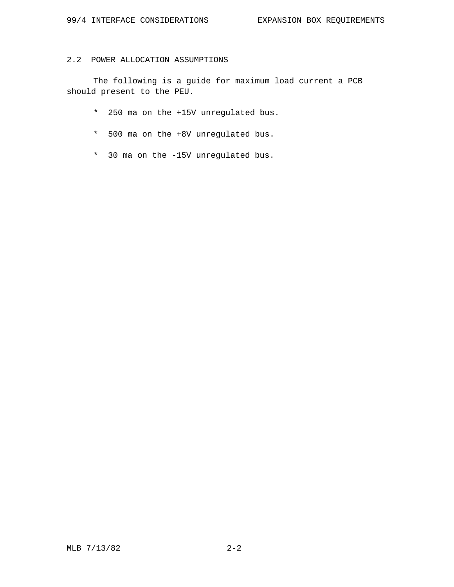### 2.2 POWER ALLOCATION ASSUMPTIONS

The following is a guide for maximum load current a PCB should present to the PEU.

- \* 250 ma on the +15V unregulated bus.
- \* 500 ma on the +8V unregulated bus.
- \* 30 ma on the -15V unregulated bus.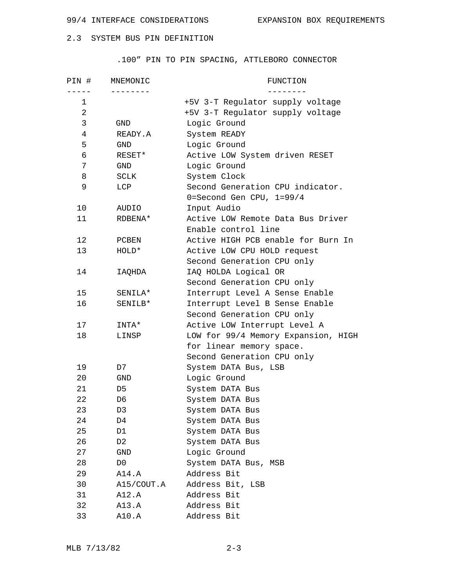## 2.3 SYSTEM BUS PIN DEFINITION

.100" PIN TO PIN SPACING, ATTLEBORO CONNECTOR

| PIN # | MNEMONIC       | FUNCTION                            |
|-------|----------------|-------------------------------------|
| 1     |                | +5V 3-T Regulator supply voltage    |
| 2     |                | +5V 3-T Regulator supply voltage    |
| 3     | <b>GND</b>     | Logic Ground                        |
| 4     | READY.A        | System READY                        |
| 5     | GND            | Logic Ground                        |
| 6     | RESET*         | Active LOW System driven RESET      |
| 7     | <b>GND</b>     | Logic Ground                        |
| 8     | <b>SCLK</b>    | System Clock                        |
| 9     | LCP            | Second Generation CPU indicator.    |
|       |                | $0 = Second Gen CPU, 1 = 99/4$      |
| 10    | AUDIO          | Input Audio                         |
| 11    | RDBENA*        | Active LOW Remote Data Bus Driver   |
|       |                | Enable control line                 |
| 12    | PCBEN          | Active HIGH PCB enable for Burn In  |
| 13    | $HOLD*$        | Active LOW CPU HOLD request         |
|       |                | Second Generation CPU only          |
| 14    | IAQHDA         | IAQ HOLDA Logical OR                |
|       |                | Second Generation CPU only          |
| 15    | SENILA*        | Interrupt Level A Sense Enable      |
| 16    | SENILB*        | Interrupt Level B Sense Enable      |
|       |                | Second Generation CPU only          |
| 17    | INTA*          | Active LOW Interrupt Level A        |
| 18    | LINSP          | LOW for 99/4 Memory Expansion, HIGH |
|       |                | for linear memory space.            |
|       |                | Second Generation CPU only          |
| 19    | D7             | System DATA Bus, LSB                |
| 20    | GND            | Logic Ground                        |
| 21    | D5             | System DATA Bus                     |
| 22    | D <sub>6</sub> | System DATA Bus                     |
| 23    | D <sub>3</sub> | System DATA Bus                     |
| 24    | D4             | System DATA Bus                     |
| 25    | D1             | System DATA Bus                     |
| 26    | D <sub>2</sub> | System DATA Bus                     |
| 27    | <b>GND</b>     | Logic Ground                        |
| 28    | D <sub>0</sub> | System DATA Bus, MSB                |
| 29    | A14.A          | Address Bit                         |
| 30    | A15/COUT.A     | Address Bit, LSB                    |
| 31    | A12.A          | Address Bit                         |
| 32    | A13.A          | Address Bit                         |
| 33    | A10.A          | Address Bit                         |
|       |                |                                     |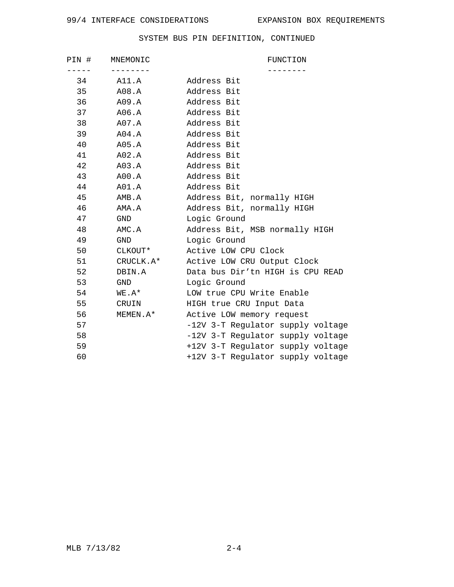## SYSTEM BUS PIN DEFINITION, CONTINUED

| PIN # | MNEMONIC  | <b>FUNCTION</b>                   |
|-------|-----------|-----------------------------------|
| 34    | A11.A     | Address Bit                       |
| 35    | A08.A     | Address Bit                       |
| 36    | A09.A     | Address Bit                       |
| 37    | A06.A     | Address Bit                       |
| 38    | A07.A     | Address Bit                       |
| 39    | A04.A     | Address Bit                       |
| 40    | A05.A     | Address Bit                       |
| 41    | A02.A     | Address Bit                       |
| 42    | A03.A     | Address Bit                       |
| 43    | A00.A     | Address Bit                       |
| 44    | A01.A     | Address Bit                       |
| 45    | AMB.A     | Address Bit, normally HIGH        |
| 46    | AMA.A     | Address Bit, normally HIGH        |
| 47    | GND       | Logic Ground                      |
| 48    | AMC.A     | Address Bit, MSB normally HIGH    |
| 49    | GND       | Logic Ground                      |
| 50    | CLKOUT*   | Active LOW CPU Clock              |
| 51    | CRUCLK.A* | Active LOW CRU Output Clock       |
| 52    | DBIN.A    | Data bus Dir'tn HIGH is CPU READ  |
| 53    | GND       | Logic Ground                      |
| 54    | $WE.A*$   | LOW true CPU Write Enable         |
| 55    | CRUIN     | HIGH true CRU Input Data          |
| 56    | MEMEN.A*  | Active LOW memory request         |
| 57    |           | -12V 3-T Regulator supply voltage |
| 58    |           | -12V 3-T Regulator supply voltage |
| 59    |           | +12V 3-T Regulator supply voltage |
| 60    |           | +12V 3-T Regulator supply voltage |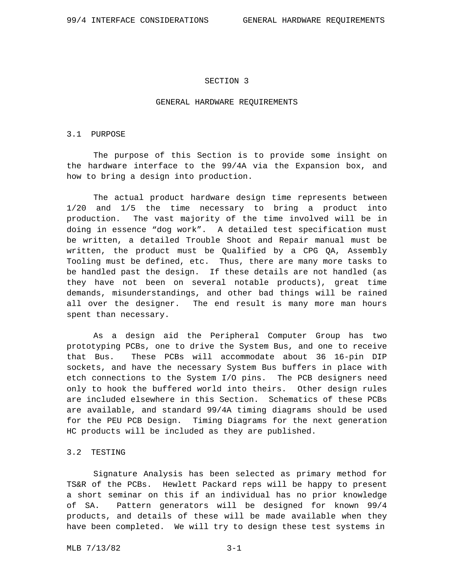#### SECTION 3

#### GENERAL HARDWARE REQUIREMENTS

#### 3.1 PURPOSE

The purpose of this Section is to provide some insight on the hardware interface to the 99/4A via the Expansion box, and how to bring a design into production.

The actual product hardware design time represents between 1/20 and 1/5 the time necessary to bring a product into production. The vast majority of the time involved will be in doing in essence "dog work". A detailed test specification must be written, a detailed Trouble Shoot and Repair manual must be written, the product must be Qualified by a CPG QA, Assembly Tooling must be defined, etc. Thus, there are many more tasks to be handled past the design. If these details are not handled (as they have not been on several notable products), great time demands, misunderstandings, and other bad things will be rained all over the designer. The end result is many more man hours spent than necessary.

As a design aid the Peripheral Computer Group has two prototyping PCBs, one to drive the System Bus, and one to receive that Bus. These PCBs will accommodate about 36 16-pin DIP sockets, and have the necessary System Bus buffers in place with etch connections to the System I/O pins. The PCB designers need only to hook the buffered world into theirs. Other design rules are included elsewhere in this Section. Schematics of these PCBs are available, and standard 99/4A timing diagrams should be used for the PEU PCB Design. Timing Diagrams for the next generation HC products will be included as they are published.

## 3.2 TESTING

Signature Analysis has been selected as primary method for TS&R of the PCBs. Hewlett Packard reps will be happy to present a short seminar on this if an individual has no prior knowledge of SA. Pattern generators will be designed for known 99/4 products, and details of these will be made available when they have been completed. We will try to design these test systems in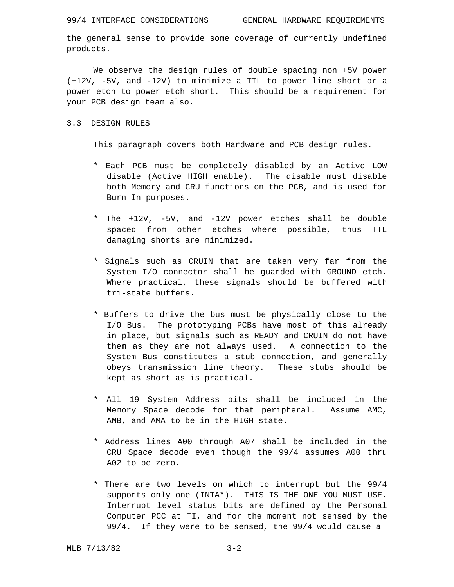99/4 INTERFACE CONSIDERATIONS GENERAL HARDWARE REQUIREMENTS

the general sense to provide some coverage of currently undefined products.

We observe the design rules of double spacing non +5V power (+12V, -5V, and -12V) to minimize a TTL to power line short or a power etch to power etch short. This should be a requirement for your PCB design team also.

#### 3.3 DESIGN RULES

This paragraph covers both Hardware and PCB design rules.

- \* Each PCB must be completely disabled by an Active LOW disable (Active HIGH enable). The disable must disable both Memory and CRU functions on the PCB, and is used for Burn In purposes.
- \* The +12V, -5V, and -12V power etches shall be double spaced from other etches where possible, thus TTL damaging shorts are minimized.
- \* Signals such as CRUIN that are taken very far from the System I/O connector shall be guarded with GROUND etch. Where practical, these signals should be buffered with tri-state buffers.
- \* Buffers to drive the bus must be physically close to the I/O Bus. The prototyping PCBs have most of this already in place, but signals such as READY and CRUIN do not have them as they are not always used. A connection to the System Bus constitutes a stub connection, and generally obeys transmission line theory. These stubs should be kept as short as is practical.
- \* All 19 System Address bits shall be included in the Memory Space decode for that peripheral. Assume AMC, AMB, and AMA to be in the HIGH state.
- \* Address lines A00 through A07 shall be included in the CRU Space decode even though the 99/4 assumes A00 thru A02 to be zero.
- \* There are two levels on which to interrupt but the 99/4 supports only one (INTA\*). THIS IS THE ONE YOU MUST USE. Interrupt level status bits are defined by the Personal Computer PCC at TI, and for the moment not sensed by the 99/4. If they were to be sensed, the 99/4 would cause a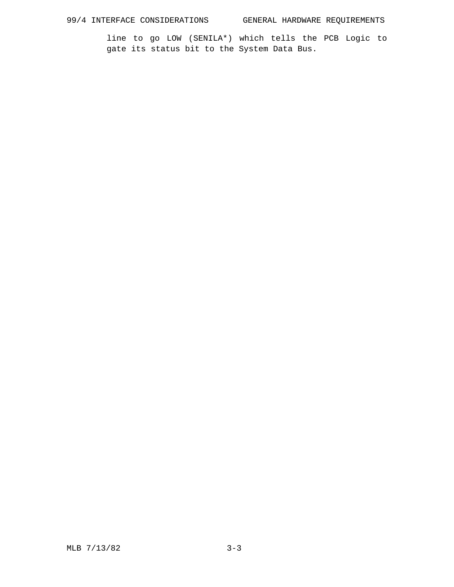line to go LOW (SENILA\*) which tells the PCB Logic to gate its status bit to the System Data Bus.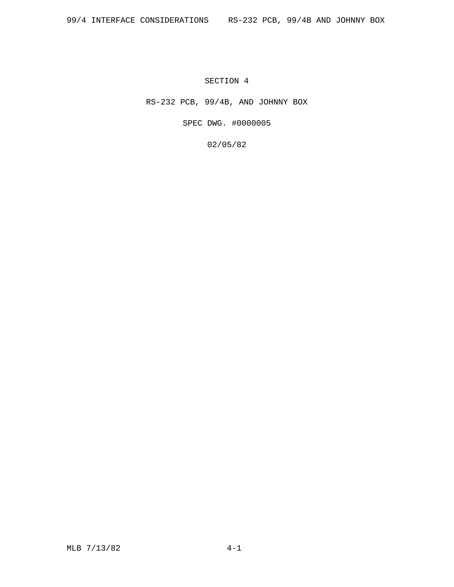## SECTION 4

RS-232 PCB, 99/4B, AND JOHNNY BOX

SPEC DWG. #0000005

02/05/82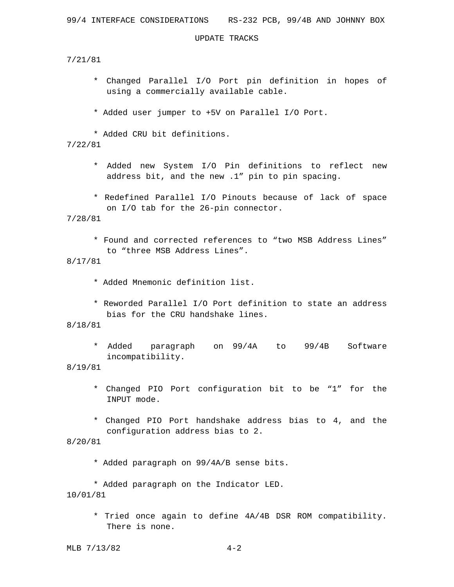## UPDATE TRACKS

7/21/81

- \* Changed Parallel I/O Port pin definition in hopes of using a commercially available cable.
- \* Added user jumper to +5V on Parallel I/O Port.
- \* Added CRU bit definitions.

## 7/22/81

- \* Added new System I/O Pin definitions to reflect new address bit, and the new .1" pin to pin spacing.
- \* Redefined Parallel I/O Pinouts because of lack of space on I/O tab for the 26-pin connector.

7/28/81

\* Found and corrected references to "two MSB Address Lines" to "three MSB Address Lines".

8/17/81

- \* Added Mnemonic definition list.
- \* Reworded Parallel I/O Port definition to state an address bias for the CRU handshake lines.

8/18/81

\* Added paragraph on 99/4A to 99/4B Software incompatibility.

8/19/81

- \* Changed PIO Port configuration bit to be "1" for the INPUT mode.
- \* Changed PIO Port handshake address bias to 4, and the configuration address bias to 2.

8/20/81

\* Added paragraph on 99/4A/B sense bits.

\* Added paragraph on the Indicator LED. 10/01/81

> \* Tried once again to define 4A/4B DSR ROM compatibility. There is none.

MLB  $7/13/82$  4-2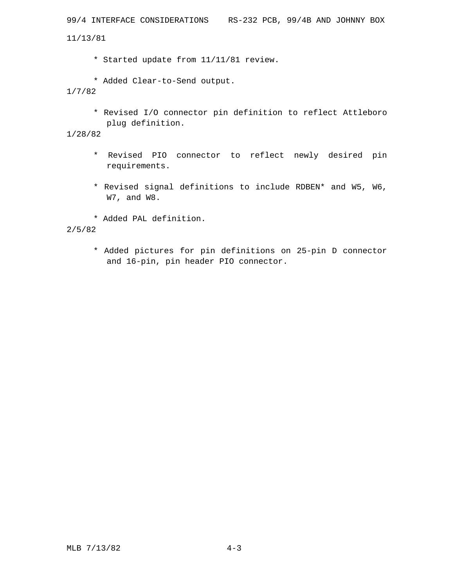99/4 INTERFACE CONSIDERATIONS RS-232 PCB, 99/4B AND JOHNNY BOX 11/13/81

- \* Started update from 11/11/81 review.
- \* Added Clear-to-Send output.

1/7/82

\* Revised I/O connector pin definition to reflect Attleboro plug definition.

1/28/82

- \* Revised PIO connector to reflect newly desired pin requirements.
- \* Revised signal definitions to include RDBEN\* and W5, W6, W7, and W8.
- \* Added PAL definition.

2/5/82

\* Added pictures for pin definitions on 25-pin D connector and 16-pin, pin header PIO connector.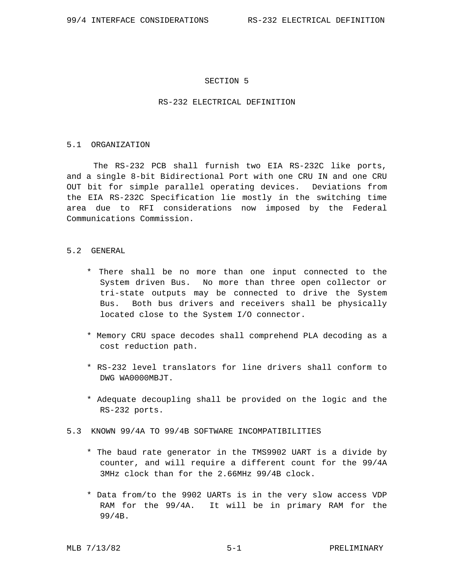#### SECTION<sub>5</sub>

#### RS-232 ELECTRICAL DEFINITION

#### 5.1 ORGANIZATION

The RS-232 PCB shall furnish two EIA RS-232C like ports, and a single 8-bit Bidirectional Port with one CRU IN and one CRU OUT bit for simple parallel operating devices. Deviations from the EIA RS-232C Specification lie mostly in the switching time area due to RFI considerations now imposed by the Federal Communications Commission.

### 5.2 GENERAL

- \* There shall be no more than one input connected to the System driven Bus. No more than three open collector or tri-state outputs may be connected to drive the System Bus. Both bus drivers and receivers shall be physically located close to the System I/O connector.
- \* Memory CRU space decodes shall comprehend PLA decoding as a cost reduction path.
- \* RS-232 level translators for line drivers shall conform to DWG WA0000MBJT.
- \* Adequate decoupling shall be provided on the logic and the RS-232 ports.

#### 5.3 KNOWN 99/4A TO 99/4B SOFTWARE INCOMPATIBILITIES

- \* The baud rate generator in the TMS9902 UART is a divide by counter, and will require a different count for the 99/4A 3MHz clock than for the 2.66MHz 99/4B clock.
- \* Data from/to the 9902 UARTs is in the very slow access VDP RAM for the 99/4A. It will be in primary RAM for the 99/4B.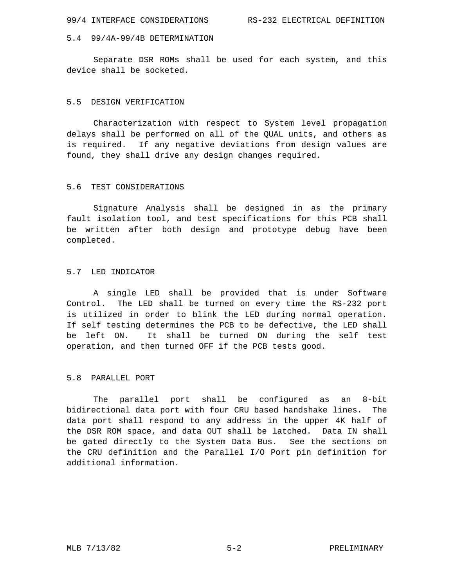#### 5.4 99/4A-99/4B DETERMINATION

Separate DSR ROMs shall be used for each system, and this device shall be socketed.

### 5.5 DESIGN VERIFICATION

Characterization with respect to System level propagation delays shall be performed on all of the QUAL units, and others as is required. If any negative deviations from design values are found, they shall drive any design changes required.

#### 5.6 TEST CONSIDERATIONS

Signature Analysis shall be designed in as the primary fault isolation tool, and test specifications for this PCB shall be written after both design and prototype debug have been completed.

#### 5.7 LED INDICATOR

A single LED shall be provided that is under Software Control. The LED shall be turned on every time the RS-232 port is utilized in order to blink the LED during normal operation. If self testing determines the PCB to be defective, the LED shall be left ON. It shall be turned ON during the self test operation, and then turned OFF if the PCB tests good.

#### 5.8 PARALLEL PORT

The parallel port shall be configured as an 8-bit bidirectional data port with four CRU based handshake lines. The data port shall respond to any address in the upper 4K half of the DSR ROM space, and data OUT shall be latched. Data IN shall be gated directly to the System Data Bus. See the sections on the CRU definition and the Parallel I/O Port pin definition for additional information.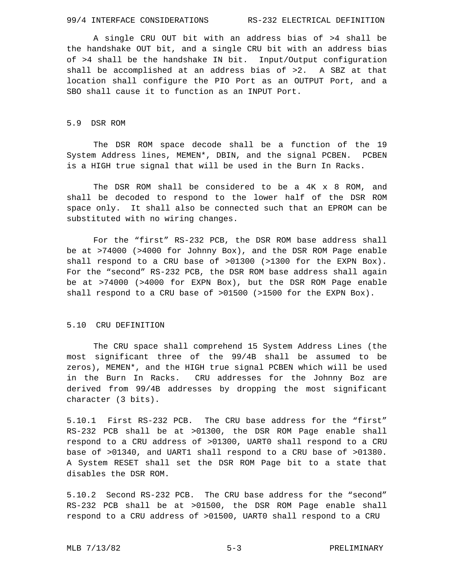A single CRU OUT bit with an address bias of >4 shall be the handshake OUT bit, and a single CRU bit with an address bias of >4 shall be the handshake IN bit. Input/Output configuration shall be accomplished at an address bias of >2. A SBZ at that location shall configure the PIO Port as an OUTPUT Port, and a SBO shall cause it to function as an INPUT Port.

#### 5.9 DSR ROM

The DSR ROM space decode shall be a function of the 19 System Address lines, MEMEN\*, DBIN, and the signal PCBEN. PCBEN is a HIGH true signal that will be used in the Burn In Racks.

The DSR ROM shall be considered to be a 4K x 8 ROM, and shall be decoded to respond to the lower half of the DSR ROM space only. It shall also be connected such that an EPROM can be substituted with no wiring changes.

For the "first" RS-232 PCB, the DSR ROM base address shall be at >74000 (>4000 for Johnny Box), and the DSR ROM Page enable shall respond to a CRU base of >01300 (>1300 for the EXPN Box). For the "second" RS-232 PCB, the DSR ROM base address shall again be at >74000 (>4000 for EXPN Box), but the DSR ROM Page enable shall respond to a CRU base of >01500 (>1500 for the EXPN Box).

#### 5.10 CRU DEFINITION

The CRU space shall comprehend 15 System Address Lines (the most significant three of the 99/4B shall be assumed to be zeros), MEMEN\*, and the HIGH true signal PCBEN which will be used in the Burn In Racks. CRU addresses for the Johnny Boz are derived from 99/4B addresses by dropping the most significant character (3 bits).

5.10.1 First RS-232 PCB. The CRU base address for the "first" RS-232 PCB shall be at >01300, the DSR ROM Page enable shall respond to a CRU address of >01300, UART0 shall respond to a CRU base of >01340, and UART1 shall respond to a CRU base of >01380. A System RESET shall set the DSR ROM Page bit to a state that disables the DSR ROM.

5.10.2 Second RS-232 PCB. The CRU base address for the "second" RS-232 PCB shall be at >01500, the DSR ROM Page enable shall respond to a CRU address of >01500, UART0 shall respond to a CRU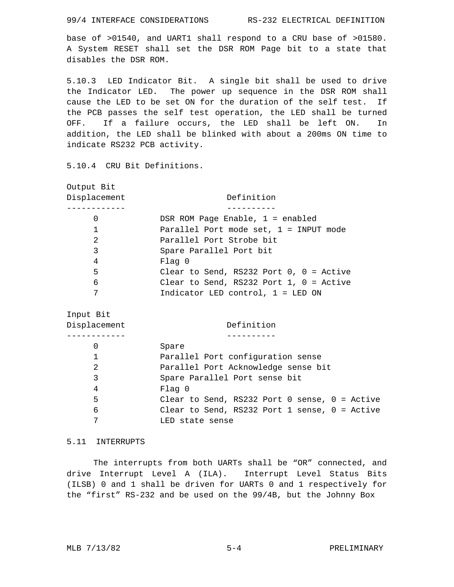base of >01540, and UART1 shall respond to a CRU base of >01580. A System RESET shall set the DSR ROM Page bit to a state that disables the DSR ROM.

5.10.3 LED Indicator Bit. A single bit shall be used to drive the Indicator LED. The power up sequence in the DSR ROM shall cause the LED to be set ON for the duration of the self test. If the PCB passes the self test operation, the LED shall be turned OFF. If a failure occurs, the LED shall be left ON. In addition, the LED shall be blinked with about a 200ms ON time to indicate RS232 PCB activity.

5.10.4 CRU Bit Definitions.

| Output Bit   |                                                   |
|--------------|---------------------------------------------------|
| Displacement | Definition                                        |
|              |                                                   |
| 0            | DSR ROM Page Enable, $1 = \text{enable}$          |
| $\mathbf{1}$ | Parallel Port mode set, $1 = \text{INPUT}$ mode   |
| 2            | Parallel Port Strobe bit                          |
| 3            | Spare Parallel Port bit                           |
| 4            | Flaq 0                                            |
| 5            | Clear to Send, RS232 Port $0$ , $0 =$ Active      |
| 6            | Clear to Send, RS232 Port 1, $0 =$ Active         |
| 7            | Indicator LED control, $1 = LED ON$               |
| Input Bit    |                                                   |
| Displacement | Definition                                        |
|              |                                                   |
| 0            | Spare                                             |
| $\mathbf{1}$ | Parallel Port configuration sense                 |
| 2            | Parallel Port Acknowledge sense bit               |
| 3            | Spare Parallel Port sense bit                     |
| 4            | Flaq 0                                            |
| 5            | Clear to Send, RS232 Port $0$ sense, $0 =$ Active |
| 6            | Clear to Send, RS232 Port 1 sense, $0 =$ Active   |
| 7            | LED state sense                                   |

## 5.11 INTERRUPTS

The interrupts from both UARTs shall be "OR" connected, and drive Interrupt Level A (ILA). Interrupt Level Status Bits (ILSB) 0 and 1 shall be driven for UARTs 0 and 1 respectively for the "first" RS-232 and be used on the 99/4B, but the Johnny Box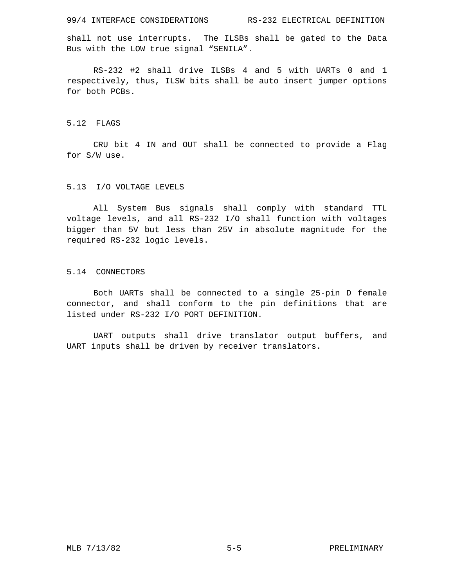shall not use interrupts. The ILSBs shall be gated to the Data Bus with the LOW true signal "SENILA".

RS-232 #2 shall drive ILSBs 4 and 5 with UARTs 0 and 1 respectively, thus, ILSW bits shall be auto insert jumper options for both PCBs.

### 5.12 FLAGS

CRU bit 4 IN and OUT shall be connected to provide a Flag for S/W use.

#### 5.13 I/O VOLTAGE LEVELS

All System Bus signals shall comply with standard TTL voltage levels, and all RS-232 I/O shall function with voltages bigger than 5V but less than 25V in absolute magnitude for the required RS-232 logic levels.

#### 5.14 CONNECTORS

Both UARTs shall be connected to a single 25-pin D female connector, and shall conform to the pin definitions that are listed under RS-232 I/O PORT DEFINITION.

UART outputs shall drive translator output buffers, and UART inputs shall be driven by receiver translators.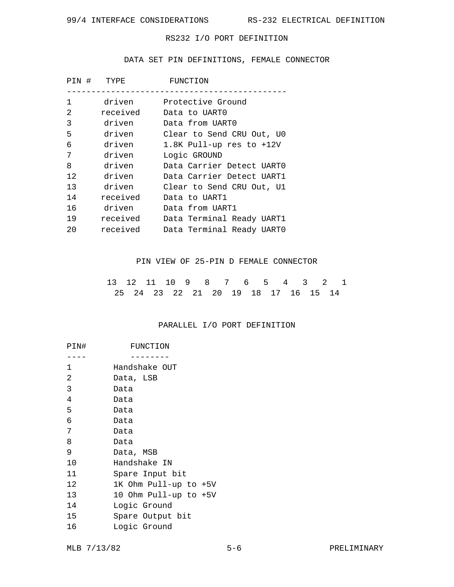## RS232 I/O PORT DEFINITION

#### DATA SET PIN DEFINITIONS, FEMALE CONNECTOR

| PIN #             | TYPE     | FUNCTION                  |
|-------------------|----------|---------------------------|
| 1                 | driven   | Protective Ground         |
| 2                 | received | Data to UARTO             |
| 3                 | driven   | Data from UARTO           |
| 5                 | driven   | Clear to Send CRU Out, UO |
| 6                 | driven   | 1.8K Pull-up res to +12V  |
| 7                 | driven   | Logic GROUND              |
| 8                 | driven   | Data Carrier Detect UARTO |
| $12 \overline{ }$ | driven   | Data Carrier Detect UART1 |
| 13                | driven   | Clear to Send CRU Out, U1 |
| 14                | received | Data to UART1             |
| 16                | driven   | Data from UART1           |
| 19                | received | Data Terminal Ready UART1 |
| 20                | received | Data Terminal Ready UARTO |
|                   |          |                           |

PIN VIEW OF 25-PIN D FEMALE CONNECTOR

|  | 13 12 11 10 9 8 7 6 5 4 3 2 1                  |  |  |  |  |  |
|--|------------------------------------------------|--|--|--|--|--|
|  | 25  24  23  22  21  20  19  18  17  16  15  14 |  |  |  |  |  |

#### PARALLEL I/O PORT DEFINITION

| PIN# | FUNCTION              |
|------|-----------------------|
|      |                       |
| 1    | Handshake OUT         |
| 2    | Data, LSB             |
| 3    | Data                  |
| 4    | Data                  |
| 5    | Data                  |
| 6    | Data                  |
| 7    | Data                  |
| 8    | Data                  |
| 9    | Data, MSB             |
| 10   | Handshake IN          |
| 11   | Spare Input bit       |
| 12   | 1K Ohm Pull-up to +5V |
| 13   | 10 Ohm Pull-up to +5V |
| 14   | Logic Ground          |
| 15   | Spare Output bit      |
| 16   | Logic Ground          |

MLB  $7/13/82$  5-6 PRELIMINARY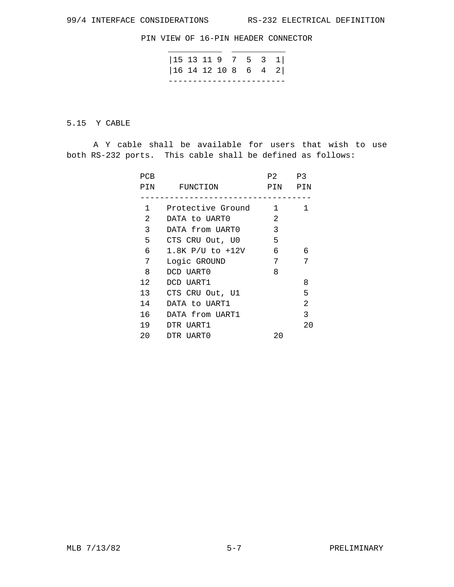PIN VIEW OF 16-PIN HEADER CONNECTOR

| $\begin{array}{ccccccc} \begin{array}{ccccccc} \end{array} & 15 & 13 & 11 & 9 & 7 & 5 & 3 & 1 \end{array}$ |  |  |  |  |
|------------------------------------------------------------------------------------------------------------|--|--|--|--|
| $\begin{vmatrix} 16 & 14 & 12 & 10 & 8 & 6 & 4 & 2 \end{vmatrix}$                                          |  |  |  |  |
|                                                                                                            |  |  |  |  |

## 5.15 Y CABLE

A Y cable shall be available for users that wish to use both RS-232 ports. This cable shall be defined as follows:

| PCB |                      | P2 -         | P3  |
|-----|----------------------|--------------|-----|
| PIN | FUNCTION             | PIN          | PIN |
|     |                      |              |     |
| 1   | Protective Ground    | $\mathbf{1}$ | 1.  |
| 2   | DATA to UARTO        | 2            |     |
| 3   | DATA from UARTO      | 3            |     |
| 5   | CTS CRU Out, U0      | 5            |     |
| 6   | $1.8K$ P/U to $+12V$ | 6            | 6   |
| 7   | Logic GROUND         | 7            | 7   |
| 8   | DCD UARTO            | 8            |     |
| 12  | DCD UART1            |              | 8   |
| 13  | CTS CRU Out, U1      |              | 5   |
| 14  | DATA to UART1        |              | 2   |
| 16  | DATA from UART1      |              | 3   |
| 19  | DTR UART1            |              | 20  |
| 20  | DTR UART0            | 20           |     |
|     |                      |              |     |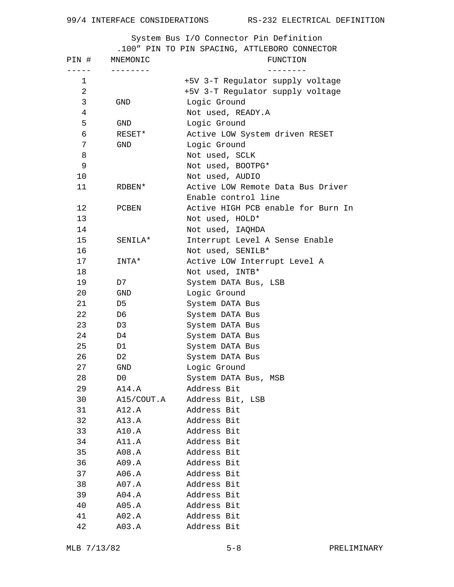|       |                      | System Bus I/O Connector Pin Definition       |
|-------|----------------------|-----------------------------------------------|
|       |                      | .100" PIN TO PIN SPACING, ATTLEBORO CONNECTOR |
| PIN # | MNEMONIC             | FUNCTION                                      |
|       |                      | - - - - - - - -                               |
| 1     |                      | +5V 3-T Regulator supply voltage              |
| 2     |                      | +5V 3-T Regulator supply voltage              |
| 3     | GND                  | Logic Ground                                  |
| 4     |                      | Not used, READY.A                             |
| 5     | GND                  | Logic Ground                                  |
| 6     | RESET*               | Active LOW System driven RESET                |
| 7     | GND                  | Logic Ground                                  |
| 8     |                      | Not used, SCLK                                |
| 9     |                      | Not used, BOOTPG*                             |
| 10    |                      | Not used, AUDIO                               |
| 11    | RDBEN*               | Active LOW Remote Data Bus Driver             |
|       |                      | Enable control line                           |
| 12    | PCBEN                | Active HIGH PCB enable for Burn In            |
| 13    |                      | Not used, HOLD*                               |
| 14    |                      | Not used, IAQHDA                              |
| 15    | SENILA*              | Interrupt Level A Sense Enable                |
| 16    |                      | Not used, SENILB*                             |
| 17    | INTA*                | Active LOW Interrupt Level A                  |
| 18    |                      | Not used, INTB*                               |
| 19    | D7                   | System DATA Bus, LSB                          |
| 20    | GND                  | Logic Ground                                  |
| 21    | D5                   | System DATA Bus                               |
| 22    | D6                   | System DATA Bus                               |
| 23    | D3                   | System DATA Bus                               |
| 24    | D4                   | System DATA Bus                               |
| 25    | D1                   | System DATA Bus                               |
| 26    | D <sub>2</sub>       | System DATA Bus                               |
| 27    | $\operatorname{GND}$ | Logic Ground                                  |
| 28    | D <sub>0</sub>       | System DATA Bus, MSB                          |
| 29    | A14.A                | Address Bit                                   |
| 30    | A15/COUT.A           | Address Bit, LSB                              |
| 31    | A12.A                | Address Bit                                   |
| 32    | A13.A                | Address Bit                                   |
| 33    | A10.A                | Address Bit                                   |
| 34    | A11.A                | Address Bit                                   |
| 35    | A08.A                | Address Bit                                   |
| 36    | A09.A                | Address Bit                                   |
| 37    | A06.A                | Address Bit                                   |
| 38    | A07.A                | Address Bit                                   |
| 39    | A04.A                | Address Bit                                   |
| 40    | A05.A                | Address Bit                                   |
| 41    | A02.A                | Address Bit                                   |
| 42    | A03.A                | Address Bit                                   |

MLB  $7/13/82$  5-8 PRELIMINARY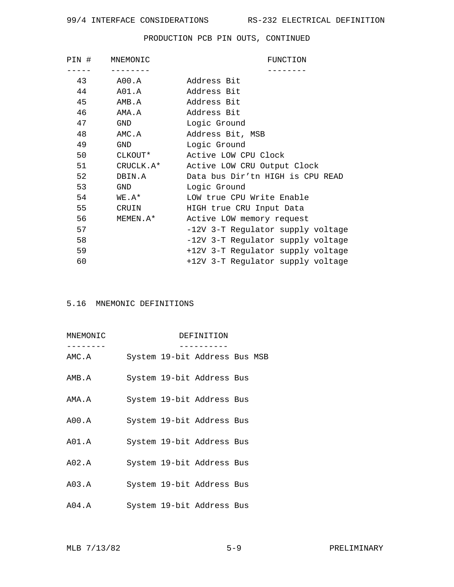# PRODUCTION PCB PIN OUTS, CONTINUED

| PIN # | MNEMONIC  | FUNCTION                          |
|-------|-----------|-----------------------------------|
|       |           |                                   |
| 43    | A00.A     | Address Bit                       |
| 44    | A01.A     | Address Bit                       |
| 45    | AMB.A     | Address Bit                       |
| 46    | AMA.A     | Address Bit                       |
| 47    | GND       | Logic Ground                      |
| 48    | AMC.A     | Address Bit, MSB                  |
| 49    | GND       | Logic Ground                      |
| 50    | CLKOUT*   | Active LOW CPU Clock              |
| 51    | CRUCLK.A* | Active LOW CRU Output Clock       |
| 52    | DBIN.A    | Data bus Dir'tn HIGH is CPU READ  |
| 53    | GND       | Logic Ground                      |
| 54    | $WE.A*$   | LOW true CPU Write Enable         |
| 55    | CRUIN     | HIGH true CRU Input Data          |
| 56    | MEMEN.A*  | Active LOW memory request         |
| 57    |           | -12V 3-T Regulator supply voltage |
| 58    |           | -12V 3-T Regulator supply voltage |
| 59    |           | +12V 3-T Regulator supply voltage |
| 60    |           | +12V 3-T Regulator supply voltage |
|       |           |                                   |

## 5.16 MNEMONIC DEFINITIONS

| MNEMONIC | DEFINITION |  |                               |  |  |
|----------|------------|--|-------------------------------|--|--|
| AMC.A    |            |  | System 19-bit Address Bus MSB |  |  |
| AMB.A    |            |  | System 19-bit Address Bus     |  |  |
| AMA.A    |            |  | System 19-bit Address Bus     |  |  |
| A00.A    |            |  | System 19-bit Address Bus     |  |  |
| A01.A    |            |  | System 19-bit Address Bus     |  |  |
| A02.A    |            |  | System 19-bit Address Bus     |  |  |
| A03.A    |            |  | System 19-bit Address Bus     |  |  |
| A04.A    |            |  | System 19-bit Address Bus     |  |  |

MLB  $7/13/82$  5-9 PRELIMINARY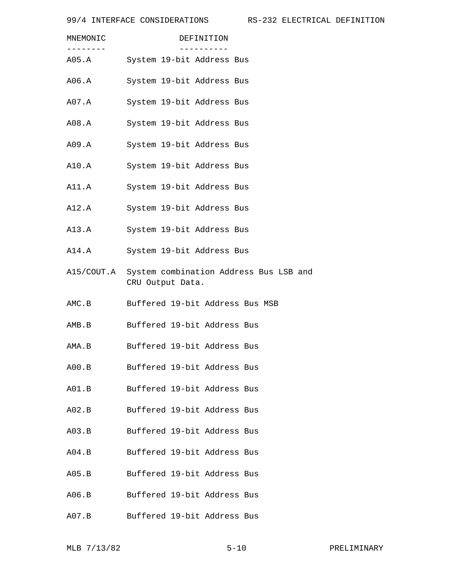| MNEMONIC  | DEFINITION                                                            |
|-----------|-----------------------------------------------------------------------|
| A05.A     | System 19-bit Address Bus                                             |
| A06.A     | System 19-bit Address Bus                                             |
| A07.A     | System 19-bit Address Bus                                             |
| A08.A     | System 19-bit Address Bus                                             |
| A09.A     | System 19-bit Address Bus                                             |
| A10.A     | System 19-bit Address Bus                                             |
| A11.A     | System 19-bit Address Bus                                             |
| A12.A     | System 19-bit Address Bus                                             |
|           | A13.A System 19-bit Address Bus                                       |
| A14.A     | System 19-bit Address Bus                                             |
|           | A15/COUT.A System combination Address Bus LSB and<br>CRU Output Data. |
| $AMC$ . B | Buffered 19-bit Address Bus MSB                                       |
| AMB.B     | Buffered 19-bit Address Bus                                           |
| AMA.B     | Buffered 19-bit Address Bus                                           |
| A00.B     | Buffered 19-bit Address Bus                                           |
| A01.B     | Buffered 19-bit Address Bus                                           |
| A02.B     | Buffered 19-bit Address Bus                                           |
| A03.B     | Buffered 19-bit Address Bus                                           |
| A04.B     | Buffered 19-bit Address Bus                                           |
| A05.B     | Buffered 19-bit Address Bus                                           |
| A06.B     | Buffered 19-bit Address Bus                                           |
| A07.B     | Buffered 19-bit Address Bus                                           |

MLB  $7/13/82$  5-10 PRELIMINARY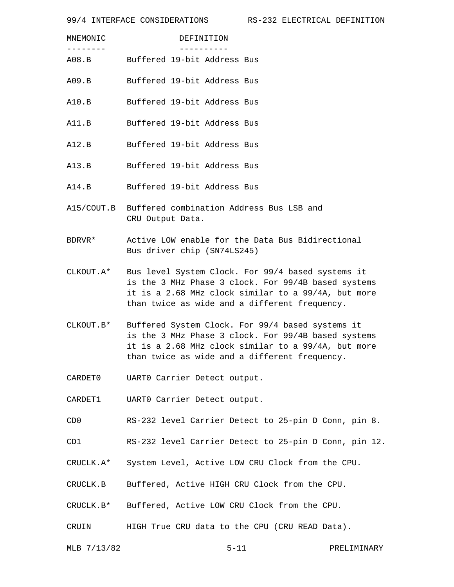| MNEMONIC   | DEFINITION                                                                                                                                                                                                       |  |  |
|------------|------------------------------------------------------------------------------------------------------------------------------------------------------------------------------------------------------------------|--|--|
| A08.B      | Buffered 19-bit Address Bus                                                                                                                                                                                      |  |  |
| A09.B      | Buffered 19-bit Address Bus                                                                                                                                                                                      |  |  |
| A10.B      | Buffered 19-bit Address Bus                                                                                                                                                                                      |  |  |
| A11.B      | Buffered 19-bit Address Bus                                                                                                                                                                                      |  |  |
| A12.B      | Buffered 19-bit Address Bus                                                                                                                                                                                      |  |  |
| A13.B      | Buffered 19-bit Address Bus                                                                                                                                                                                      |  |  |
| A14.B      | Buffered 19-bit Address Bus                                                                                                                                                                                      |  |  |
| A15/COUT.B | Buffered combination Address Bus LSB and<br>CRU Output Data.                                                                                                                                                     |  |  |
| BDRVR*     | Active LOW enable for the Data Bus Bidirectional<br>Bus driver chip (SN74LS245)                                                                                                                                  |  |  |
| CLKOUT.A*  | Bus level System Clock. For 99/4 based systems it<br>is the 3 MHz Phase 3 clock. For 99/4B based systems<br>it is a 2.68 MHz clock similar to a 99/4A, but more<br>than twice as wide and a different frequency. |  |  |
| CLKOUT.B*  | Buffered System Clock. For 99/4 based systems it<br>is the 3 MHz Phase 3 clock. For 99/4B based systems<br>it is a 2.68 MHz clock similar to a 99/4A, but more<br>than twice as wide and a different frequency.  |  |  |
| CARDET0    | UARTO Carrier Detect output.                                                                                                                                                                                     |  |  |
| CARDET1    | UARTO Carrier Detect output.                                                                                                                                                                                     |  |  |
| CD0        | RS-232 level Carrier Detect to 25-pin D Conn, pin 8.                                                                                                                                                             |  |  |
| CD1        | RS-232 level Carrier Detect to 25-pin D Conn, pin 12.                                                                                                                                                            |  |  |
| CRUCLK.A*  | System Level, Active LOW CRU Clock from the CPU.                                                                                                                                                                 |  |  |
| CRUCLK.B   | Buffered, Active HIGH CRU Clock from the CPU.                                                                                                                                                                    |  |  |
| CRUCLK.B*  | Buffered, Active LOW CRU Clock from the CPU.                                                                                                                                                                     |  |  |
| CRUIN      | HIGH True CRU data to the CPU (CRU READ Data).                                                                                                                                                                   |  |  |

MLB  $7/13/82$  5-11 PRELIMINARY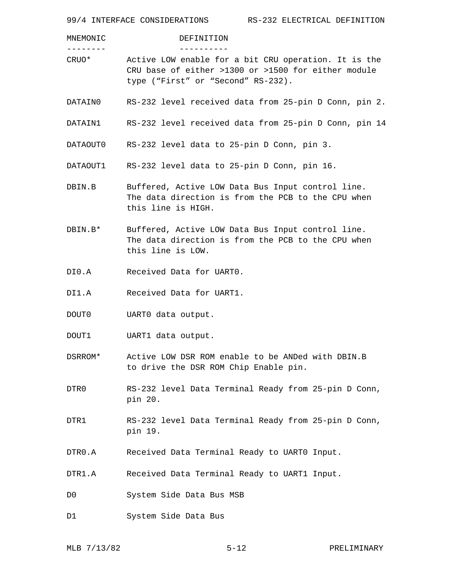MNEMONIC DEFINITION -------- ---------- CRUO\* Active LOW enable for a bit CRU operation. It is the CRU base of either >1300 or >1500 for either module type ("First" or "Second" RS-232).

- DATAIN0 RS-232 level received data from 25-pin D Conn, pin 2.
- DATAIN1 RS-232 level received data from 25-pin D Conn, pin 14
- DATAOUT0 RS-232 level data to 25-pin D Conn, pin 3.
- DATAOUT1 RS-232 level data to 25-pin D Conn, pin 16.
- DBIN.B Buffered, Active LOW Data Bus Input control line. The data direction is from the PCB to the CPU when this line is HIGH.
- DBIN.B\* Buffered, Active LOW Data Bus Input control line. The data direction is from the PCB to the CPU when this line is LOW.
- DI0.A Received Data for UART0.
- DI1.A Received Data for UART1.
- DOUT0 UART0 data output.
- DOUT1 UART1 data output.
- DSRROM\* Active LOW DSR ROM enable to be ANDed with DBIN.B to drive the DSR ROM Chip Enable pin.
- DTR0 RS-232 level Data Terminal Ready from 25-pin D Conn, pin 20.
- DTR1 RS-232 level Data Terminal Ready from 25-pin D Conn, pin 19.
- DTR0.A Received Data Terminal Ready to UART0 Input.
- DTR1.A Received Data Terminal Ready to UART1 Input.
- D0 System Side Data Bus MSB
- D1 System Side Data Bus

MLB  $7/13/82$  5-12 PRELIMINARY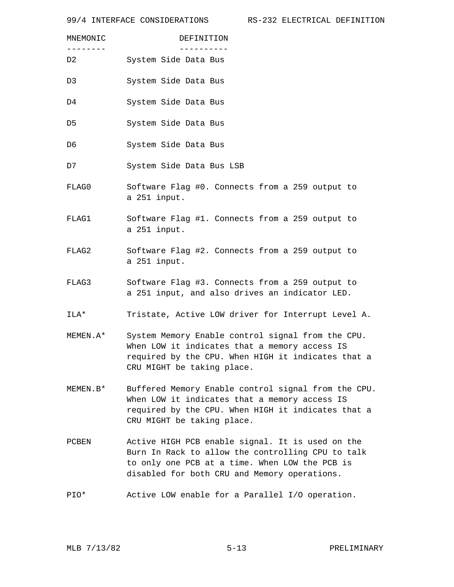99/4 INTERFACE CONSIDERATIONS RS-232 ELECTRICAL DEFINITION

| MNEMONIC       | DEFINITION                                                                                                                                                                                              |
|----------------|---------------------------------------------------------------------------------------------------------------------------------------------------------------------------------------------------------|
| D2             | System Side Data Bus                                                                                                                                                                                    |
| D <sub>3</sub> | System Side Data Bus                                                                                                                                                                                    |
| D4             | System Side Data Bus                                                                                                                                                                                    |
| D5             | System Side Data Bus                                                                                                                                                                                    |
| D6             | System Side Data Bus                                                                                                                                                                                    |
| D7             | System Side Data Bus LSB                                                                                                                                                                                |
| FLAG0          | Software Flag #0. Connects from a 259 output to<br>a 251 input.                                                                                                                                         |
| FLAG1          | Software Flag #1. Connects from a 259 output to<br>a 251 input.                                                                                                                                         |
| FLAG2          | Software Flag #2. Connects from a 259 output to<br>a 251 input.                                                                                                                                         |
| FLAG3          | Software Flag #3. Connects from a 259 output to<br>a 251 input, and also drives an indicator LED.                                                                                                       |
| ILA*           | Tristate, Active LOW driver for Interrupt Level A.                                                                                                                                                      |
| MEMEN.A*       | System Memory Enable control signal from the CPU.<br>When LOW it indicates that a memory access IS<br>required by the CPU. When HIGH it indicates that a<br>CRU MIGHT be taking place.                  |
| MEMEN.B*       | Buffered Memory Enable control signal from the CPU.<br>When LOW it indicates that a memory access IS<br>required by the CPU. When HIGH it indicates that a<br>CRU MIGHT be taking place.                |
| PCBEN          | Active HIGH PCB enable signal. It is used on the<br>Burn In Rack to allow the controlling CPU to talk<br>to only one PCB at a time. When LOW the PCB is<br>disabled for both CRU and Memory operations. |
| $PIO*$         | Active LOW enable for a Parallel I/O operation.                                                                                                                                                         |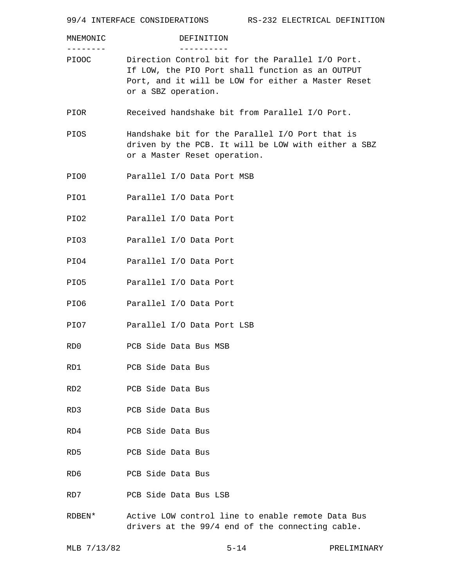| MNEMONIC        | DEFINITION                                                                                                                                                                        |
|-----------------|-----------------------------------------------------------------------------------------------------------------------------------------------------------------------------------|
| PIOOC           | Direction Control bit for the Parallel I/O Port.<br>If LOW, the PIO Port shall function as an OUTPUT<br>Port, and it will be LOW for either a Master Reset<br>or a SBZ operation. |
| PIOR            | Received handshake bit from Parallel I/O Port.                                                                                                                                    |
| PIOS            | Handshake bit for the Parallel I/O Port that is<br>driven by the PCB. It will be LOW with either a SBZ<br>or a Master Reset operation.                                            |
| PIO0            | Parallel I/O Data Port MSB                                                                                                                                                        |
| PIO1            | Parallel I/O Data Port                                                                                                                                                            |
| PIO2            | Parallel I/O Data Port                                                                                                                                                            |
| PIO3            | Parallel I/O Data Port                                                                                                                                                            |
| PIO4            | Parallel I/O Data Port                                                                                                                                                            |
| PIO5            | Parallel I/O Data Port                                                                                                                                                            |
| PIO6            | Parallel I/O Data Port                                                                                                                                                            |
| PIO7            | Parallel I/O Data Port LSB                                                                                                                                                        |
| RD0             | PCB Side Data Bus MSB                                                                                                                                                             |
| RD1             | PCB Side Data Bus                                                                                                                                                                 |
| RD <sub>2</sub> | PCB Side Data Bus                                                                                                                                                                 |
| RD3             | PCB Side Data Bus                                                                                                                                                                 |
| RD4             | PCB Side Data Bus                                                                                                                                                                 |
| RD <sub>5</sub> | PCB Side Data Bus                                                                                                                                                                 |
| RD6             | PCB Side Data Bus                                                                                                                                                                 |
| RD7             | PCB Side Data Bus LSB                                                                                                                                                             |
| RDBEN*          | Active LOW control line to enable remote Data Bus<br>drivers at the 99/4 end of the connecting cable.                                                                             |

MLB 7/13/82 5-14 PRELIMINARY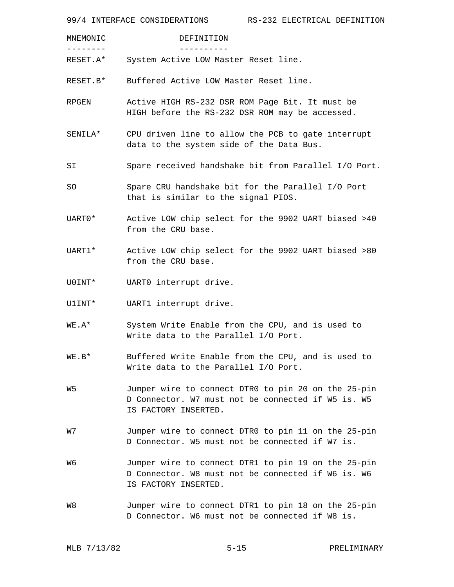99/4 INTERFACE CONSIDERATIONS RS-232 ELECTRICAL DEFINITION

MNEMONIC DEFINITION

-------- ----------

RESET.A\* System Active LOW Master Reset line.

- RESET.B\* Buffered Active LOW Master Reset line.
- RPGEN Active HIGH RS-232 DSR ROM Page Bit. It must be HIGH before the RS-232 DSR ROM may be accessed.
- SENILA\* CPU driven line to allow the PCB to gate interrupt data to the system side of the Data Bus.
- SI Spare received handshake bit from Parallel I/O Port.
- SO Spare CRU handshake bit for the Parallel I/O Port that is similar to the signal PIOS.
- UART0\* Active LOW chip select for the 9902 UART biased >40 from the CRU base.
- UART1\* Active LOW chip select for the 9902 UART biased >80 from the CRU base.
- U0INT\* UART0 interrupt drive.
- U1INT\* UART1 interrupt drive.
- WE.A\* System Write Enable from the CPU, and is used to Write data to the Parallel I/O Port.
- WE.B\* Buffered Write Enable from the CPU, and is used to Write data to the Parallel I/O Port.
- W5 Jumper wire to connect DTR0 to pin 20 on the 25-pin D Connector. W7 must not be connected if W5 is. W5 IS FACTORY INSERTED.
- W7 Jumper wire to connect DTR0 to pin 11 on the 25-pin D Connector. W5 must not be connected if W7 is.
- W6 Jumper wire to connect DTR1 to pin 19 on the 25-pin D Connector. W8 must not be connected if W6 is. W6 IS FACTORY INSERTED.
- W8 Jumper wire to connect DTR1 to pin 18 on the 25-pin D Connector. W6 must not be connected if W8 is.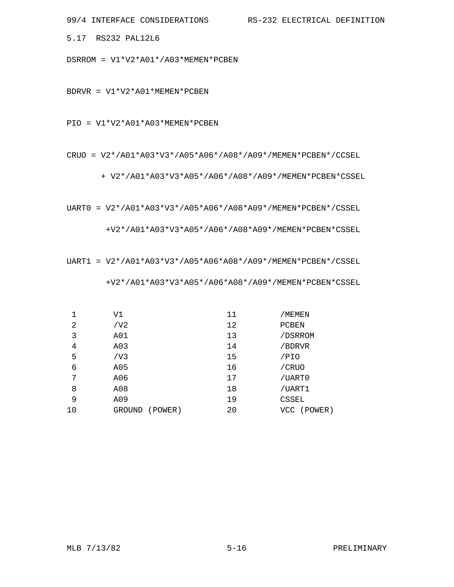99/4 INTERFACE CONSIDERATIONS RS-232 ELECTRICAL DEFINITION

5.17 RS232 PAL12L6

DSRROM = V1\*V2\*A01\*/A03\*MEMEN\*PCBEN

BDRVR = V1\*V2\*A01\*MEMEN\*PCBEN

PIO = V1\*V2\*A01\*A03\*MEMEN\*PCBEN

CRUO = V2\*/A01\*A03\*V3\*/A05\*A06\*/A08\*/A09\*/MEMEN\*PCBEN\*/CCSEL

+ V2\*/A01\*A03\*V3\*A05\*/A06\*/A08\*/A09\*/MEMEN\*PCBEN\*CSSEL

UART0 = V2\*/A01\*A03\*V3\*/A05\*A06\*/A08\*A09\*/MEMEN\*PCBEN\*/CSSEL

+V2\*/A01\*A03\*V3\*A05\*/A06\*/A08\*A09\*/MEMEN\*PCBEN\*CSSEL

UART1 = V2\*/A01\*A03\*V3\*/A05\*A06\*A08\*/A09\*/MEMEN\*PCBEN\*/CSSEL

+V2\*/A01\*A03\*V3\*A05\*/A06\*A08\*/A09\*/MEMEN\*PCBEN\*CSSEL

| 1  | V1                | 11 | /MEMEN       |
|----|-------------------|----|--------------|
| 2  | /V2               | 12 | <b>PCBEN</b> |
| 3  | A01               | 13 | /DSRROM      |
| 4  | A03               | 14 | /BDRVR       |
| 5  | /V3               | 15 | /PIO         |
| 6  | A05               | 16 | /CRUO        |
| 7  | A06               | 17 | /UART0       |
| 8  | A08               | 18 | /UART1       |
| 9  | A09               | 19 | CSSEL        |
| 10 | (POWER)<br>GROUND | 20 | VCC (POWER)  |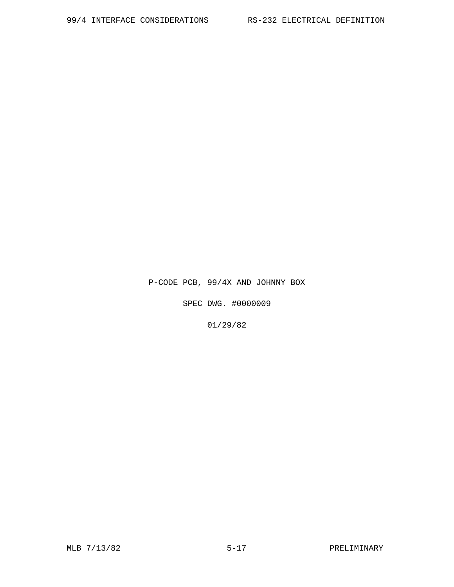# P-CODE PCB, 99/4X AND JOHNNY BOX

SPEC DWG. #0000009

01/29/82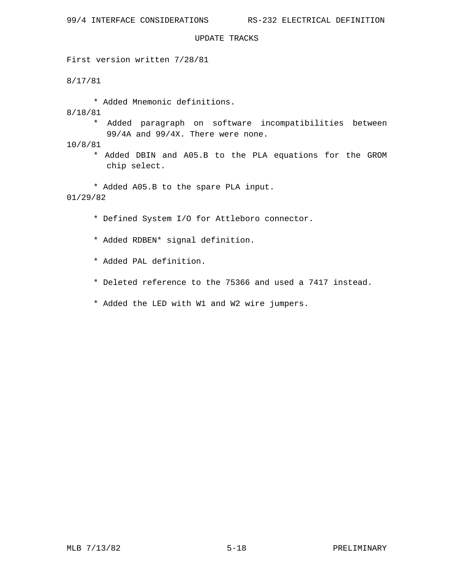# UPDATE TRACKS

First version written 7/28/81

8/17/81

- \* Added Mnemonic definitions.
- 8/18/81
	- \* Added paragraph on software incompatibilities between 99/4A and 99/4X. There were none.
- 10/8/81
	- \* Added DBIN and A05.B to the PLA equations for the GROM chip select.
- \* Added A05.B to the spare PLA input. 01/29/82
	- \* Defined System I/O for Attleboro connector.
	- \* Added RDBEN\* signal definition.
	- \* Added PAL definition.
	- \* Deleted reference to the 75366 and used a 7417 instead.
	- \* Added the LED with W1 and W2 wire jumpers.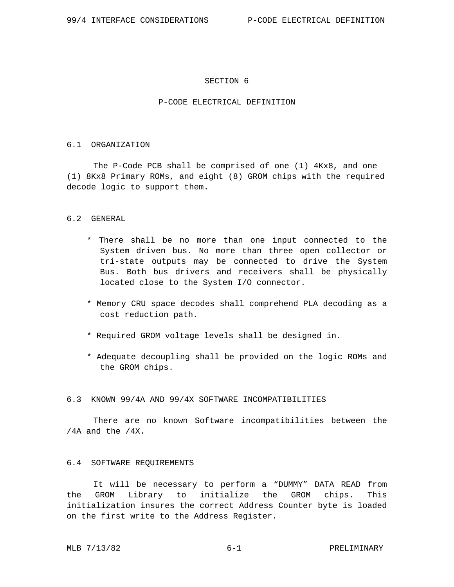## SECTION 6

## P-CODE ELECTRICAL DEFINITION

# 6.1 ORGANIZATION

The P-Code PCB shall be comprised of one (1) 4Kx8, and one (1) 8Kx8 Primary ROMs, and eight (8) GROM chips with the required decode logic to support them.

## 6.2 GENERAL

- \* There shall be no more than one input connected to the System driven bus. No more than three open collector or tri-state outputs may be connected to drive the System Bus. Both bus drivers and receivers shall be physically located close to the System I/O connector.
- \* Memory CRU space decodes shall comprehend PLA decoding as a cost reduction path.
- \* Required GROM voltage levels shall be designed in.
- \* Adequate decoupling shall be provided on the logic ROMs and the GROM chips.

## 6.3 KNOWN 99/4A AND 99/4X SOFTWARE INCOMPATIBILITIES

There are no known Software incompatibilities between the /4A and the /4X.

#### 6.4 SOFTWARE REQUIREMENTS

It will be necessary to perform a "DUMMY" DATA READ from the GROM Library to initialize the GROM chips. This initialization insures the correct Address Counter byte is loaded on the first write to the Address Register.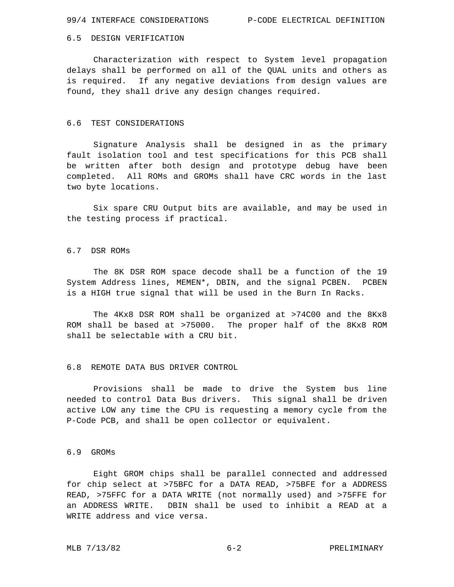## 99/4 INTERFACE CONSIDERATIONS P-CODE ELECTRICAL DEFINITION

## 6.5 DESIGN VERIFICATION

Characterization with respect to System level propagation delays shall be performed on all of the QUAL units and others as is required. If any negative deviations from design values are found, they shall drive any design changes required.

## 6.6 TEST CONSIDERATIONS

Signature Analysis shall be designed in as the primary fault isolation tool and test specifications for this PCB shall be written after both design and prototype debug have been completed. All ROMs and GROMs shall have CRC words in the last two byte locations.

Six spare CRU Output bits are available, and may be used in the testing process if practical.

## 6.7 DSR ROMs

The 8K DSR ROM space decode shall be a function of the 19 System Address lines, MEMEN\*, DBIN, and the signal PCBEN. PCBEN is a HIGH true signal that will be used in the Burn In Racks.

The 4Kx8 DSR ROM shall be organized at >74C00 and the 8Kx8 ROM shall be based at >75000. The proper half of the 8Kx8 ROM shall be selectable with a CRU bit.

## 6.8 REMOTE DATA BUS DRIVER CONTROL

Provisions shall be made to drive the System bus line needed to control Data Bus drivers. This signal shall be driven active LOW any time the CPU is requesting a memory cycle from the P-Code PCB, and shall be open collector or equivalent.

# 6.9 GROMs

Eight GROM chips shall be parallel connected and addressed for chip select at >75BFC for a DATA READ, >75BFE for a ADDRESS READ, >75FFC for a DATA WRITE (not normally used) and >75FFE for an ADDRESS WRITE. DBIN shall be used to inhibit a READ at a WRITE address and vice versa.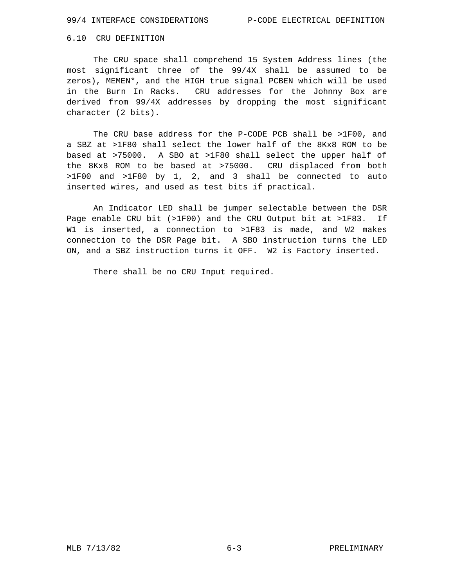## 6.10 CRU DEFINITION

The CRU space shall comprehend 15 System Address lines (the most significant three of the 99/4X shall be assumed to be zeros), MEMEN\*, and the HIGH true signal PCBEN which will be used in the Burn In Racks. CRU addresses for the Johnny Box are derived from 99/4X addresses by dropping the most significant character (2 bits).

The CRU base address for the P-CODE PCB shall be >1F00, and a SBZ at >1F80 shall select the lower half of the 8Kx8 ROM to be based at >75000. A SBO at >1F80 shall select the upper half of the 8Kx8 ROM to be based at >75000. CRU displaced from both >1F00 and >1F80 by 1, 2, and 3 shall be connected to auto inserted wires, and used as test bits if practical.

An Indicator LED shall be jumper selectable between the DSR Page enable CRU bit (>1F00) and the CRU Output bit at >1F83. If W1 is inserted, a connection to >1F83 is made, and W2 makes connection to the DSR Page bit. A SBO instruction turns the LED ON, and a SBZ instruction turns it OFF. W2 is Factory inserted.

There shall be no CRU Input required.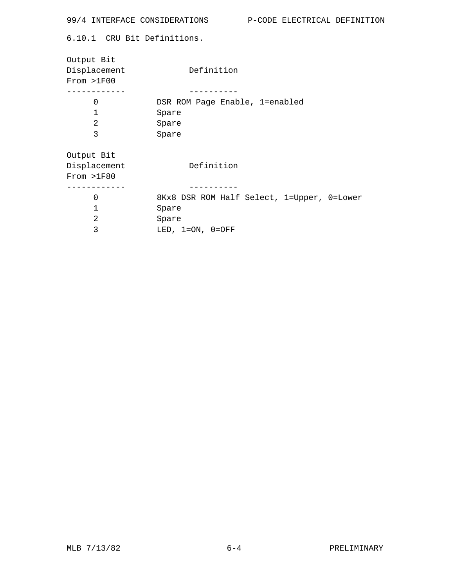99/4 INTERFACE CONSIDERATIONS P-CODE ELECTRICAL DEFINITION

6.10.1 CRU Bit Definitions.

| Output Bit<br>Displacement<br>From >1F00 | Definition                                 |
|------------------------------------------|--------------------------------------------|
|                                          |                                            |
| 0                                        | DSR ROM Page Enable, 1=enabled             |
| $\mathbf{1}$                             | Spare                                      |
| 2                                        | Spare                                      |
| 3                                        | Spare                                      |
| Output Bit                               |                                            |
| Displacement                             | Definition                                 |
| From >1F80                               |                                            |
|                                          |                                            |
| 0                                        | 8Kx8 DSR ROM Half Select, 1=Upper, 0=Lower |
| $\mathbf 1$                              | Spare                                      |
| 2                                        | Spare                                      |
| 3                                        | LED, $1=ON$ , $0=OFF$                      |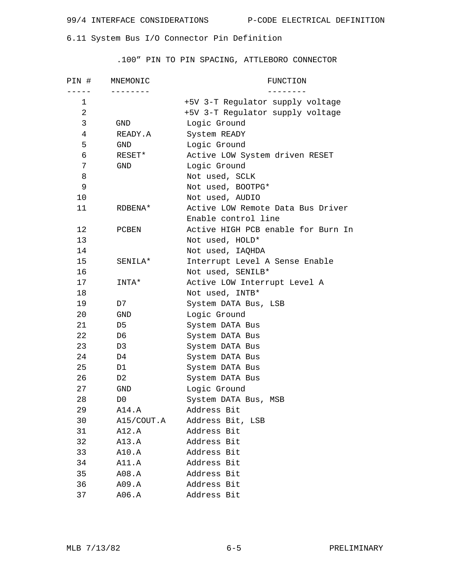99/4 INTERFACE CONSIDERATIONS P-CODE ELECTRICAL DEFINITION

6.11 System Bus I/O Connector Pin Definition

.100" PIN TO PIN SPACING, ATTLEBORO CONNECTOR

| PIN #          | MNEMONIC       | FUNCTION                           |
|----------------|----------------|------------------------------------|
| ı              |                | +5V 3-T Regulator supply voltage   |
| $\overline{2}$ |                | +5V 3-T Regulator supply voltage   |
| 3              | <b>GND</b>     | Logic Ground                       |
| 4              | READY.A        | System READY                       |
| 5              | GND            | Logic Ground                       |
| 6              | RESET*         | Active LOW System driven RESET     |
| 7              | GND            | Logic Ground                       |
| 8              |                | Not used, SCLK                     |
| 9              |                | Not used, BOOTPG*                  |
| 10             |                | Not used, AUDIO                    |
| 11             | RDBENA*        | Active LOW Remote Data Bus Driver  |
|                |                | Enable control line                |
| 12             | PCBEN          | Active HIGH PCB enable for Burn In |
| 13             |                | Not used, HOLD*                    |
| 14             |                | Not used, IAQHDA                   |
| 15             | SENILA*        | Interrupt Level A Sense Enable     |
| 16             |                | Not used, SENILB*                  |
| 17             | INTA*          | Active LOW Interrupt Level A       |
| 18             |                | Not used, INTB*                    |
| 19             | D7             | System DATA Bus, LSB               |
| 20             | <b>GND</b>     | Logic Ground                       |
| 21             | D5             | System DATA Bus                    |
| 22             | D6             | System DATA Bus                    |
| 23             | D3             | System DATA Bus                    |
| 24             | D4             | System DATA Bus                    |
| 25             | D1             | System DATA Bus                    |
| 26             | D <sub>2</sub> | System DATA Bus                    |
| 27             | GND            | Logic Ground                       |
| 28             | D <sub>0</sub> | System DATA Bus, MSB               |
| 29             | A14.A          | Address Bit                        |
| 30             | A15/COUT.A     | Address Bit, LSB                   |
| 31             | A12.A          | Address Bit                        |
| 32             | A13.A          | Address Bit                        |
| 33             | A10.A          | Address Bit                        |
| 34             | A11.A          | Address Bit                        |
| 35             | A08.A          | Address Bit                        |
| 36             | A09.A          | Address Bit                        |
| 37             | A06.A          | Address Bit                        |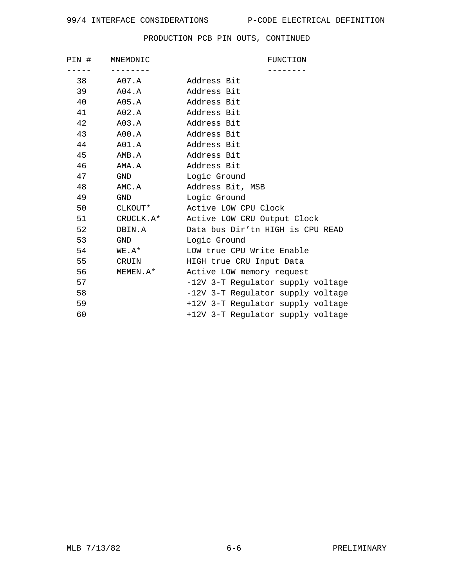# PRODUCTION PCB PIN OUTS, CONTINUED

|               | PIN # MNEMONIC | FUNCTION                          |
|---------------|----------------|-----------------------------------|
|               |                |                                   |
|               | 38 A07.A       | Address Bit                       |
|               | 39 A04.A       | Address Bit                       |
|               | 40 A05.A       | Address Bit                       |
|               | 41 A02.A       | Address Bit                       |
|               | 42 A03.A       | Address Bit                       |
| 43            | A00.A          | Address Bit                       |
|               | 44 A01.A       | Address Bit                       |
| 45            | AMB.A          | Address Bit                       |
| 46 — 10       | AMA.A          | Address Bit                       |
| 47            | GND            | Logic Ground                      |
| 48            | AMC.A          | Address Bit, MSB                  |
| 49            | GND            | Logic Ground                      |
|               | 50 CLKOUT*     | Active LOW CPU Clock              |
|               | 51 CRUCLK.A*   | Active LOW CRU Output Clock       |
| 52 and $\sim$ | DBIN.A         | Data bus Dir'tn HIGH is CPU READ  |
| 53            | GND            | Logic Ground                      |
|               | $54$ $WE.A*$   | LOW true CPU Write Enable         |
| 55            | CRUIN          | HIGH true CRU Input Data          |
|               | 56 MEMEN.A*    | Active LOW memory request         |
| 57            |                | -12V 3-T Regulator supply voltage |
| 58            |                | -12V 3-T Regulator supply voltage |
| 59            |                | +12V 3-T Regulator supply voltage |
| 60            |                | +12V 3-T Regulator supply voltage |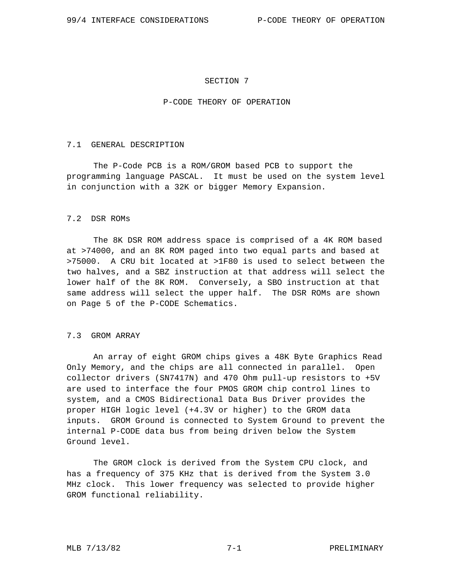## SECTION 7

## P-CODE THEORY OF OPERATION

## 7.1 GENERAL DESCRIPTION

The P-Code PCB is a ROM/GROM based PCB to support the programming language PASCAL. It must be used on the system level in conjunction with a 32K or bigger Memory Expansion.

## 7.2 DSR ROMs

The 8K DSR ROM address space is comprised of a 4K ROM based at >74000, and an 8K ROM paged into two equal parts and based at >75000. A CRU bit located at >1F80 is used to select between the two halves, and a SBZ instruction at that address will select the lower half of the 8K ROM. Conversely, a SBO instruction at that same address will select the upper half. The DSR ROMs are shown on Page 5 of the P-CODE Schematics.

## 7.3 GROM ARRAY

An array of eight GROM chips gives a 48K Byte Graphics Read Only Memory, and the chips are all connected in parallel. Open collector drivers (SN7417N) and 470 Ohm pull-up resistors to +5V are used to interface the four PMOS GROM chip control lines to system, and a CMOS Bidirectional Data Bus Driver provides the proper HIGH logic level (+4.3V or higher) to the GROM data inputs. GROM Ground is connected to System Ground to prevent the internal P-CODE data bus from being driven below the System Ground level.

The GROM clock is derived from the System CPU clock, and has a frequency of 375 KHz that is derived from the System 3.0 MHz clock. This lower frequency was selected to provide higher GROM functional reliability.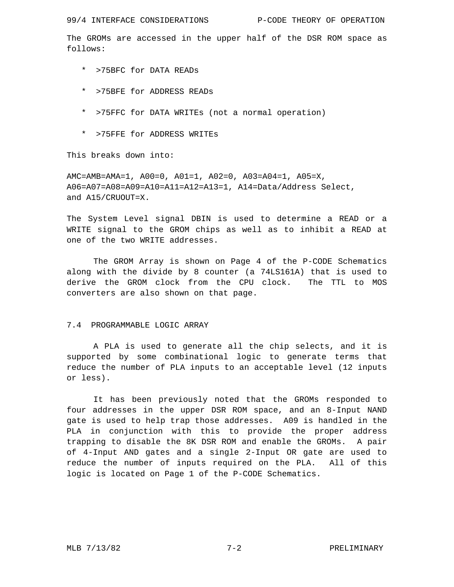The GROMs are accessed in the upper half of the DSR ROM space as follows:

- \* >75BFC for DATA READs
- \* >75BFE for ADDRESS READs
- \* >75FFC for DATA WRITEs (not a normal operation)
- \* >75FFE for ADDRESS WRITEs

This breaks down into:

AMC=AMB=AMA=1, A00=0, A01=1, A02=0, A03=A04=1, A05=X, A06=A07=A08=A09=A10=A11=A12=A13=1, A14=Data/Address Select, and A15/CRUOUT=X.

The System Level signal DBIN is used to determine a READ or a WRITE signal to the GROM chips as well as to inhibit a READ at one of the two WRITE addresses.

The GROM Array is shown on Page 4 of the P-CODE Schematics along with the divide by 8 counter (a 74LS161A) that is used to derive the GROM clock from the CPU clock. The TTL to MOS converters are also shown on that page.

#### 7.4 PROGRAMMABLE LOGIC ARRAY

A PLA is used to generate all the chip selects, and it is supported by some combinational logic to generate terms that reduce the number of PLA inputs to an acceptable level (12 inputs or less).

It has been previously noted that the GROMs responded to four addresses in the upper DSR ROM space, and an 8-Input NAND gate is used to help trap those addresses. A09 is handled in the PLA in conjunction with this to provide the proper address trapping to disable the 8K DSR ROM and enable the GROMs. A pair of 4-Input AND gates and a single 2-Input OR gate are used to reduce the number of inputs required on the PLA. All of this logic is located on Page 1 of the P-CODE Schematics.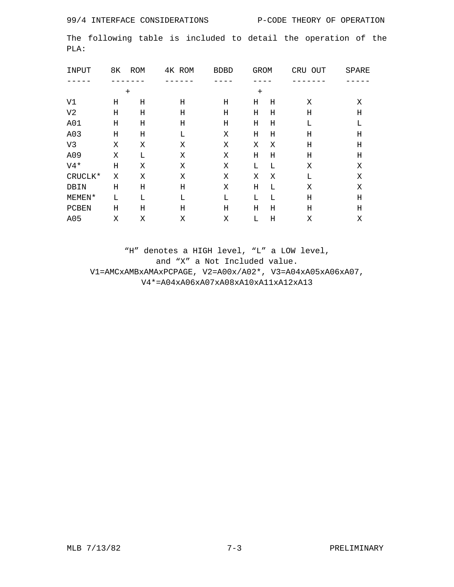The following table is included to detail the operation of the PLA:

| INPUT          | 8K | <b>ROM</b> | 4K ROM | <b>BDBD</b> | <b>GROM</b> |   | CRU OUT | SPARE |
|----------------|----|------------|--------|-------------|-------------|---|---------|-------|
|                |    |            |        |             |             |   |         |       |
|                |    | $^{+}$     |        |             | $+$         |   |         |       |
| V1             | Η  | Η          | Η      | Η           | Η           | H | Χ       | Χ     |
| V <sub>2</sub> | Η  | Η          | Η      | Η           | H           | H | Η       | H     |
| A01            | Η  | Η          | Η      | Η           | H           | H | Г       | L     |
| A03            | Η  | Η          | L      | X           | Η           | Η | Η       | Η     |
| V <sub>3</sub> | Χ  | X          | Χ      | X           | X           | X | Η       | Η     |
| A09            | X  | L          | X      | X           | Η           | Η | Η       | Η     |
| $V4*$          | Η  | Χ          | Χ      | X           | L           | L | Χ       | Χ     |
| CRUCLK*        | X  | Χ          | X      | X           | X           | Χ | L       | Χ     |
| DBIN           | Η  | Η          | Η      | Χ           | Η           | L | Χ       | Χ     |
| MEMEN*         | L  | L          | L      | L           | L           | L | Η       | Η     |
| <b>PCBEN</b>   | Η  | Η          | Η      | Η           | Η           | Η | Η       | Η     |
| A05            | X  | Χ          | X      | X           | L           | Η | X       | X     |

"H" denotes a HIGH level, "L" a LOW level, and "X" a Not Included value. V1=AMCxAMBxAMAxPCPAGE, V2=A00x/A02\*, V3=A04xA05xA06xA07, V4\*=A04xA06xA07xA08xA10xA11xA12xA13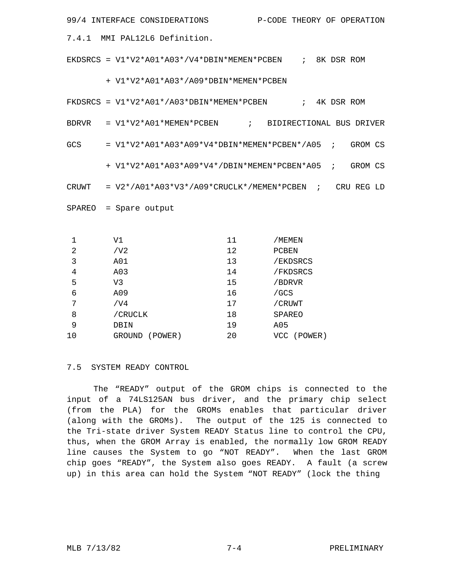99/4 INTERFACE CONSIDERATIONS P-CODE THEORY OF OPERATION 7.4.1 MMI PAL12L6 Definition. EKDSRCS = V1\*V2\*A01\*A03\*/V4\*DBIN\*MEMEN\*PCBEN ; 8K DSR ROM + V1\*V2\*A01\*A03\*/A09\*DBIN\*MEMEN\*PCBEN FKDSRCS = V1\*V2\*A01\*/A03\*DBIN\*MEMEN\*PCBEN ; 4K DSR ROM BDRVR = V1\*V2\*A01\*MEMEN\*PCBEN ; BIDIRECTIONAL BUS DRIVER GCS  $= V1*V2*A01*A03*A09*V4*bBIN*MEMEN*PCBEN*/A05 ;$  GROM CS + V1\*V2\*A01\*A03\*A09\*V4\*/DBIN\*MEMEN\*PCBEN\*A05 ; GROM CS CRUWT =  $V2*/A01*A03*V3*/A09*CRUCLK*/MEMENT*PCBEN ; CRU REG LD$ SPAREO = Spare output

|    | V1                | 11 | /MEMEN       |
|----|-------------------|----|--------------|
| 2  | /V2               | 12 | <b>PCBEN</b> |
| 3  | A01               | 13 | /EKDSRCS     |
| 4  | A03               | 14 | /FKDSRCS     |
| 5  | V <sub>3</sub>    | 15 | /BDRVR       |
| 6  | A09               | 16 | /GCS         |
| 7  | /V4               | 17 | /CRUWT       |
| 8  | / CRUCLK          | 18 | SPAREO       |
| 9  | DBIN              | 19 | A05          |
| 10 | (POWER)<br>GROUND | 20 | VCC (POWER)  |
|    |                   |    |              |

# 7.5 SYSTEM READY CONTROL

The "READY" output of the GROM chips is connected to the input of a 74LS125AN bus driver, and the primary chip select (from the PLA) for the GROMs enables that particular driver (along with the GROMs). The output of the 125 is connected to the Tri-state driver System READY Status line to control the CPU, thus, when the GROM Array is enabled, the normally low GROM READY line causes the System to go "NOT READY". When the last GROM chip goes "READY", the System also goes READY. A fault (a screw up) in this area can hold the System "NOT READY" (lock the thing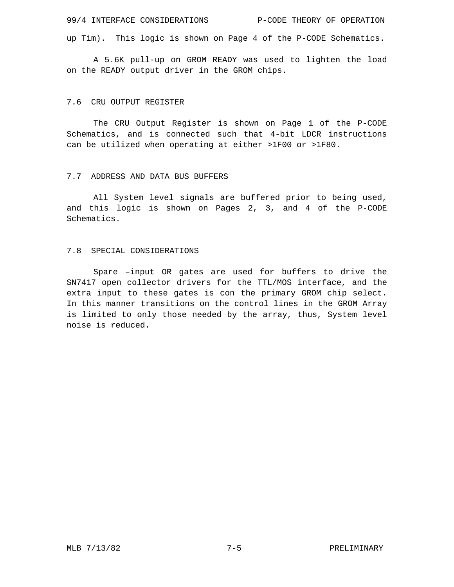up Tim). This logic is shown on Page 4 of the P-CODE Schematics.

A 5.6K pull-up on GROM READY was used to lighten the load on the READY output driver in the GROM chips.

## 7.6 CRU OUTPUT REGISTER

The CRU Output Register is shown on Page 1 of the P-CODE Schematics, and is connected such that 4-bit LDCR instructions can be utilized when operating at either >1F00 or >1F80.

## 7.7 ADDRESS AND DATA BUS BUFFERS

All System level signals are buffered prior to being used, and this logic is shown on Pages 2, 3, and 4 of the P-CODE Schematics.

## 7.8 SPECIAL CONSIDERATIONS

Spare –input OR gates are used for buffers to drive the SN7417 open collector drivers for the TTL/MOS interface, and the extra input to these gates is con the primary GROM chip select. In this manner transitions on the control lines in the GROM Array is limited to only those needed by the array, thus, System level noise is reduced.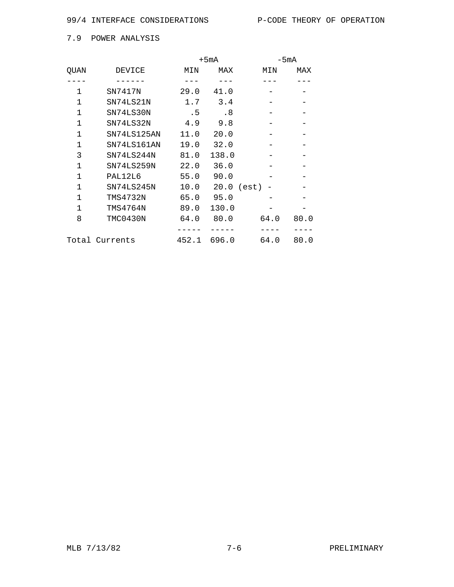# 7.9 POWER ANALYSIS

|      |                 |      | $+5mA$                      | – 5mA        |      |  |  |
|------|-----------------|------|-----------------------------|--------------|------|--|--|
| QUAN | DEVICE          | MIN  | MAX                         | MIN          | MAX  |  |  |
|      |                 |      |                             |              |      |  |  |
| 1    | SN7417N         | 29.0 | 41.0                        |              |      |  |  |
| 1    | SN74LS21N       | 1.7  | 3.4                         |              |      |  |  |
| 1    | SN74LS30N       | .5   | $\overline{\phantom{0}}$ .8 |              |      |  |  |
| 1    | SN74LS32N       | 4.9  | 9.8                         |              |      |  |  |
| 1    | SN74LS125AN     | 11.0 | 20.0                        |              |      |  |  |
| 1    | SN74LS161AN     | 19.0 | 32.0                        |              |      |  |  |
| 3    | SN74LS244N      | 81.0 | 138.0                       |              |      |  |  |
| 1    | SN74LS259N      | 22.0 | 36.0                        |              |      |  |  |
| 1    | PAL12L6         | 55.0 | 90.0                        |              |      |  |  |
| 1    | SN74LS245N      | 10.0 |                             | $20.0$ (est) |      |  |  |
| 1    | <b>TMS4732N</b> | 65.0 | 95.0                        |              |      |  |  |
| 1    | TMS4764N        | 89.0 | 130.0                       |              |      |  |  |
| 8    | TMC0430N        | 64.0 | 80.0                        | 64.0         | 80.0 |  |  |
|      |                 |      |                             |              |      |  |  |
|      | Total Currents  |      | 452.1 696.0                 | 64.0         | 80.0 |  |  |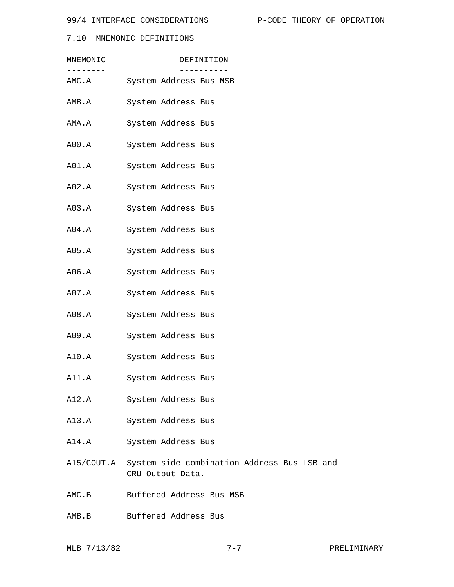# 7.10 MNEMONIC DEFINITIONS

| MNEMONIC   | DEFINITION                                                      |
|------------|-----------------------------------------------------------------|
| AMC.A      | System Address Bus MSB                                          |
| AMB.A      | System Address Bus                                              |
| AMA.A      | System Address Bus                                              |
| A00.A      | System Address Bus                                              |
| A01.A      | System Address Bus                                              |
| A02.A      | System Address Bus                                              |
| A03.A      | System Address Bus                                              |
| A04.A      | System Address Bus                                              |
| A05.A      | System Address Bus                                              |
| A06.A      | System Address Bus                                              |
| A07.A      | System Address Bus                                              |
| A08.A      | System Address Bus                                              |
| A09.A      | System Address Bus                                              |
| A10.A      | System Address Bus                                              |
| A11.A      | System Address Bus                                              |
| A12.A      | System Address Bus                                              |
| A13.A      | System Address Bus                                              |
| A14.A      | System Address Bus                                              |
| A15/COUT.A | System side combination Address Bus LSB and<br>CRU Output Data. |
| AMC.B      | Buffered Address Bus MSB                                        |
| AMB.B      | Buffered Address Bus                                            |

MLB  $7/13/82$  7-7 PRELIMINARY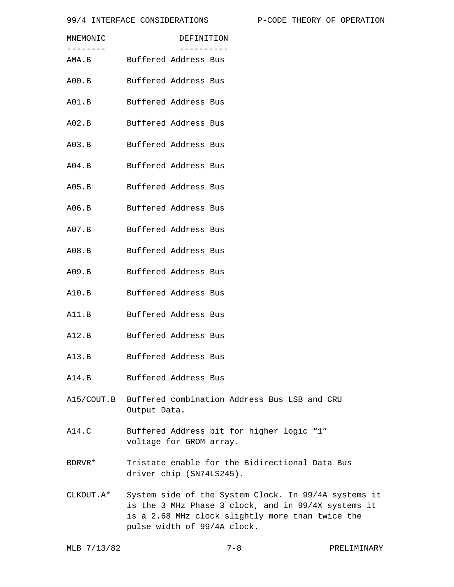| MNEMONIC   | DEFINITION                                                                                                 |
|------------|------------------------------------------------------------------------------------------------------------|
|            | AMA.B Buffered Address Bus                                                                                 |
|            | A00.B Buffered Address Bus                                                                                 |
| A01.B      | Buffered Address Bus                                                                                       |
|            | A02.B Buffered Address Bus                                                                                 |
|            | A03.B Buffered Address Bus                                                                                 |
|            | A04.B Buffered Address Bus                                                                                 |
|            | A05.B Buffered Address Bus                                                                                 |
| A06.B      | Buffered Address Bus                                                                                       |
|            | A07.B Buffered Address Bus                                                                                 |
|            | A08.B Buffered Address Bus                                                                                 |
|            | A09.B Buffered Address Bus                                                                                 |
| A10.B      | Buffered Address Bus                                                                                       |
| A11.B      | Buffered Address Bus                                                                                       |
|            | A12.B Buffered Address Bus                                                                                 |
|            | A13.B Buffered Address Bus                                                                                 |
| A14.B      | Buffered Address Bus                                                                                       |
| A15/COUT.B | Buffered combination Address Bus LSB and CRU<br>Output Data.                                               |
| A14.C      | Buffered Address bit for higher logic "1"<br>voltage for GROM array.                                       |
| BDRVR*     | Tristate enable for the Bidirectional Data Bus<br>driver chip (SN74LS245).                                 |
| CLKOUT.A*  | System side of the System Clock. In 99/4A systems i<br>is the 3 MHz Phase 3 clock, and in 99/4X systems it |

MLB  $7/13/82$  7-8 PRELIMINARY

pulse width of 99/4A clock.

is a 2.68 MHz clock slightly more than twice the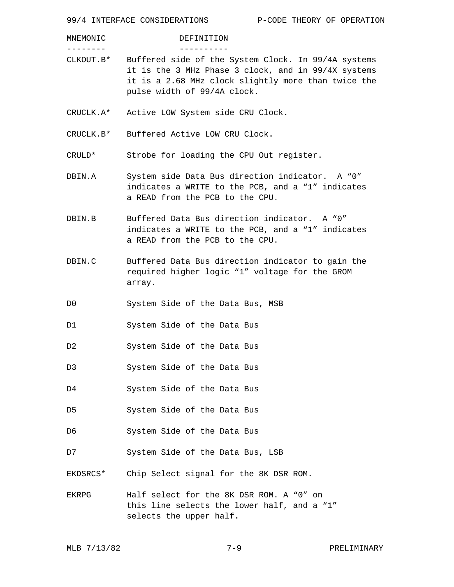MNEMONIC DEFINITION

-------- ----------

- CLKOUT.B\* Buffered side of the System Clock. In 99/4A systems it is the 3 MHz Phase 3 clock, and in 99/4X systems it is a 2.68 MHz clock slightly more than twice the pulse width of 99/4A clock.
- CRUCLK.A\* Active LOW System side CRU Clock.
- CRUCLK.B\* Buffered Active LOW CRU Clock.

CRULD\* Strobe for loading the CPU Out register.

- DBIN.A System side Data Bus direction indicator. A "0" indicates a WRITE to the PCB, and a "1" indicates a READ from the PCB to the CPU.
- DBIN.B Buffered Data Bus direction indicator. A "0" indicates a WRITE to the PCB, and a "1" indicates a READ from the PCB to the CPU.
- DBIN.C Buffered Data Bus direction indicator to gain the required higher logic "1" voltage for the GROM array.
- D0 System Side of the Data Bus, MSB
- D1 System Side of the Data Bus
- D2 System Side of the Data Bus
- D3 System Side of the Data Bus
- D4 System Side of the Data Bus
- D5 System Side of the Data Bus
- D6 System Side of the Data Bus
- D7 System Side of the Data Bus, LSB
- EKDSRCS\* Chip Select signal for the 8K DSR ROM.
- EKRPG Half select for the 8K DSR ROM. A "0" on this line selects the lower half, and a "1" selects the upper half.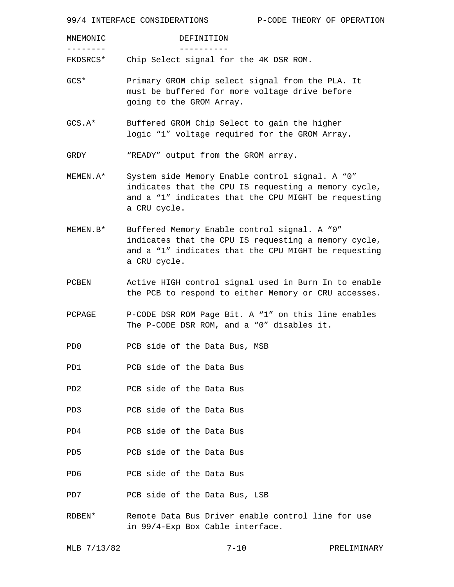MNEMONIC DEFINITION -------- ---------- FKDSRCS\* Chip Select signal for the 4K DSR ROM.

GCS\* Primary GROM chip select signal from the PLA. It must be buffered for more voltage drive before going to the GROM Array.

GCS.A\* Buffered GROM Chip Select to gain the higher logic "1" voltage required for the GROM Array.

GRDY "READY" output from the GROM array.

- MEMEN.A\* System side Memory Enable control signal. A "0" indicates that the CPU IS requesting a memory cycle, and a "1" indicates that the CPU MIGHT be requesting a CRU cycle.
- MEMEN.B\* Buffered Memory Enable control signal. A "0" indicates that the CPU IS requesting a memory cycle, and a "1" indicates that the CPU MIGHT be requesting a CRU cycle.
- PCBEN Active HIGH control signal used in Burn In to enable the PCB to respond to either Memory or CRU accesses.
- PCPAGE P-CODE DSR ROM Page Bit. A "1" on this line enables The P-CODE DSR ROM, and a "0" disables it.
- PD0 PCB side of the Data Bus, MSB
- PD1 PCB side of the Data Bus
- PD2 PCB side of the Data Bus
- PD3 PCB side of the Data Bus
- PD4 PCB side of the Data Bus
- PD5 PCB side of the Data Bus
- PD6 PCB side of the Data Bus
- PD7 PCB side of the Data Bus, LSB
- RDBEN\* Remote Data Bus Driver enable control line for use in 99/4-Exp Box Cable interface.

MLB  $7/13/82$  7-10 PRELIMINARY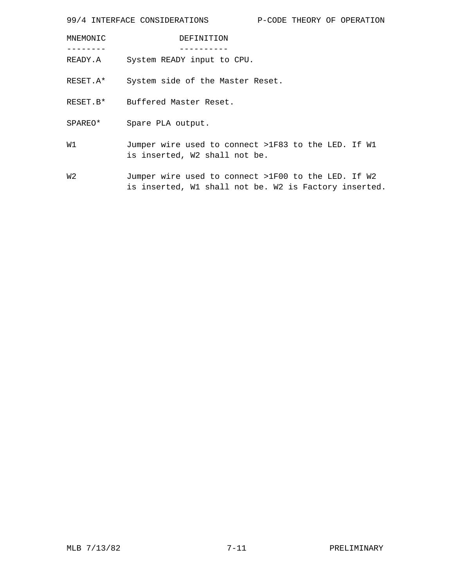MNEMONIC DEFINITION

-------- ----------

READY.A System READY input to CPU.

RESET.A\* System side of the Master Reset.

RESET.B\* Buffered Master Reset.

SPAREO\* Spare PLA output.

W1 Jumper wire used to connect >1F83 to the LED. If W1 is inserted, W2 shall not be.

W2 Jumper wire used to connect >1F00 to the LED. If W2 is inserted, W1 shall not be. W2 is Factory inserted.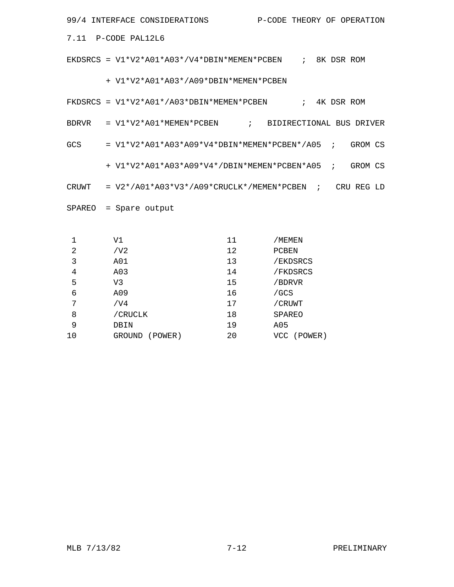7.11 P-CODE PAL12L6

EKDSRCS = V1\*V2\*A01\*A03\*/V4\*DBIN\*MEMEN\*PCBEN ; 8K DSR ROM

## + V1\*V2\*A01\*A03\*/A09\*DBIN\*MEMEN\*PCBEN

|       | $FKDSRCS = VI*V2*A01*/A03*DBIN*MEMEN*PCBEN$       |              |                          |  | 4K DSR ROM |            |  |
|-------|---------------------------------------------------|--------------|--------------------------|--|------------|------------|--|
| BDRVR | $= V1*V2*A01*MEMEN*PCBEN$                         | $\mathbf{r}$ | BIDIRECTIONAL BUS DRIVER |  |            |            |  |
| GCS   | $= V1*V2*A01*A03*A09*V4*DBIN*MEMEN*PCBEN* /A05 ;$ |              |                          |  |            | GROM CS    |  |
|       | + V1*V2*A01*A03*A09*V4*/DBIN*MEMEN*PCBEN*A05      |              |                          |  | $\cdot$ :  | GROM CS    |  |
| CRUWT | $= V2*/A01*A03*V3*/A09*CRUCLK*/MEMENT*PCBEN$      |              |                          |  |            | CRU REG LD |  |
|       |                                                   |              |                          |  |            |            |  |

SPAREO = Spare output

|    | V1                | 11 | /MEMEN       |
|----|-------------------|----|--------------|
| 2  | /V2               | 12 | <b>PCBEN</b> |
| 3  | A01               | 13 | /EKDSRCS     |
| 4  | A03               | 14 | /FKDSRCS     |
| 5  | V <sub>3</sub>    | 15 | /BDRVR       |
| 6  | A09               | 16 | /GCS         |
| 7  | /V4               | 17 | /CRUWT       |
| 8  | / CRUCLK          | 18 | SPAREO       |
| 9  | DBIN              | 19 | A05          |
| 10 | (POWER)<br>GROUND | 20 | VCC (POWER)  |
|    |                   |    |              |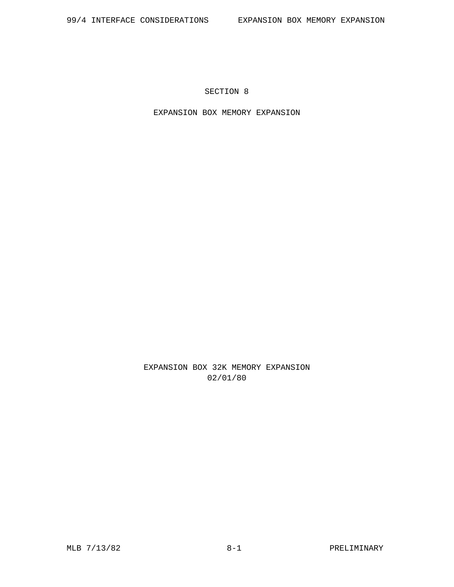SECTION 8

EXPANSION BOX MEMORY EXPANSION

EXPANSION BOX 32K MEMORY EXPANSION 02/01/80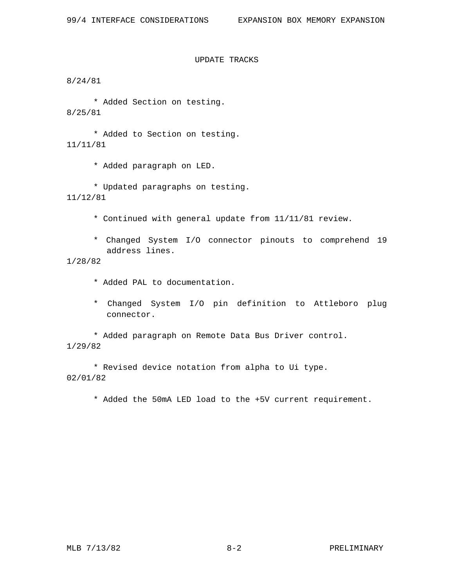## UPDATE TRACKS

8/24/81

\* Added Section on testing. 8/25/81

\* Added to Section on testing. 11/11/81

\* Added paragraph on LED.

\* Updated paragraphs on testing. 11/12/81

\* Continued with general update from 11/11/81 review.

\* Changed System I/O connector pinouts to comprehend 19 address lines.

1/28/82

- \* Added PAL to documentation.
- \* Changed System I/O pin definition to Attleboro plug connector.

\* Added paragraph on Remote Data Bus Driver control. 1/29/82

\* Revised device notation from alpha to Ui type. 02/01/82

\* Added the 50mA LED load to the +5V current requirement.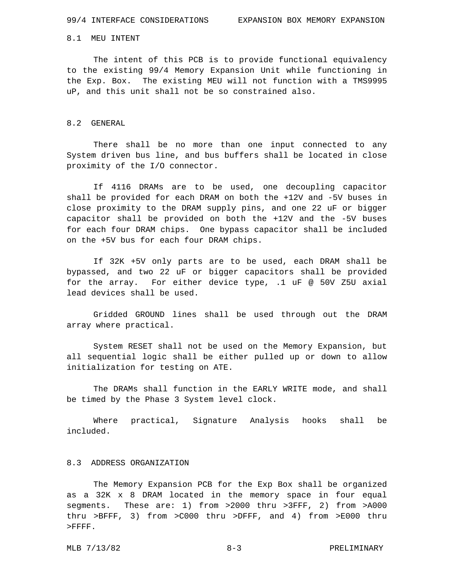# 99/4 INTERFACE CONSIDERATIONS EXPANSION BOX MEMORY EXPANSION

# 8.1 MEU INTENT

The intent of this PCB is to provide functional equivalency to the existing 99/4 Memory Expansion Unit while functioning in the Exp. Box. The existing MEU will not function with a TMS9995 uP, and this unit shall not be so constrained also.

## 8.2 GENERAL

There shall be no more than one input connected to any System driven bus line, and bus buffers shall be located in close proximity of the I/O connector.

If 4116 DRAMs are to be used, one decoupling capacitor shall be provided for each DRAM on both the +12V and -5V buses in close proximity to the DRAM supply pins, and one 22 uF or bigger capacitor shall be provided on both the +12V and the -5V buses for each four DRAM chips. One bypass capacitor shall be included on the +5V bus for each four DRAM chips.

If 32K +5V only parts are to be used, each DRAM shall be bypassed, and two 22 uF or bigger capacitors shall be provided for the array. For either device type, .1 uF @ 50V Z5U axial lead devices shall be used.

Gridded GROUND lines shall be used through out the DRAM array where practical.

System RESET shall not be used on the Memory Expansion, but all sequential logic shall be either pulled up or down to allow initialization for testing on ATE.

The DRAMs shall function in the EARLY WRITE mode, and shall be timed by the Phase 3 System level clock.

Where practical, Signature Analysis hooks shall be included.

## 8.3 ADDRESS ORGANIZATION

The Memory Expansion PCB for the Exp Box shall be organized as a 32K x 8 DRAM located in the memory space in four equal segments. These are: 1) from >2000 thru >3FFF, 2) from >A000 thru >BFFF, 3) from >C000 thru >DFFF, and 4) from >E000 thru >FFFF.

MLB  $7/13/82$  8-3 PRELIMINARY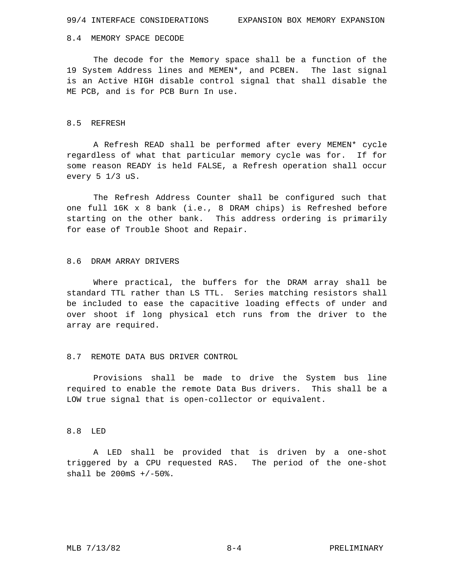# 8.4 MEMORY SPACE DECODE

The decode for the Memory space shall be a function of the 19 System Address lines and MEMEN\*, and PCBEN. The last signal is an Active HIGH disable control signal that shall disable the ME PCB, and is for PCB Burn In use.

## 8.5 REFRESH

A Refresh READ shall be performed after every MEMEN\* cycle regardless of what that particular memory cycle was for. If for some reason READY is held FALSE, a Refresh operation shall occur every 5 1/3 uS.

The Refresh Address Counter shall be configured such that one full 16K x 8 bank (i.e., 8 DRAM chips) is Refreshed before starting on the other bank. This address ordering is primarily for ease of Trouble Shoot and Repair.

# 8.6 DRAM ARRAY DRIVERS

Where practical, the buffers for the DRAM array shall be standard TTL rather than LS TTL. Series matching resistors shall be included to ease the capacitive loading effects of under and over shoot if long physical etch runs from the driver to the array are required.

## 8.7 REMOTE DATA BUS DRIVER CONTROL

Provisions shall be made to drive the System bus line required to enable the remote Data Bus drivers. This shall be a LOW true signal that is open-collector or equivalent.

## 8.8 LED

A LED shall be provided that is driven by a one-shot triggered by a CPU requested RAS. The period of the one-shot shall be 200mS +/-50%.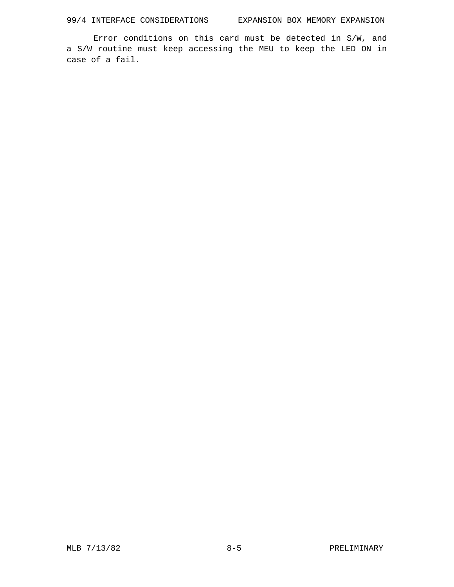Error conditions on this card must be detected in S/W, and a S/W routine must keep accessing the MEU to keep the LED ON in case of a fail.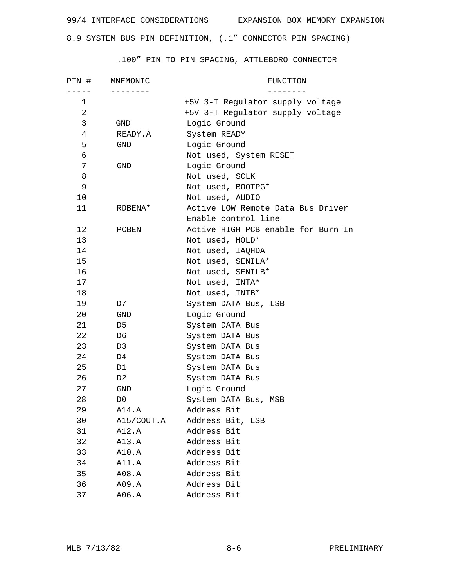8.9 SYSTEM BUS PIN DEFINITION, (.1" CONNECTOR PIN SPACING)

.100" PIN TO PIN SPACING, ATTLEBORO CONNECTOR

| PIN # | MNEMONIC       | FUNCTION                           |  |
|-------|----------------|------------------------------------|--|
| 1     |                | +5V 3-T Regulator supply voltage   |  |
| 2     |                | +5V 3-T Regulator supply voltage   |  |
| 3     | <b>GND</b>     | Logic Ground                       |  |
| 4     | READY.A        | System READY                       |  |
| 5     | GND            | Logic Ground                       |  |
| 6     |                | Not used, System RESET             |  |
| 7     | GND            | Logic Ground                       |  |
| 8     |                | Not used, SCLK                     |  |
| 9     |                | Not used, BOOTPG*                  |  |
| 10    |                | Not used, AUDIO                    |  |
| 11    | RDBENA*        | Active LOW Remote Data Bus Driver  |  |
|       |                | Enable control line                |  |
| 12    | PCBEN          | Active HIGH PCB enable for Burn In |  |
| 13    |                | Not used, HOLD*                    |  |
| 14    |                | Not used, IAQHDA                   |  |
| 15    |                | Not used, SENILA*                  |  |
| 16    |                | Not used, SENILB*                  |  |
| 17    |                | Not used, INTA*                    |  |
| 18    |                | Not used, INTB*                    |  |
| 19    | D7             | System DATA Bus, LSB               |  |
| 20    | GND            | Logic Ground                       |  |
| 21    | D <sub>5</sub> | System DATA Bus                    |  |
| 22    | D6             | System DATA Bus                    |  |
| 23    | D3             | System DATA Bus                    |  |
| 24    | D4             | System DATA Bus                    |  |
| 25    | D1             | System DATA Bus                    |  |
| 26    | D <sub>2</sub> | System DATA Bus                    |  |
| 27    | GND            | Logic Ground                       |  |
| 28    | D <sub>0</sub> | System DATA Bus, MSB               |  |
| 29    | A14.A          | Address Bit                        |  |
| 30    | A15/COUT.A     | Address Bit, LSB                   |  |
| 31    | A12.A          | Address Bit                        |  |
| 32    | A13.A          | Address Bit                        |  |
| 33    | A10.A          | Address Bit                        |  |
| 34    | A11.A          | Address Bit                        |  |
| 35    | A08.A          | Address Bit                        |  |
| 36    | A09.A          | Address Bit                        |  |
| 37    | A06.A          | Address Bit                        |  |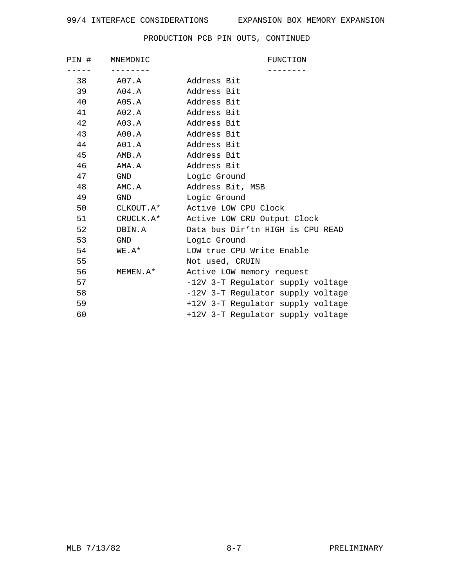# PRODUCTION PCB PIN OUTS, CONTINUED

|        | FUNCTION                                                                                                                                                               |
|--------|------------------------------------------------------------------------------------------------------------------------------------------------------------------------|
|        |                                                                                                                                                                        |
|        | Address Bit                                                                                                                                                            |
|        | Address Bit                                                                                                                                                            |
|        | Address Bit                                                                                                                                                            |
|        | Address Bit                                                                                                                                                            |
|        | Address Bit                                                                                                                                                            |
|        | Address Bit                                                                                                                                                            |
|        | Address Bit                                                                                                                                                            |
| AMB.A  | Address Bit                                                                                                                                                            |
| AMA.A  | Address Bit                                                                                                                                                            |
| GND    | Logic Ground                                                                                                                                                           |
| AMC.A  | Address Bit, MSB                                                                                                                                                       |
| GND    | Logic Ground                                                                                                                                                           |
|        | 50 CLKOUT.A* Active LOW CPU Clock                                                                                                                                      |
|        | Active LOW CRU Output Clock                                                                                                                                            |
| DBIN.A | Data bus Dir'tn HIGH is CPU READ                                                                                                                                       |
| GND    | Logic Ground                                                                                                                                                           |
|        | LOW true CPU Write Enable                                                                                                                                              |
|        | Not used, CRUIN                                                                                                                                                        |
|        | Active LOW memory request                                                                                                                                              |
|        | -12V 3-T Regulator supply voltage                                                                                                                                      |
|        | -12V 3-T Regulator supply voltage                                                                                                                                      |
|        | +12V 3-T Regulator supply voltage                                                                                                                                      |
|        | +12V 3-T Regulator supply voltage                                                                                                                                      |
|        | PIN # MNEMONIC<br>38 A07.A<br>39 A04.A<br>40 A05.A<br>41 A02.A<br>42 A03.A<br>43 A00.A<br>44 A01.A<br>46 — 10<br>51 CRUCLK.A*<br>52 and $\sim$<br>WE.A*<br>56 MEMEN.A* |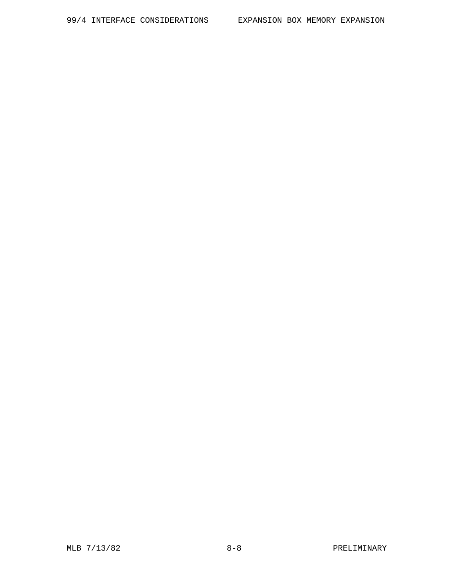MLB  $7/13/82$  8-8 PRELIMINARY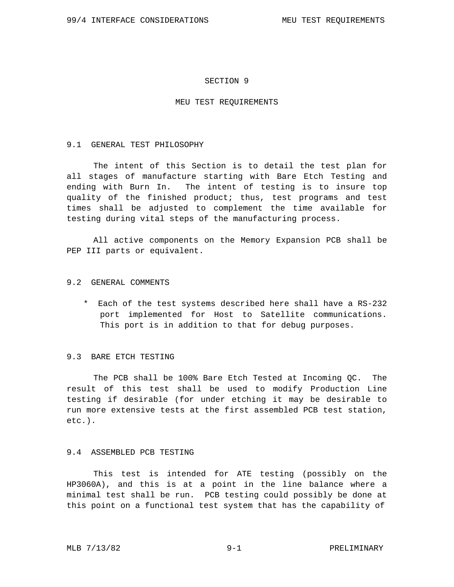## SECTION 9

## MEU TEST REQUIREMENTS

## 9.1 GENERAL TEST PHILOSOPHY

The intent of this Section is to detail the test plan for all stages of manufacture starting with Bare Etch Testing and ending with Burn In. The intent of testing is to insure top quality of the finished product; thus, test programs and test times shall be adjusted to complement the time available for testing during vital steps of the manufacturing process.

All active components on the Memory Expansion PCB shall be PEP III parts or equivalent.

## 9.2 GENERAL COMMENTS

\* Each of the test systems described here shall have a RS-232 port implemented for Host to Satellite communications. This port is in addition to that for debug purposes.

## 9.3 BARE ETCH TESTING

The PCB shall be 100% Bare Etch Tested at Incoming QC. The result of this test shall be used to modify Production Line testing if desirable (for under etching it may be desirable to run more extensive tests at the first assembled PCB test station, etc.).

## 9.4 ASSEMBLED PCB TESTING

This test is intended for ATE testing (possibly on the HP3060A), and this is at a point in the line balance where a minimal test shall be run. PCB testing could possibly be done at this point on a functional test system that has the capability of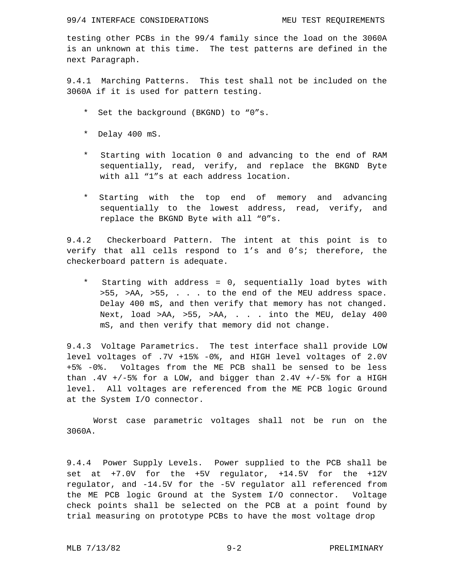## 99/4 INTERFACE CONSIDERATIONS MEU TEST REQUIREMENTS

testing other PCBs in the 99/4 family since the load on the 3060A is an unknown at this time. The test patterns are defined in the next Paragraph.

9.4.1 Marching Patterns. This test shall not be included on the 3060A if it is used for pattern testing.

- \* Set the background (BKGND) to "0"s.
- \* Delay 400 mS.
- \* Starting with location 0 and advancing to the end of RAM sequentially, read, verify, and replace the BKGND Byte with all "1"s at each address location.
- \* Starting with the top end of memory and advancing sequentially to the lowest address, read, verify, and replace the BKGND Byte with all "0"s.

9.4.2 Checkerboard Pattern. The intent at this point is to verify that all cells respond to 1's and 0's; therefore, the checkerboard pattern is adequate.

\* Starting with address = 0, sequentially load bytes with >55, >AA, >55, . . . to the end of the MEU address space. Delay 400 mS, and then verify that memory has not changed. Next, load >AA, >55, >AA, . . . into the MEU, delay 400 mS, and then verify that memory did not change.

9.4.3 Voltage Parametrics. The test interface shall provide LOW level voltages of .7V +15% -0%, and HIGH level voltages of 2.0V +5% -0%. Voltages from the ME PCB shall be sensed to be less than  $.4V$  +/-5% for a LOW, and bigger than 2.4V +/-5% for a HIGH level. All voltages are referenced from the ME PCB logic Ground at the System I/O connector.

Worst case parametric voltages shall not be run on the 3060A.

9.4.4 Power Supply Levels. Power supplied to the PCB shall be set at +7.0V for the +5V regulator, +14.5V for the +12V regulator, and -14.5V for the -5V regulator all referenced from the ME PCB logic Ground at the System I/O connector. Voltage check points shall be selected on the PCB at a point found by trial measuring on prototype PCBs to have the most voltage drop

MLB  $7/13/82$  9-2 PRELIMINARY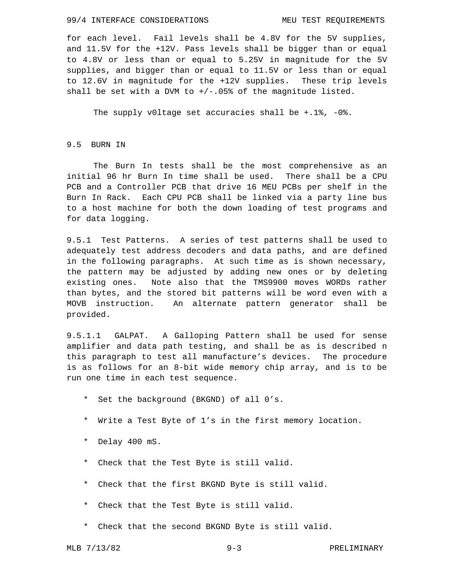## 99/4 INTERFACE CONSIDERATIONS MEU TEST REQUIREMENTS

for each level. Fail levels shall be 4.8V for the 5V supplies, and 11.5V for the +12V. Pass levels shall be bigger than or equal to 4.8V or less than or equal to 5.25V in magnitude for the 5V supplies, and bigger than or equal to 11.5V or less than or equal to 12.6V in magnitude for the +12V supplies. These trip levels shall be set with a DVM to  $+/-.05$ % of the magnitude listed.

The supply v0ltage set accuracies shall be  $+.1\%$ ,  $-0\%$ .

#### 9.5 BURN IN

The Burn In tests shall be the most comprehensive as an initial 96 hr Burn In time shall be used. There shall be a CPU PCB and a Controller PCB that drive 16 MEU PCBs per shelf in the Burn In Rack. Each CPU PCB shall be linked via a party line bus to a host machine for both the down loading of test programs and for data logging.

9.5.1 Test Patterns. A series of test patterns shall be used to adequately test address decoders and data paths, and are defined in the following paragraphs. At such time as is shown necessary, the pattern may be adjusted by adding new ones or by deleting existing ones. Note also that the TMS9900 moves WORDs rather than bytes, and the stored bit patterns will be word even with a MOVB instruction. An alternate pattern generator shall be provided.

9.5.1.1 GALPAT. A Galloping Pattern shall be used for sense amplifier and data path testing, and shall be as is described n this paragraph to test all manufacture's devices. The procedure is as follows for an 8-bit wide memory chip array, and is to be run one time in each test sequence.

- \* Set the background (BKGND) of all 0's.
- \* Write a Test Byte of 1's in the first memory location.
- \* Delay 400 mS.
- \* Check that the Test Byte is still valid.
- \* Check that the first BKGND Byte is still valid.
- \* Check that the Test Byte is still valid.
- \* Check that the second BKGND Byte is still valid.

MLB  $7/13/82$  9-3 PRELIMINARY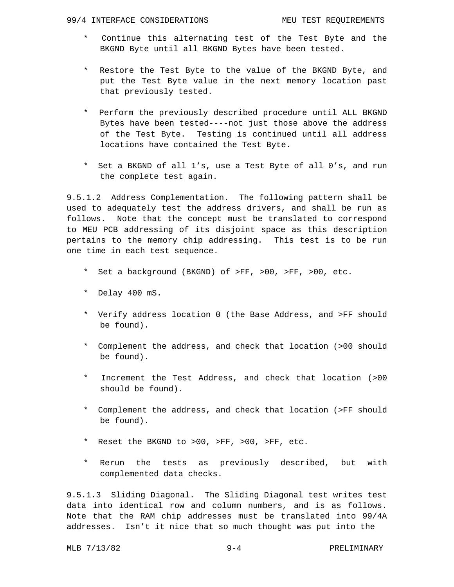# 99/4 INTERFACE CONSIDERATIONS MEU TEST REQUIREMENTS

- \* Continue this alternating test of the Test Byte and the BKGND Byte until all BKGND Bytes have been tested.
- \* Restore the Test Byte to the value of the BKGND Byte, and put the Test Byte value in the next memory location past that previously tested.
- \* Perform the previously described procedure until ALL BKGND Bytes have been tested----not just those above the address of the Test Byte. Testing is continued until all address locations have contained the Test Byte.
- \* Set a BKGND of all 1's, use a Test Byte of all 0's, and run the complete test again.

9.5.1.2 Address Complementation. The following pattern shall be used to adequately test the address drivers, and shall be run as follows. Note that the concept must be translated to correspond to MEU PCB addressing of its disjoint space as this description pertains to the memory chip addressing. This test is to be run one time in each test sequence.

- \* Set a background (BKGND) of >FF, >00, >FF, >00, etc.
- \* Delay 400 mS.
- \* Verify address location 0 (the Base Address, and >FF should be found).
- \* Complement the address, and check that location (>00 should be found).
- Increment the Test Address, and check that location (>00 should be found).
- \* Complement the address, and check that location (>FF should be found).
- \* Reset the BKGND to >00, >FF, >00, >FF, etc.
- \* Rerun the tests as previously described, but with complemented data checks.

9.5.1.3 Sliding Diagonal. The Sliding Diagonal test writes test data into identical row and column numbers, and is as follows. Note that the RAM chip addresses must be translated into 99/4A addresses. Isn't it nice that so much thought was put into the

MLB  $7/13/82$  9-4 PRELIMINARY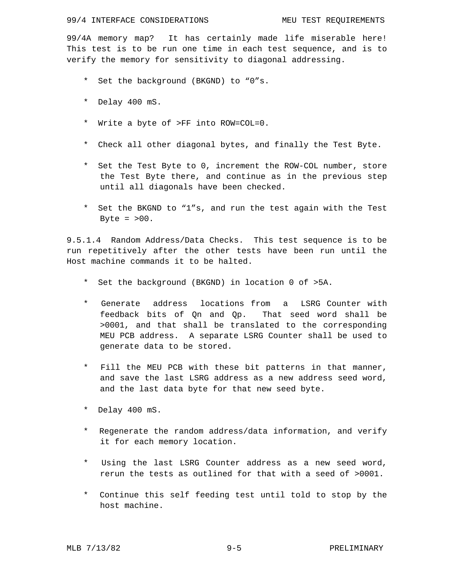99/4A memory map? It has certainly made life miserable here! This test is to be run one time in each test sequence, and is to verify the memory for sensitivity to diagonal addressing.

- \* Set the background (BKGND) to "0"s.
- \* Delay 400 mS.
- \* Write a byte of >FF into ROW=COL=0.
- \* Check all other diagonal bytes, and finally the Test Byte.
- \* Set the Test Byte to 0, increment the ROW-COL number, store the Test Byte there, and continue as in the previous step until all diagonals have been checked.
- \* Set the BKGND to "1"s, and run the test again with the Test Byte =  $>00$ .

9.5.1.4 Random Address/Data Checks. This test sequence is to be run repetitively after the other tests have been run until the Host machine commands it to be halted.

- \* Set the background (BKGND) in location 0 of >5A.
- \* Generate address locations from a LSRG Counter with feedback bits of Qn and Qp. That seed word shall be >0001, and that shall be translated to the corresponding MEU PCB address. A separate LSRG Counter shall be used to generate data to be stored.
- \* Fill the MEU PCB with these bit patterns in that manner, and save the last LSRG address as a new address seed word, and the last data byte for that new seed byte.
- \* Delay 400 mS.
- Regenerate the random address/data information, and verify it for each memory location.
- \* Using the last LSRG Counter address as a new seed word, rerun the tests as outlined for that with a seed of >0001.
- \* Continue this self feeding test until told to stop by the host machine.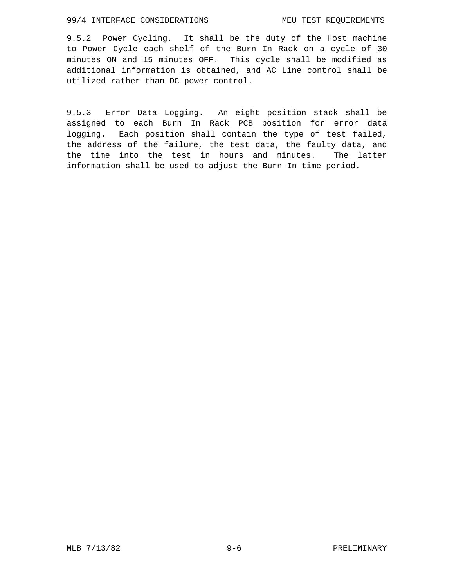### 99/4 INTERFACE CONSIDERATIONS MEU TEST REQUIREMENTS

9.5.2 Power Cycling. It shall be the duty of the Host machine to Power Cycle each shelf of the Burn In Rack on a cycle of 30 minutes ON and 15 minutes OFF. This cycle shall be modified as additional information is obtained, and AC Line control shall be utilized rather than DC power control.

9.5.3 Error Data Logging. An eight position stack shall be assigned to each Burn In Rack PCB position for error data logging. Each position shall contain the type of test failed, the address of the failure, the test data, the faulty data, and the time into the test in hours and minutes. The latter information shall be used to adjust the Burn In time period.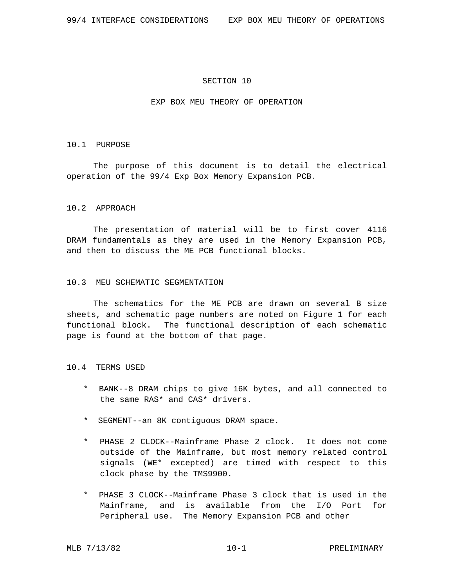#### SECTION 10

#### EXP BOX MEU THEORY OF OPERATION

### 10.1 PURPOSE

The purpose of this document is to detail the electrical operation of the 99/4 Exp Box Memory Expansion PCB.

### 10.2 APPROACH

The presentation of material will be to first cover 4116 DRAM fundamentals as they are used in the Memory Expansion PCB, and then to discuss the ME PCB functional blocks.

#### 10.3 MEU SCHEMATIC SEGMENTATION

The schematics for the ME PCB are drawn on several B size sheets, and schematic page numbers are noted on Figure 1 for each functional block. The functional description of each schematic page is found at the bottom of that page.

10.4 TERMS USED

- \* BANK--8 DRAM chips to give 16K bytes, and all connected to the same RAS\* and CAS\* drivers.
- \* SEGMENT--an 8K contiguous DRAM space.
- \* PHASE 2 CLOCK--Mainframe Phase 2 clock. It does not come outside of the Mainframe, but most memory related control signals (WE\* excepted) are timed with respect to this clock phase by the TMS9900.
- \* PHASE 3 CLOCK--Mainframe Phase 3 clock that is used in the Mainframe, and is available from the I/O Port for Peripheral use. The Memory Expansion PCB and other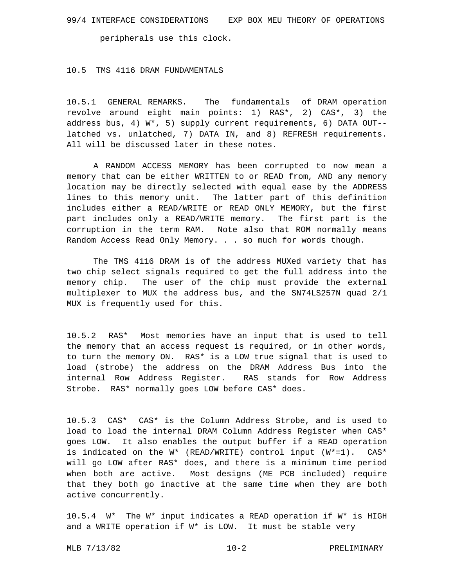peripherals use this clock.

10.5 TMS 4116 DRAM FUNDAMENTALS

10.5.1 GENERAL REMARKS. The fundamentals of DRAM operation revolve around eight main points: 1) RAS\*, 2) CAS\*, 3) the address bus, 4) W\*, 5) supply current requirements, 6) DATA OUT- latched vs. unlatched, 7) DATA IN, and 8) REFRESH requirements. All will be discussed later in these notes.

A RANDOM ACCESS MEMORY has been corrupted to now mean a memory that can be either WRITTEN to or READ from, AND any memory location may be directly selected with equal ease by the ADDRESS lines to this memory unit. The latter part of this definition includes either a READ/WRITE or READ ONLY MEMORY, but the first part includes only a READ/WRITE memory. The first part is the corruption in the term RAM. Note also that ROM normally means Random Access Read Only Memory. . . so much for words though.

The TMS 4116 DRAM is of the address MUXed variety that has two chip select signals required to get the full address into the memory chip. The user of the chip must provide the external multiplexer to MUX the address bus, and the SN74LS257N quad 2/1 MUX is frequently used for this.

10.5.2 RAS\* Most memories have an input that is used to tell the memory that an access request is required, or in other words, to turn the memory ON. RAS\* is a LOW true signal that is used to load (strobe) the address on the DRAM Address Bus into the internal Row Address Register. RAS stands for Row Address Strobe. RAS\* normally goes LOW before CAS\* does.

10.5.3 CAS\* CAS\* is the Column Address Strobe, and is used to load to load the internal DRAM Column Address Register when CAS\* goes LOW. It also enables the output buffer if a READ operation is indicated on the W\* (READ/WRITE) control input (W\*=1). CAS\* will go LOW after RAS\* does, and there is a minimum time period when both are active. Most designs (ME PCB included) require that they both go inactive at the same time when they are both active concurrently.

10.5.4 W\* The W\* input indicates a READ operation if W\* is HIGH and a WRITE operation if W\* is LOW. It must be stable very

MLB  $7/13/82$  10-2 PRELIMINARY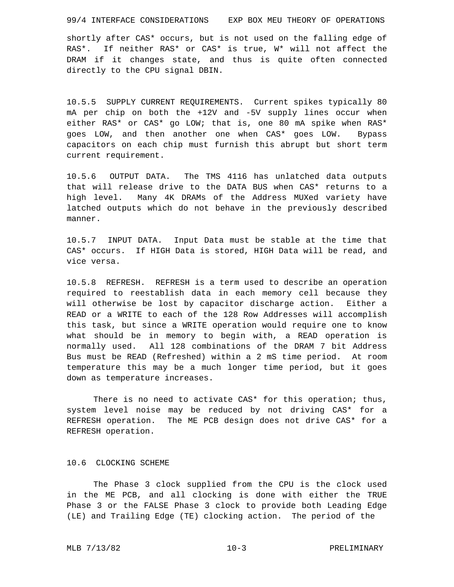shortly after CAS\* occurs, but is not used on the falling edge of RAS\*. If neither RAS\* or CAS\* is true, W\* will not affect the DRAM if it changes state, and thus is quite often connected directly to the CPU signal DBIN.

10.5.5 SUPPLY CURRENT REQUIREMENTS. Current spikes typically 80 mA per chip on both the +12V and -5V supply lines occur when either RAS\* or CAS\* go LOW; that is, one 80 mA spike when RAS\* goes LOW, and then another one when CAS\* goes LOW. Bypass capacitors on each chip must furnish this abrupt but short term current requirement.

10.5.6 OUTPUT DATA. The TMS 4116 has unlatched data outputs that will release drive to the DATA BUS when CAS\* returns to a high level. Many 4K DRAMs of the Address MUXed variety have latched outputs which do not behave in the previously described manner.

10.5.7 INPUT DATA. Input Data must be stable at the time that CAS\* occurs. If HIGH Data is stored, HIGH Data will be read, and vice versa.

10.5.8 REFRESH. REFRESH is a term used to describe an operation required to reestablish data in each memory cell because they will otherwise be lost by capacitor discharge action. Either a READ or a WRITE to each of the 128 Row Addresses will accomplish this task, but since a WRITE operation would require one to know what should be in memory to begin with, a READ operation is normally used. All 128 combinations of the DRAM 7 bit Address Bus must be READ (Refreshed) within a 2 mS time period. At room temperature this may be a much longer time period, but it goes down as temperature increases.

There is no need to activate CAS\* for this operation; thus, system level noise may be reduced by not driving CAS\* for a REFRESH operation. The ME PCB design does not drive CAS\* for a REFRESH operation.

#### 10.6 CLOCKING SCHEME

The Phase 3 clock supplied from the CPU is the clock used in the ME PCB, and all clocking is done with either the TRUE Phase 3 or the FALSE Phase 3 clock to provide both Leading Edge (LE) and Trailing Edge (TE) clocking action. The period of the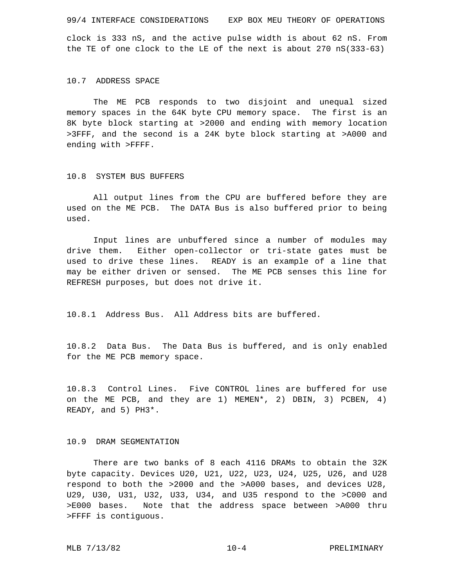clock is 333 nS, and the active pulse width is about 62 nS. From the TE of one clock to the LE of the next is about 270 nS(333-63)

### 10.7 ADDRESS SPACE

The ME PCB responds to two disjoint and unequal sized memory spaces in the 64K byte CPU memory space. The first is an 8K byte block starting at >2000 and ending with memory location >3FFF, and the second is a 24K byte block starting at >A000 and ending with >FFFF.

#### 10.8 SYSTEM BUS BUFFERS

All output lines from the CPU are buffered before they are used on the ME PCB. The DATA Bus is also buffered prior to being used.

Input lines are unbuffered since a number of modules may drive them. Either open-collector or tri-state gates must be used to drive these lines. READY is an example of a line that may be either driven or sensed. The ME PCB senses this line for REFRESH purposes, but does not drive it.

10.8.1 Address Bus. All Address bits are buffered.

10.8.2 Data Bus. The Data Bus is buffered, and is only enabled for the ME PCB memory space.

10.8.3 Control Lines. Five CONTROL lines are buffered for use on the ME PCB, and they are 1) MEMEN\*, 2) DBIN, 3) PCBEN, 4) READY, and 5) PH3\*.

#### 10.9 DRAM SEGMENTATION

There are two banks of 8 each 4116 DRAMs to obtain the 32K byte capacity. Devices U20, U21, U22, U23, U24, U25, U26, and U28 respond to both the >2000 and the >A000 bases, and devices U28, U29, U30, U31, U32, U33, U34, and U35 respond to the >C000 and >E000 bases. Note that the address space between >A000 thru >FFFF is contiguous.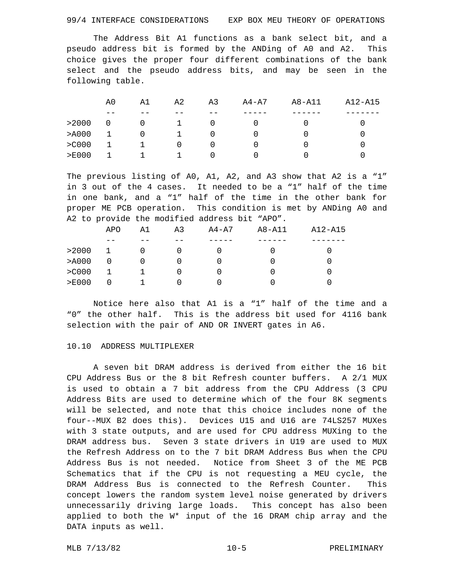The Address Bit A1 functions as a bank select bit, and a pseudo address bit is formed by the ANDing of A0 and A2. This choice gives the proper four different combinations of the bank select and the pseudo address bits, and may be seen in the following table.

|          | A0 | A1           | A2           | A3           | $A4 - A7$        | A8-A11 | A12-A15 |
|----------|----|--------------|--------------|--------------|------------------|--------|---------|
|          |    |              |              |              |                  |        |         |
| >2000    | 0  | $\Omega$     | $\mathbf{1}$ | <sup>0</sup> |                  |        |         |
| > A000   |    | 0            | 1            | 0            | $\left( \right)$ |        |         |
| $>$ C000 |    | $\mathbf{1}$ | 0            |              | $\left( \right)$ |        |         |
| >E000    |    | $\mathbf{1}$ | 1.           |              |                  |        |         |

The previous listing of A0, A1, A2, and A3 show that A2 is a "1" in 3 out of the 4 cases. It needed to be a "1" half of the time in one bank, and a "1" half of the time in the other bank for proper ME PCB operation. This condition is met by ANDing A0 and A2 to provide the modified address bit "APO".

| APO          | A1               | A <sub>3</sub> | $A4 - A7$ | $A8 - A11$ | A12-A15 |
|--------------|------------------|----------------|-----------|------------|---------|
|              |                  |                |           |            |         |
| 1.           | $\left( \right)$ |                |           |            |         |
| $\Omega$     |                  |                |           |            | 0       |
|              |                  |                |           |            |         |
| <sup>0</sup> |                  |                |           |            |         |
|              |                  |                |           |            |         |

Notice here also that A1 is a "1" half of the time and a "0" the other half. This is the address bit used for 4116 bank selection with the pair of AND OR INVERT gates in A6.

#### 10.10 ADDRESS MULTIPLEXER

A seven bit DRAM address is derived from either the 16 bit CPU Address Bus or the 8 bit Refresh counter buffers. A 2/1 MUX is used to obtain a 7 bit address from the CPU Address (3 CPU Address Bits are used to determine which of the four 8K segments will be selected, and note that this choice includes none of the four--MUX B2 does this). Devices U15 and U16 are 74LS257 MUXes with 3 state outputs, and are used for CPU address MUXing to the DRAM address bus. Seven 3 state drivers in U19 are used to MUX the Refresh Address on to the 7 bit DRAM Address Bus when the CPU Address Bus is not needed. Notice from Sheet 3 of the ME PCB Schematics that if the CPU is not requesting a MEU cycle, the DRAM Address Bus is connected to the Refresh Counter. This concept lowers the random system level noise generated by drivers unnecessarily driving large loads. This concept has also been applied to both the W\* input of the 16 DRAM chip array and the DATA inputs as well.

MLB 7/13/82 10-5 PRELIMINARY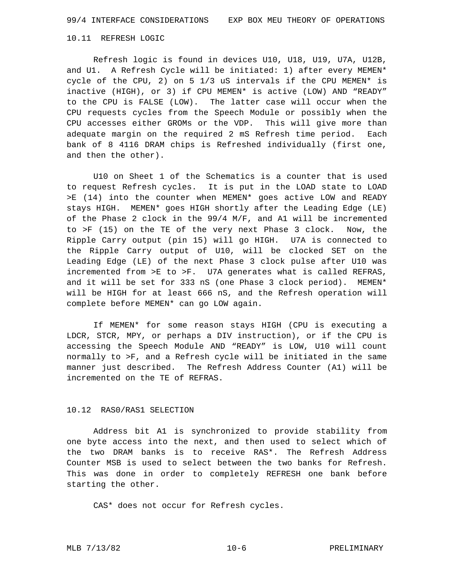### 10.11 REFRESH LOGIC

Refresh logic is found in devices U10, U18, U19, U7A, U12B, and U1. A Refresh Cycle will be initiated: 1) after every MEMEN\* cycle of the CPU, 2) on 5 1/3 uS intervals if the CPU MEMEN\* is inactive (HIGH), or 3) if CPU MEMEN\* is active (LOW) AND "READY" to the CPU is FALSE (LOW). The latter case will occur when the CPU requests cycles from the Speech Module or possibly when the CPU accesses either GROMs or the VDP. This will give more than adequate margin on the required 2 mS Refresh time period. Each bank of 8 4116 DRAM chips is Refreshed individually (first one, and then the other).

U10 on Sheet 1 of the Schematics is a counter that is used to request Refresh cycles. It is put in the LOAD state to LOAD >E (14) into the counter when MEMEN\* goes active LOW and READY stays HIGH. MEMEN\* goes HIGH shortly after the Leading Edge (LE) of the Phase 2 clock in the 99/4 M/F, and A1 will be incremented to >F (15) on the TE of the very next Phase 3 clock. Now, the Ripple Carry output (pin 15) will go HIGH. U7A is connected to the Ripple Carry output of U10, will be clocked SET on the Leading Edge (LE) of the next Phase 3 clock pulse after U10 was incremented from >E to >F. U7A generates what is called REFRAS, and it will be set for 333 nS (one Phase 3 clock period). MEMEN\* will be HIGH for at least 666 nS, and the Refresh operation will complete before MEMEN\* can go LOW again.

If MEMEN\* for some reason stays HIGH (CPU is executing a LDCR, STCR, MPY, or perhaps a DIV instruction), or if the CPU is accessing the Speech Module AND "READY" is LOW, U10 will count normally to >F, and a Refresh cycle will be initiated in the same manner just described. The Refresh Address Counter (A1) will be incremented on the TE of REFRAS.

#### 10.12 RAS0/RAS1 SELECTION

Address bit A1 is synchronized to provide stability from one byte access into the next, and then used to select which of the two DRAM banks is to receive RAS\*. The Refresh Address Counter MSB is used to select between the two banks for Refresh. This was done in order to completely REFRESH one bank before starting the other.

CAS\* does not occur for Refresh cycles.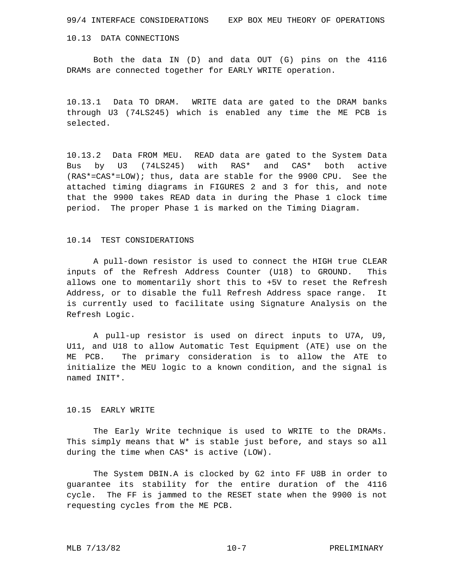#### 10.13 DATA CONNECTIONS

Both the data IN (D) and data OUT (G) pins on the 4116 DRAMs are connected together for EARLY WRITE operation.

10.13.1 Data TO DRAM. WRITE data are gated to the DRAM banks through U3 (74LS245) which is enabled any time the ME PCB is selected.

10.13.2 Data FROM MEU. READ data are gated to the System Data Bus by U3 (74LS245) with RAS\* and CAS\* both active (RAS\*=CAS\*=LOW); thus, data are stable for the 9900 CPU. See the attached timing diagrams in FIGURES 2 and 3 for this, and note that the 9900 takes READ data in during the Phase 1 clock time period. The proper Phase 1 is marked on the Timing Diagram.

#### 10.14 TEST CONSIDERATIONS

A pull-down resistor is used to connect the HIGH true CLEAR inputs of the Refresh Address Counter (U18) to GROUND. This allows one to momentarily short this to +5V to reset the Refresh Address, or to disable the full Refresh Address space range. It is currently used to facilitate using Signature Analysis on the Refresh Logic.

A pull-up resistor is used on direct inputs to U7A, U9, U11, and U18 to allow Automatic Test Equipment (ATE) use on the ME PCB. The primary consideration is to allow the ATE to initialize the MEU logic to a known condition, and the signal is named INIT\*.

### 10.15 EARLY WRITE

The Early Write technique is used to WRITE to the DRAMs. This simply means that  $W^*$  is stable just before, and stays so all during the time when CAS\* is active (LOW).

The System DBIN.A is clocked by G2 into FF U8B in order to guarantee its stability for the entire duration of the 4116 cycle. The FF is jammed to the RESET state when the 9900 is not requesting cycles from the ME PCB.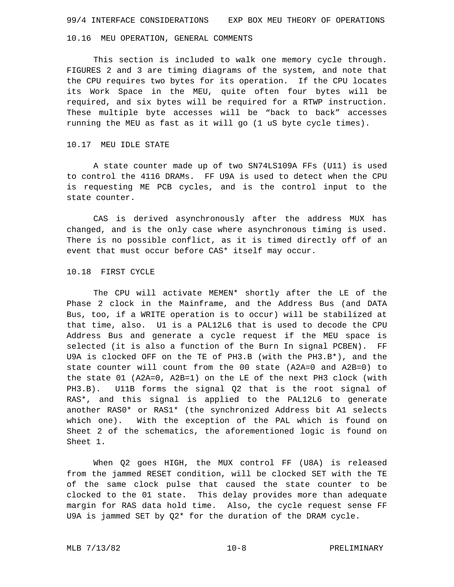### 10.16 MEU OPERATION, GENERAL COMMENTS

This section is included to walk one memory cycle through. FIGURES 2 and 3 are timing diagrams of the system, and note that the CPU requires two bytes for its operation. If the CPU locates its Work Space in the MEU, quite often four bytes will be required, and six bytes will be required for a RTWP instruction. These multiple byte accesses will be "back to back" accesses running the MEU as fast as it will go (1 uS byte cycle times).

### 10.17 MEU IDLE STATE

A state counter made up of two SN74LS109A FFs (U11) is used to control the 4116 DRAMs. FF U9A is used to detect when the CPU is requesting ME PCB cycles, and is the control input to the state counter.

CAS is derived asynchronously after the address MUX has changed, and is the only case where asynchronous timing is used. There is no possible conflict, as it is timed directly off of an event that must occur before CAS\* itself may occur.

#### 10.18 FIRST CYCLE

The CPU will activate MEMEN\* shortly after the LE of the Phase 2 clock in the Mainframe, and the Address Bus (and DATA Bus, too, if a WRITE operation is to occur) will be stabilized at that time, also. U1 is a PAL12L6 that is used to decode the CPU Address Bus and generate a cycle request if the MEU space is selected (it is also a function of the Burn In signal PCBEN). FF U9A is clocked OFF on the TE of PH3.B (with the PH3.B\*), and the state counter will count from the 00 state (A2A=0 and A2B=0) to the state 01 (A2A=0, A2B=1) on the LE of the next PH3 clock (with PH3.B). U11B forms the signal Q2 that is the root signal of RAS\*, and this signal is applied to the PAL12L6 to generate another RAS0\* or RAS1\* (the synchronized Address bit A1 selects which one). With the exception of the PAL which is found on Sheet 2 of the schematics, the aforementioned logic is found on Sheet 1.

When Q2 goes HIGH, the MUX control FF (U8A) is released from the jammed RESET condition, will be clocked SET with the TE of the same clock pulse that caused the state counter to be clocked to the 01 state. This delay provides more than adequate margin for RAS data hold time. Also, the cycle request sense FF U9A is jammed SET by Q2\* for the duration of the DRAM cycle.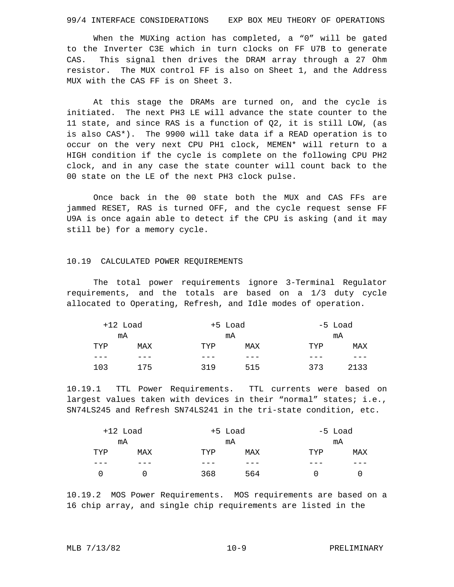When the MUXing action has completed, a "0" will be gated to the Inverter C3E which in turn clocks on FF U7B to generate CAS. This signal then drives the DRAM array through a 27 Ohm resistor. The MUX control FF is also on Sheet 1, and the Address MUX with the CAS FF is on Sheet 3.

At this stage the DRAMs are turned on, and the cycle is initiated. The next PH3 LE will advance the state counter to the 11 state, and since RAS is a function of Q2, it is still LOW, (as is also CAS\*). The 9900 will take data if a READ operation is to occur on the very next CPU PH1 clock, MEMEN\* will return to a HIGH condition if the cycle is complete on the following CPU PH2 clock, and in any case the state counter will count back to the 00 state on the LE of the next PH3 clock pulse.

Once back in the 00 state both the MUX and CAS FFs are jammed RESET, RAS is turned OFF, and the cycle request sense FF U9A is once again able to detect if the CPU is asking (and it may still be) for a memory cycle.

### 10.19 CALCULATED POWER REQUIREMENTS

The total power requirements ignore 3-Terminal Regulator requirements, and the totals are based on a 1/3 duty cycle allocated to Operating, Refresh, and Idle modes of operation.

|     | $+12$ Load |     | +5 Load |     | -5 Load |
|-----|------------|-----|---------|-----|---------|
|     | mA         |     | mA      |     | mA      |
| TYP | MAX        | TYP | MAX     | TYP | MAX     |
|     |            |     |         |     |         |
| 103 | 175        | 319 | 515     | 373 | 2133    |

10.19.1 TTL Power Requirements. TTL currents were based on largest values taken with devices in their "normal" states; i.e., SN74LS245 and Refresh SN74LS241 in the tri-state condition, etc.

|     | +12 Load |     | +5 Load | -5 Load |     |
|-----|----------|-----|---------|---------|-----|
|     | mA       |     | mA      |         | mA  |
| TYP | MAX      | TYP | MAX     | TYP     | MAX |
|     |          |     |         |         |     |
|     |          | 368 | 564     |         |     |

10.19.2 MOS Power Requirements. MOS requirements are based on a 16 chip array, and single chip requirements are listed in the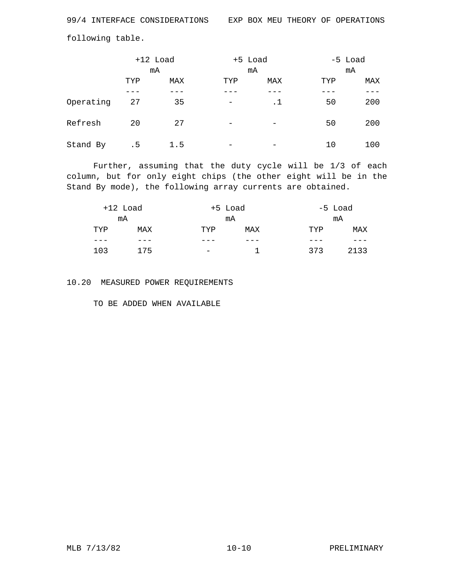following table.

|           | $+12$ Load |     | +5 Load |     | -5 Load |     |
|-----------|------------|-----|---------|-----|---------|-----|
|           |            | mA  | mA      |     | mA      |     |
|           | TYP        | MAX | TYP     | MAX | TYP     | MAX |
|           |            |     |         |     |         |     |
| Operating | 27         | 35  |         | . 1 | 50      | 200 |
| Refresh   | 20         | 27  |         |     | 50      | 200 |
| Stand By  | . 5        | 1.5 |         |     | 10      | 100 |

Further, assuming that the duty cycle will be 1/3 of each column, but for only eight chips (the other eight will be in the Stand By mode), the following array currents are obtained.

| $+12$ Load |     |     | +5 Load |     | -5 Load |
|------------|-----|-----|---------|-----|---------|
|            | mA  |     | mA      |     | mA      |
| TYP        | MAX | TYP | MAX     | TYP | MAX     |
|            |     |     |         |     |         |
| 103        | 175 | -   |         | 373 | 2133    |

10.20 MEASURED POWER REQUIREMENTS

TO BE ADDED WHEN AVAILABLE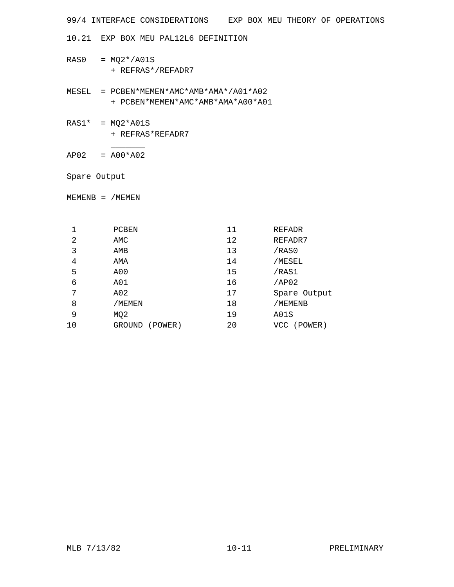10.21 EXP BOX MEU PAL12L6 DEFINITION

- $RAS0 = MQ2*/A01S$ + REFRAS\*/REFADR7
- MESEL = PCBEN\*MEMEN\*AMC\*AMB\*AMA\*/A01\*A02 + PCBEN\*MEMEN\*AMC\*AMB\*AMA\*A00\*A01
- $RAS1* = MQ2*A01S$ + REFRAS\*REFADR7
- $\frac{1}{2}$  ,  $\frac{1}{2}$  ,  $\frac{1}{2}$  ,  $\frac{1}{2}$  ,  $\frac{1}{2}$  ,  $\frac{1}{2}$  ,  $\frac{1}{2}$  ,  $\frac{1}{2}$  $AP02 = A00*A02$
- Spare Output

 $MENENB = /MEMENT$ 

|    | PCBEN             | 11 | REFADR       |
|----|-------------------|----|--------------|
| 2  | AMC               | 12 | REFADR7      |
| 3  | AMB               | 13 | /RAS0        |
| 4  | AMA               | 14 | /MESEL       |
| 5  | A00               | 15 | /RAS1        |
| 6  | A01               | 16 | /AP02        |
| 7  | A02               | 17 | Spare Output |
| 8  | /MEMEN            | 18 | /MEMENB      |
| 9  | MO <sub>2</sub>   | 19 | A01S         |
| 10 | (POWER)<br>GROUND | 20 | VCC (POWER)  |
|    |                   |    |              |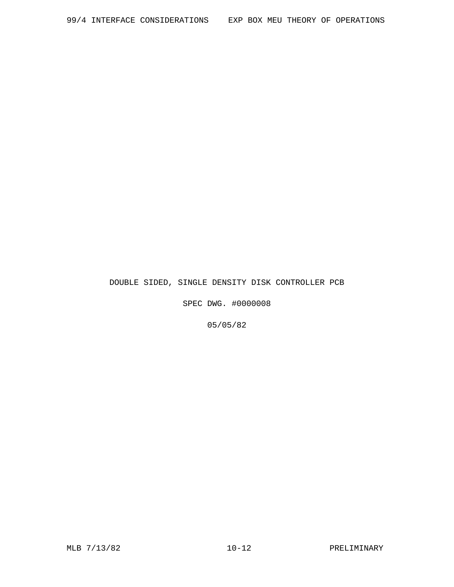# DOUBLE SIDED, SINGLE DENSITY DISK CONTROLLER PCB

SPEC DWG. #0000008

05/05/82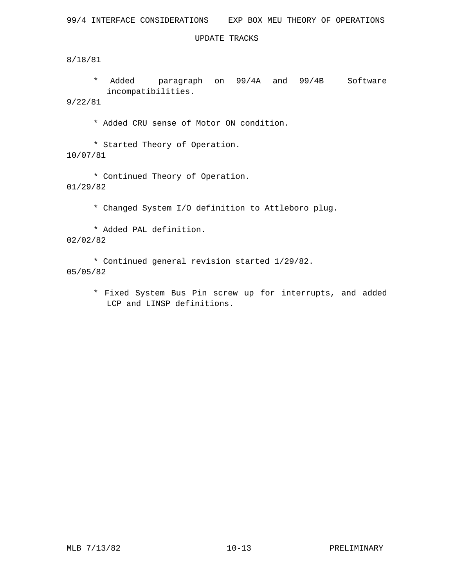UPDATE TRACKS

8/18/81

\* Added paragraph on 99/4A and 99/4B Software incompatibilities.

9/22/81

\* Added CRU sense of Motor ON condition.

\* Started Theory of Operation. 10/07/81

\* Continued Theory of Operation. 01/29/82

\* Changed System I/O definition to Attleboro plug.

\* Added PAL definition.

02/02/82

\* Continued general revision started 1/29/82. 05/05/82

> \* Fixed System Bus Pin screw up for interrupts, and added LCP and LINSP definitions.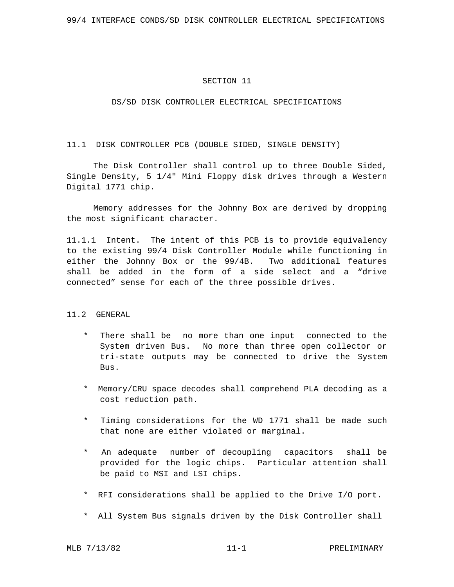#### SECTION 11

### DS/SD DISK CONTROLLER ELECTRICAL SPECIFICATIONS

11.1 DISK CONTROLLER PCB (DOUBLE SIDED, SINGLE DENSITY)

The Disk Controller shall control up to three Double Sided, Single Density, 5 1/4" Mini Floppy disk drives through a Western Digital 1771 chip.

Memory addresses for the Johnny Box are derived by dropping the most significant character.

11.1.1 Intent. The intent of this PCB is to provide equivalency to the existing 99/4 Disk Controller Module while functioning in either the Johnny Box or the 99/4B. Two additional features shall be added in the form of a side select and a "drive connected" sense for each of the three possible drives.

### 11.2 GENERAL

- There shall be no more than one input connected to the System driven Bus. No more than three open collector or tri-state outputs may be connected to drive the System Bus.
- \* Memory/CRU space decodes shall comprehend PLA decoding as a cost reduction path.
- \* Timing considerations for the WD 1771 shall be made such that none are either violated or marginal.
- An adequate number of decoupling capacitors shall be provided for the logic chips. Particular attention shall be paid to MSI and LSI chips.
- \* RFI considerations shall be applied to the Drive I/O port.
- \* All System Bus signals driven by the Disk Controller shall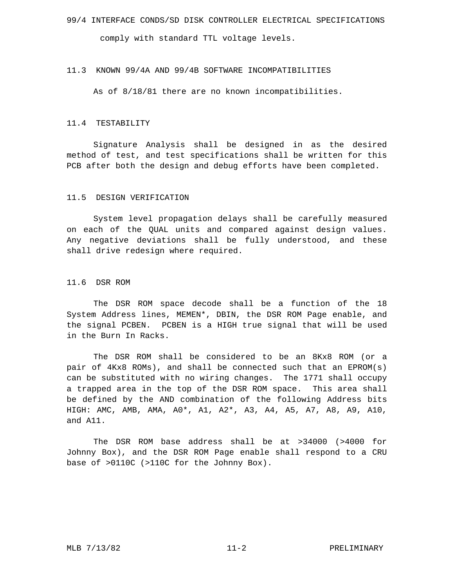# 99/4 INTERFACE CONDS/SD DISK CONTROLLER ELECTRICAL SPECIFICATIONS comply with standard TTL voltage levels.

11.3 KNOWN 99/4A AND 99/4B SOFTWARE INCOMPATIBILITIES

As of 8/18/81 there are no known incompatibilities.

#### 11.4 TESTABILITY

Signature Analysis shall be designed in as the desired method of test, and test specifications shall be written for this PCB after both the design and debug efforts have been completed.

#### 11.5 DESIGN VERIFICATION

System level propagation delays shall be carefully measured on each of the QUAL units and compared against design values. Any negative deviations shall be fully understood, and these shall drive redesign where required.

#### 11.6 DSR ROM

The DSR ROM space decode shall be a function of the 18 System Address lines, MEMEN\*, DBIN, the DSR ROM Page enable, and the signal PCBEN. PCBEN is a HIGH true signal that will be used in the Burn In Racks.

The DSR ROM shall be considered to be an 8Kx8 ROM (or a pair of 4Kx8 ROMs), and shall be connected such that an EPROM(s) can be substituted with no wiring changes. The 1771 shall occupy a trapped area in the top of the DSR ROM space. This area shall be defined by the AND combination of the following Address bits HIGH: AMC, AMB, AMA, A0\*, A1, A2\*, A3, A4, A5, A7, A8, A9, A10, and A11.

The DSR ROM base address shall be at >34000 (>4000 for Johnny Box), and the DSR ROM Page enable shall respond to a CRU base of >0110C (>110C for the Johnny Box).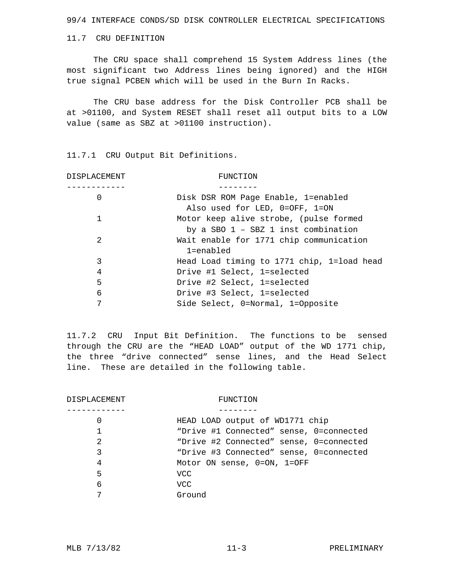# 11.7 CRU DEFINITION

The CRU space shall comprehend 15 System Address lines (the most significant two Address lines being ignored) and the HIGH true signal PCBEN which will be used in the Burn In Racks.

The CRU base address for the Disk Controller PCB shall be at >01100, and System RESET shall reset all output bits to a LOW value (same as SBZ at >01100 instruction).

11.7.1 CRU Output Bit Definitions.

| DISPLACEMENT   | FUNCTION                                   |
|----------------|--------------------------------------------|
|                |                                            |
| 0              | Disk DSR ROM Page Enable, 1=enabled        |
|                | Also used for LED, 0=OFF, 1=ON             |
| $\mathbf{1}$   | Motor keep alive strobe, (pulse formed     |
|                | by a SBO $1$ - SBZ 1 inst combination      |
| $\mathfrak{D}$ | Wait enable for 1771 chip communication    |
|                | 1=enabled                                  |
| 3              | Head Load timing to 1771 chip, 1=load head |
| 4              | Drive #1 Select, 1=selected                |
| 5              | Drive #2 Select, 1=selected                |
| 6              | Drive #3 Select, 1=selected                |
| 7              | Side Select, 0=Normal, 1=Opposite          |
|                |                                            |

11.7.2 CRU Input Bit Definition. The functions to be sensed through the CRU are the "HEAD LOAD" output of the WD 1771 chip, the three "drive connected" sense lines, and the Head Select line. These are detailed in the following table.

| DISPLACEMENT   | FUNCTION                                |
|----------------|-----------------------------------------|
|                |                                         |
| O              | HEAD LOAD output of WD1771 chip         |
|                | "Drive #1 Connected" sense, 0=connected |
| $\mathfrak{D}$ | "Drive #2 Connected" sense, 0=connected |
| 3              | "Drive #3 Connected" sense, 0=connected |
| 4              | Motor ON sense, 0=ON, 1=OFF             |
| 5              | <b>VCC</b>                              |
| 6              | VCC.                                    |
|                | Ground                                  |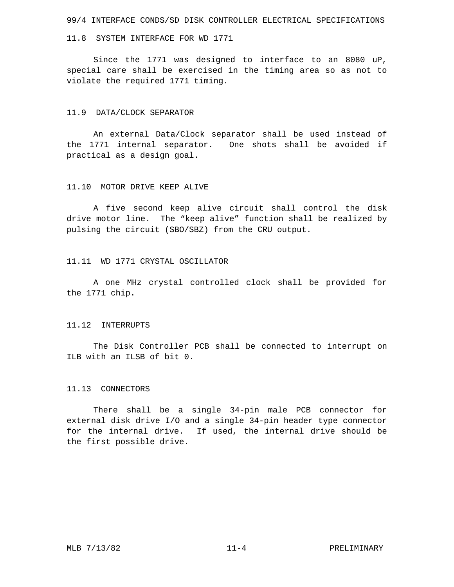# 11.8 SYSTEM INTERFACE FOR WD 1771

Since the 1771 was designed to interface to an 8080 uP, special care shall be exercised in the timing area so as not to violate the required 1771 timing.

#### 11.9 DATA/CLOCK SEPARATOR

An external Data/Clock separator shall be used instead of the 1771 internal separator. One shots shall be avoided if practical as a design goal.

### 11.10 MOTOR DRIVE KEEP ALIVE

A five second keep alive circuit shall control the disk drive motor line. The "keep alive" function shall be realized by pulsing the circuit (SBO/SBZ) from the CRU output.

# 11.11 WD 1771 CRYSTAL OSCILLATOR

A one MHz crystal controlled clock shall be provided for the 1771 chip.

#### 11.12 INTERRUPTS

The Disk Controller PCB shall be connected to interrupt on ILB with an ILSB of bit 0.

#### 11.13 CONNECTORS

There shall be a single 34-pin male PCB connector for external disk drive I/O and a single 34-pin header type connector for the internal drive. If used, the internal drive should be the first possible drive.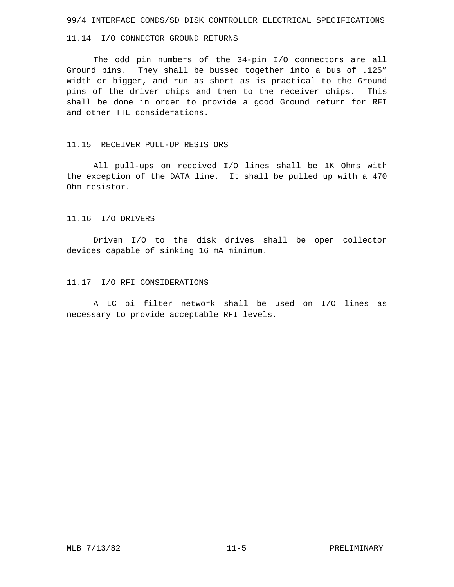### 11.14 I/O CONNECTOR GROUND RETURNS

The odd pin numbers of the 34-pin I/O connectors are all Ground pins. They shall be bussed together into a bus of .125" width or bigger, and run as short as is practical to the Ground pins of the driver chips and then to the receiver chips. This shall be done in order to provide a good Ground return for RFI and other TTL considerations.

### 11.15 RECEIVER PULL-UP RESISTORS

All pull-ups on received I/O lines shall be 1K Ohms with the exception of the DATA line. It shall be pulled up with a 470 Ohm resistor.

#### 11.16 I/O DRIVERS

Driven I/O to the disk drives shall be open collector devices capable of sinking 16 mA minimum.

### 11.17 I/O RFI CONSIDERATIONS

A LC pi filter network shall be used on I/O lines as necessary to provide acceptable RFI levels.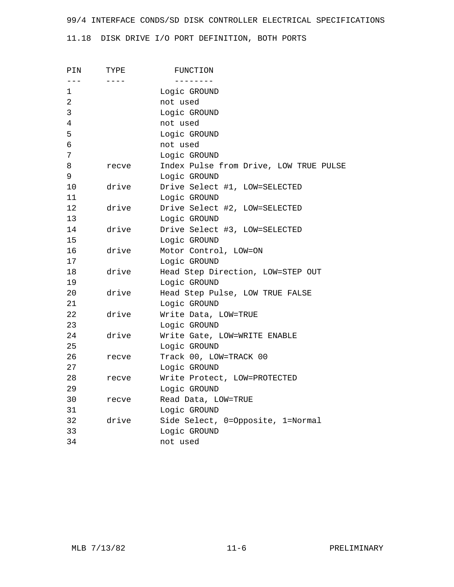11.18 DISK DRIVE I/O PORT DEFINITION, BOTH PORTS

| PIN            | TYPE  | FUNCTION                               |
|----------------|-------|----------------------------------------|
| $- -$          |       |                                        |
| 1              |       | Logic GROUND                           |
| $\overline{2}$ |       | not used                               |
| 3              |       | Logic GROUND                           |
| 4              |       | not used                               |
| 5              |       | Logic GROUND                           |
| 6              |       | not used                               |
| 7              |       | Logic GROUND                           |
| 8              | recve | Index Pulse from Drive, LOW TRUE PULSE |
| 9              |       | Logic GROUND                           |
| 10             | drive | Drive Select #1, LOW=SELECTED          |
| 11             |       | Logic GROUND                           |
| 12             | drive | Drive Select #2, LOW=SELECTED          |
| 13             |       | Logic GROUND                           |
| 14             | drive | Drive Select #3, LOW=SELECTED          |
| 15             |       | Logic GROUND                           |
| 16             | drive | Motor Control, LOW=ON                  |
| 17             |       | Logic GROUND                           |
| 18             | drive | Head Step Direction, LOW=STEP OUT      |
| 19             |       | Logic GROUND                           |
| 20             | drive | Head Step Pulse, LOW TRUE FALSE        |
| 21             |       | Logic GROUND                           |
| 22             | drive | Write Data, LOW=TRUE                   |
| 23             |       | Logic GROUND                           |
| 24             | drive | Write Gate, LOW=WRITE ENABLE           |
| 25             |       | Logic GROUND                           |
| 26             | recve | Track 00, LOW=TRACK 00                 |
| 27             |       | Logic GROUND                           |
| 28             | recve | Write Protect, LOW=PROTECTED           |
| 29             |       | Logic GROUND                           |
| 30             | recve | Read Data, LOW=TRUE                    |
| 31             |       | Logic GROUND                           |
| 32             | drive | Side Select, 0=Opposite, 1=Normal      |
| 33             |       | Logic GROUND                           |
| 34             |       | not used                               |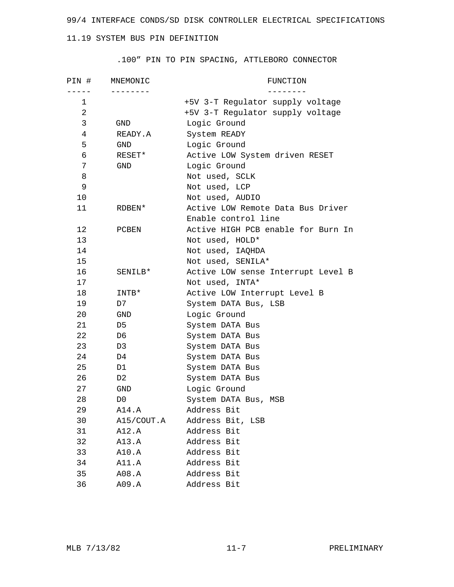# 11.19 SYSTEM BUS PIN DEFINITION

.100" PIN TO PIN SPACING, ATTLEBORO CONNECTOR

| PIN # | MNEMONIC       | FUNCTION                           |
|-------|----------------|------------------------------------|
| 1     |                | +5V 3-T Regulator supply voltage   |
| 2     |                | +5V 3-T Regulator supply voltage   |
| 3     | GND            | Logic Ground                       |
| 4     | READY.A        | System READY                       |
| 5     | GND            | Logic Ground                       |
| 6     | RESET*         | Active LOW System driven RESET     |
| 7     | GND            | Logic Ground                       |
| 8     |                | Not used, SCLK                     |
| 9     |                | Not used, LCP                      |
| 10    |                | Not used, AUDIO                    |
| 11    | RDBEN*         | Active LOW Remote Data Bus Driver  |
|       |                | Enable control line                |
| 12    | PCBEN          | Active HIGH PCB enable for Burn In |
| 13    |                | Not used, HOLD*                    |
| 14    |                | Not used, IAQHDA                   |
| 15    |                | Not used, SENILA*                  |
| 16    | SENILB*        | Active LOW sense Interrupt Level B |
| 17    |                | Not used, INTA*                    |
| 18    | INTB*          | Active LOW Interrupt Level B       |
| 19    | D7             | System DATA Bus, LSB               |
| 20    | GND            | Logic Ground                       |
| 21    | D <sub>5</sub> | System DATA Bus                    |
| 22    | D <sub>6</sub> | System DATA Bus                    |
| 23    | D <sub>3</sub> | System DATA Bus                    |
| 24    | D4             | System DATA Bus                    |
| 25    | D1             | System DATA Bus                    |
| 26    | D <sub>2</sub> | System DATA Bus                    |
| 27    | GND            | Logic Ground                       |
| 28    | D0             | System DATA Bus, MSB               |
| 29    | A14.A          | Address Bit                        |
| 30    | A15/COUT.A     | Address Bit, LSB                   |
| 31    | A12.A          | Address Bit                        |
| 32    | A13.A          | Address Bit                        |
| 33    | A10.A          | Address Bit                        |
| 34    | A11.A          | Address Bit                        |
| 35    | A08.A          | Address Bit                        |
| 36    | A09.A          | Address Bit                        |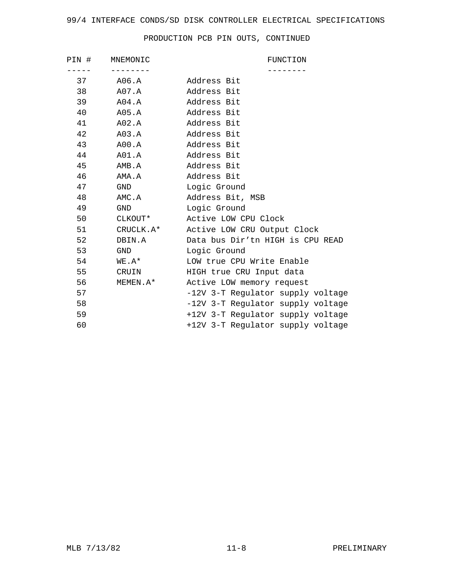PRODUCTION PCB PIN OUTS, CONTINUED

|               | PIN # MNEMONIC | FUNCTION                                 |
|---------------|----------------|------------------------------------------|
|               |                |                                          |
|               | 37 A06.A       | Address Bit                              |
|               | 38 A07.A       | Address Bit                              |
|               | 39 A04.A       | Address Bit                              |
| 40            | A05.A          | Address Bit                              |
| 41            | A02.A          | Address Bit                              |
| 42            | A03.A          | Address Bit                              |
| 43            | A00.A          | Address Bit                              |
| 44            | A01.A          | Address Bit                              |
|               | AMB.A          | Address Bit                              |
| 46 7          | AMA.A          | Address Bit                              |
| 47            | GND            | Logic Ground                             |
| 48            | AMC.A          | Address Bit, MSB                         |
| 49            | GND            | Logic Ground                             |
| 50            | CLKOUT*        | Active LOW CPU Clock                     |
|               |                | 51 CRUCLK.A* Active LOW CRU Output Clock |
| 52            | DBIN.A         | Data bus Dir'tn HIGH is CPU READ         |
| 53 and $\sim$ | GND            | Logic Ground                             |
| 54            | WE.A*          | LOW true CPU Write Enable                |
| 55            | CRUIN          | HIGH true CRU Input data                 |
| 56            | $MEMEN.A*$     | Active LOW memory request                |
| 57            |                | -12V 3-T Regulator supply voltage        |
| 58            |                | -12V 3-T Regulator supply voltage        |
| 59            |                | +12V 3-T Regulator supply voltage        |
| 60            |                | +12V 3-T Regulator supply voltage        |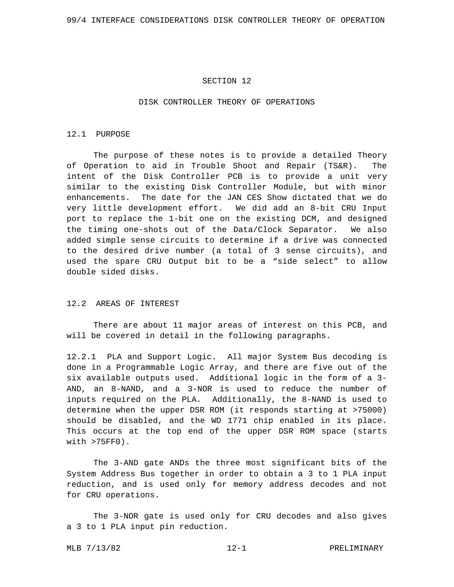#### SECTION 12

#### DISK CONTROLLER THEORY OF OPERATIONS

#### 12.1 PURPOSE

The purpose of these notes is to provide a detailed Theory of Operation to aid in Trouble Shoot and Repair (TS&R). The intent of the Disk Controller PCB is to provide a unit very similar to the existing Disk Controller Module, but with minor enhancements. The date for the JAN CES Show dictated that we do very little development effort. We did add an 8-bit CRU Input port to replace the 1-bit one on the existing DCM, and designed the timing one-shots out of the Data/Clock Separator. We also added simple sense circuits to determine if a drive was connected to the desired drive number (a total of 3 sense circuits), and used the spare CRU Output bit to be a "side select" to allow double sided disks.

### 12.2 AREAS OF INTEREST

There are about 11 major areas of interest on this PCB, and will be covered in detail in the following paragraphs.

12.2.1 PLA and Support Logic. All major System Bus decoding is done in a Programmable Logic Array, and there are five out of the six available outputs used. Additional logic in the form of a 3- AND, an 8-NAND, and a 3-NOR is used to reduce the number of inputs required on the PLA. Additionally, the 8-NAND is used to determine when the upper DSR ROM (it responds starting at >75000) should be disabled, and the WD 1771 chip enabled in its place. This occurs at the top end of the upper DSR ROM space (starts with >75FF0).

The 3-AND gate ANDs the three most significant bits of the System Address Bus together in order to obtain a 3 to 1 PLA input reduction, and is used only for memory address decodes and not for CRU operations.

The 3-NOR gate is used only for CRU decodes and also gives a 3 to 1 PLA input pin reduction.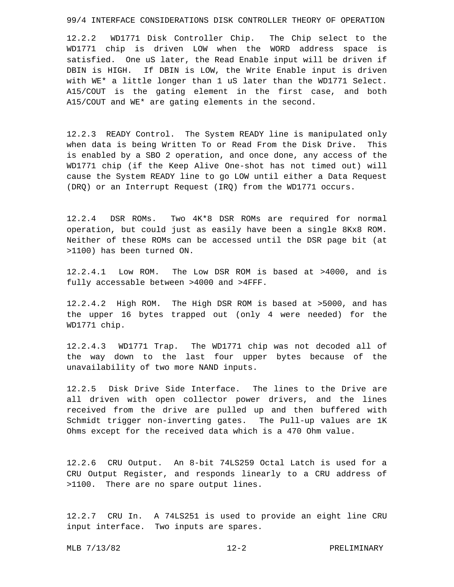12.2.2 WD1771 Disk Controller Chip. The Chip select to the WD1771 chip is driven LOW when the WORD address space is satisfied. One uS later, the Read Enable input will be driven if DBIN is HIGH. If DBIN is LOW, the Write Enable input is driven with WE\* a little longer than 1 uS later than the WD1771 Select. A15/COUT is the gating element in the first case, and both A15/COUT and WE\* are gating elements in the second.

12.2.3 READY Control. The System READY line is manipulated only when data is being Written To or Read From the Disk Drive. This is enabled by a SBO 2 operation, and once done, any access of the WD1771 chip (if the Keep Alive One-shot has not timed out) will cause the System READY line to go LOW until either a Data Request (DRQ) or an Interrupt Request (IRQ) from the WD1771 occurs.

12.2.4 DSR ROMs. Two 4K\*8 DSR ROMs are required for normal operation, but could just as easily have been a single 8Kx8 ROM. Neither of these ROMs can be accessed until the DSR page bit (at >1100) has been turned ON.

12.2.4.1 Low ROM. The Low DSR ROM is based at >4000, and is fully accessable between >4000 and >4FFF.

12.2.4.2 High ROM. The High DSR ROM is based at >5000, and has the upper 16 bytes trapped out (only 4 were needed) for the WD1771 chip.

12.2.4.3 WD1771 Trap. The WD1771 chip was not decoded all of the way down to the last four upper bytes because of the unavailability of two more NAND inputs.

12.2.5 Disk Drive Side Interface. The lines to the Drive are all driven with open collector power drivers, and the lines received from the drive are pulled up and then buffered with Schmidt trigger non-inverting gates. The Pull-up values are 1K Ohms except for the received data which is a 470 Ohm value.

12.2.6 CRU Output. An 8-bit 74LS259 Octal Latch is used for a CRU Output Register, and responds linearly to a CRU address of >1100. There are no spare output lines.

12.2.7 CRU In. A 74LS251 is used to provide an eight line CRU input interface. Two inputs are spares.

MLB  $7/13/82$  12-2 PRELIMINARY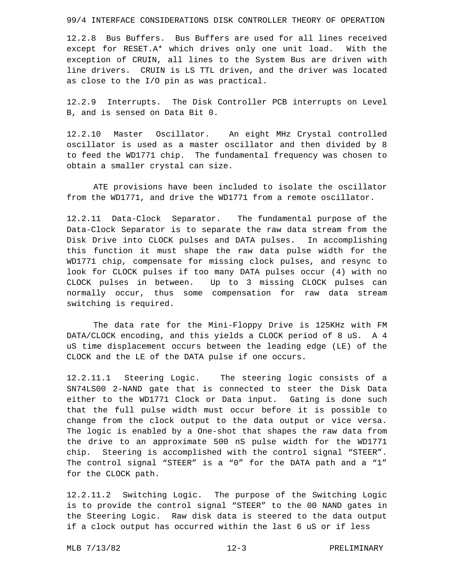12.2.8 Bus Buffers. Bus Buffers are used for all lines received except for RESET.A\* which drives only one unit load. With the exception of CRUIN, all lines to the System Bus are driven with line drivers. CRUIN is LS TTL driven, and the driver was located as close to the I/O pin as was practical.

12.2.9 Interrupts. The Disk Controller PCB interrupts on Level B, and is sensed on Data Bit 0.

12.2.10 Master Oscillator. An eight MHz Crystal controlled oscillator is used as a master oscillator and then divided by 8 to feed the WD1771 chip. The fundamental frequency was chosen to obtain a smaller crystal can size.

ATE provisions have been included to isolate the oscillator from the WD1771, and drive the WD1771 from a remote oscillator.

12.2.11 Data-Clock Separator. The fundamental purpose of the Data-Clock Separator is to separate the raw data stream from the Disk Drive into CLOCK pulses and DATA pulses. In accomplishing this function it must shape the raw data pulse width for the WD1771 chip, compensate for missing clock pulses, and resync to look for CLOCK pulses if too many DATA pulses occur (4) with no CLOCK pulses in between. Up to 3 missing CLOCK pulses can normally occur, thus some compensation for raw data stream switching is required.

The data rate for the Mini-Floppy Drive is 125KHz with FM DATA/CLOCK encoding, and this yields a CLOCK period of 8 uS. A 4 uS time displacement occurs between the leading edge (LE) of the CLOCK and the LE of the DATA pulse if one occurs.

12.2.11.1 Steering Logic. The steering logic consists of a SN74LS00 2-NAND gate that is connected to steer the Disk Data either to the WD1771 Clock or Data input. Gating is done such that the full pulse width must occur before it is possible to change from the clock output to the data output or vice versa. The logic is enabled by a One-shot that shapes the raw data from the drive to an approximate 500 nS pulse width for the WD1771 chip. Steering is accomplished with the control signal "STEER". The control signal "STEER" is a "0" for the DATA path and a "1" for the CLOCK path.

12.2.11.2 Switching Logic. The purpose of the Switching Logic is to provide the control signal "STEER" to the 00 NAND gates in the Steering Logic. Raw disk data is steered to the data output if a clock output has occurred within the last 6 uS or if less

MLB  $7/13/82$  12-3 PRELIMINARY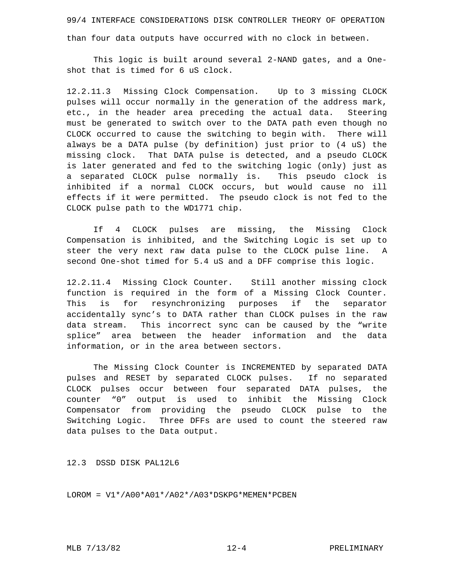than four data outputs have occurred with no clock in between.

This logic is built around several 2-NAND gates, and a Oneshot that is timed for 6 uS clock.

12.2.11.3 Missing Clock Compensation. Up to 3 missing CLOCK pulses will occur normally in the generation of the address mark, etc., in the header area preceding the actual data. Steering must be generated to switch over to the DATA path even though no CLOCK occurred to cause the switching to begin with. There will always be a DATA pulse (by definition) just prior to (4 uS) the missing clock. That DATA pulse is detected, and a pseudo CLOCK is later generated and fed to the switching logic (only) just as a separated CLOCK pulse normally is. This pseudo clock is inhibited if a normal CLOCK occurs, but would cause no ill effects if it were permitted. The pseudo clock is not fed to the CLOCK pulse path to the WD1771 chip.

If 4 CLOCK pulses are missing, the Missing Clock Compensation is inhibited, and the Switching Logic is set up to steer the very next raw data pulse to the CLOCK pulse line. A second One-shot timed for 5.4 uS and a DFF comprise this logic.

12.2.11.4 Missing Clock Counter. Still another missing clock function is required in the form of a Missing Clock Counter. This is for resynchronizing purposes if the separator accidentally sync's to DATA rather than CLOCK pulses in the raw data stream. This incorrect sync can be caused by the "write splice" area between the header information and the data information, or in the area between sectors.

The Missing Clock Counter is INCREMENTED by separated DATA pulses and RESET by separated CLOCK pulses. If no separated CLOCK pulses occur between four separated DATA pulses, the counter "0" output is used to inhibit the Missing Clock Compensator from providing the pseudo CLOCK pulse to the Switching Logic. Three DFFs are used to count the steered raw data pulses to the Data output.

12.3 DSSD DISK PAL12L6

LOROM = V1\*/A00\*A01\*/A02\*/A03\*DSKPG\*MEMEN\*PCBEN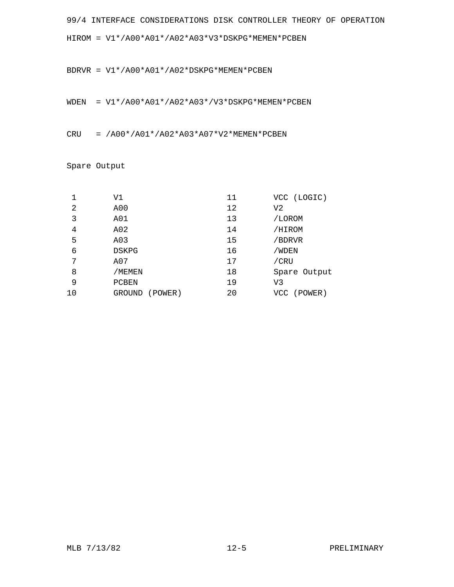```
99/4 INTERFACE CONSIDERATIONS DISK CONTROLLER THEORY OF OPERATION
```
HIROM = V1\*/A00\*A01\*/A02\*A03\*V3\*DSKPG\*MEMEN\*PCBEN

BDRVR = V1\*/A00\*A01\*/A02\*DSKPG\*MEMEN\*PCBEN

 $WDEN = V1*/A00*A01*/A02*A03*/V3*DSKPG*MEMEN*PCBEN$ 

CRU =  $/AO0*/AO1*/AO2*AO3*AO7*V2*MEMEN*PCBEN$ 

Spare Output

|    | V1                | 11 | VCC (LOGIC)    |
|----|-------------------|----|----------------|
| 2  | A00               | 12 | V <sub>2</sub> |
| 3  | A01               | 13 | /LOROM         |
| 4  | A02               | 14 | /HIROM         |
| 5  | A03               | 15 | /BDRVR         |
| 6  | <b>DSKPG</b>      | 16 | /WDEN          |
| 7  | A07               | 17 | /CRU           |
| 8  | /MEMEN            | 18 | Spare Output   |
| 9  | <b>PCBEN</b>      | 19 | V <sub>3</sub> |
| 10 | (POWER)<br>GROUND | 20 | VCC (POWER)    |
|    |                   |    |                |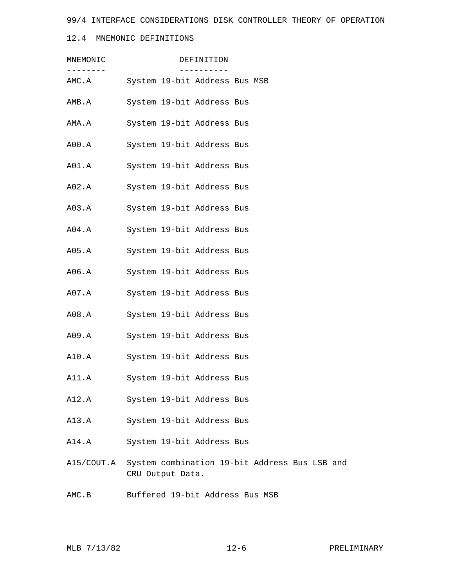# 12.4 MNEMONIC DEFINITIONS

| MNEMONIC   |                  | DEFINITION                                    |  |  |  |
|------------|------------------|-----------------------------------------------|--|--|--|
| AMC.A      |                  | System 19-bit Address Bus MSB                 |  |  |  |
| AMB.A      |                  | System 19-bit Address Bus                     |  |  |  |
| AMA.A      |                  | System 19-bit Address Bus                     |  |  |  |
| A00.A      |                  | System 19-bit Address Bus                     |  |  |  |
| A01.A      |                  | System 19-bit Address Bus                     |  |  |  |
| A02.A      |                  | System 19-bit Address Bus                     |  |  |  |
| A03.A      |                  | System 19-bit Address Bus                     |  |  |  |
| A04.A      |                  | System 19-bit Address Bus                     |  |  |  |
| A05.A      |                  | System 19-bit Address Bus                     |  |  |  |
| A06.A      |                  | System 19-bit Address Bus                     |  |  |  |
| A07.A      |                  | System 19-bit Address Bus                     |  |  |  |
| A08.A      |                  | System 19-bit Address Bus                     |  |  |  |
| A09.A      |                  | System 19-bit Address Bus                     |  |  |  |
| A10.A      |                  | System 19-bit Address Bus                     |  |  |  |
| A11.A      |                  | System 19-bit Address Bus                     |  |  |  |
| A12.A      |                  | System 19-bit Address Bus                     |  |  |  |
| A13.A      |                  | System 19-bit Address Bus                     |  |  |  |
| A14.A      |                  | System 19-bit Address Bus                     |  |  |  |
| A15/COUT.A | CRU Output Data. | System combination 19-bit Address Bus LSB and |  |  |  |
| AMC.B      |                  | Buffered 19-bit Address Bus MSB               |  |  |  |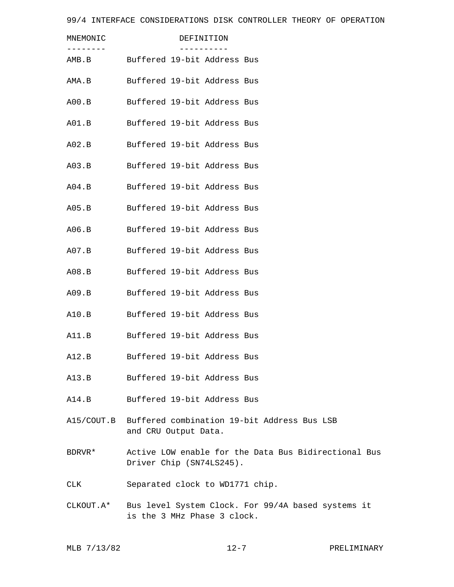| MNEMONIC  | DEFINITION                                                                        |
|-----------|-----------------------------------------------------------------------------------|
|           | AMB.B Buffered 19-bit Address Bus                                                 |
|           | AMA.B Buffered 19-bit Address Bus                                                 |
| A00.B     | Buffered 19-bit Address Bus                                                       |
|           | A01.B Buffered 19-bit Address Bus                                                 |
| A02.B     | Buffered 19-bit Address Bus                                                       |
|           | A03.B Buffered 19-bit Address Bus                                                 |
|           | A04.B Buffered 19-bit Address Bus                                                 |
| A05.B     | Buffered 19-bit Address Bus                                                       |
|           | A06.B Buffered 19-bit Address Bus                                                 |
| A07.B     | Buffered 19-bit Address Bus                                                       |
| A08.B     | Buffered 19-bit Address Bus                                                       |
| A09.B     | Buffered 19-bit Address Bus                                                       |
|           | A10.B Buffered 19-bit Address Bus                                                 |
| A11.B     | Buffered 19-bit Address Bus                                                       |
| A12.B     | Buffered 19-bit Address Bus                                                       |
| A13.B     | Buffered 19-bit Address Bus                                                       |
| A14.B     | Buffered 19-bit Address Bus                                                       |
|           | A15/COUT.B Buffered combination 19-bit Address Bus LSB<br>and CRU Output Data.    |
| BDRVR*    | Active LOW enable for the Data Bus Bidirectional Bus<br>Driver Chip (SN74LS245).  |
| CLK       | Separated clock to WD1771 chip.                                                   |
| CLKOUT.A* | Bus level System Clock. For 99/4A based systems it<br>is the 3 MHz Phase 3 clock. |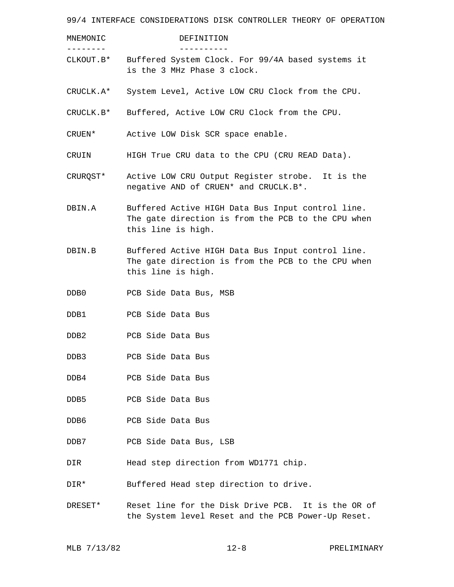MNEMONIC DEFINITION -------- ---------- CLKOUT.B\* Buffered System Clock. For 99/4A based systems it is the 3 MHz Phase 3 clock. CRUCLK.A\* System Level, Active LOW CRU Clock from the CPU. CRUCLK.B\* Buffered, Active LOW CRU Clock from the CPU. CRUEN\* Active LOW Disk SCR space enable. CRUIN HIGH True CRU data to the CPU (CRU READ Data). CRURQST\* Active LOW CRU Output Register strobe. It is the negative AND of CRUEN\* and CRUCLK.B\*. DBIN.A Buffered Active HIGH Data Bus Input control line. The gate direction is from the PCB to the CPU when this line is high. DBIN.B Buffered Active HIGH Data Bus Input control line. The gate direction is from the PCB to the CPU when this line is high. DDB0 PCB Side Data Bus, MSB DDB1 PCB Side Data Bus DDB2 PCB Side Data Bus DDB3 PCB Side Data Bus DDB4 PCB Side Data Bus DDB5 PCB Side Data Bus DDB6 PCB Side Data Bus DDB7 PCB Side Data Bus, LSB DIR Head step direction from WD1771 chip. DIR\* Buffered Head step direction to drive. DRESET\* Reset line for the Disk Drive PCB. It is the OR of the System level Reset and the PCB Power-Up Reset.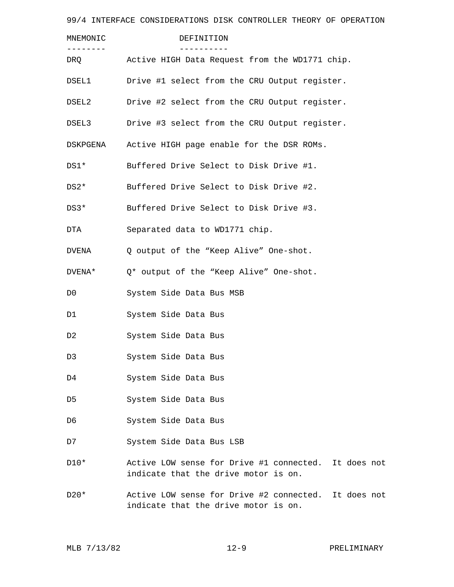| MNEMONIC                                                                                                       | DEFINITION                                                                                   |
|----------------------------------------------------------------------------------------------------------------|----------------------------------------------------------------------------------------------|
| DRQ FOR THE STATE OF THE STATE OF THE STATE OF THE STATE OF THE STATE OF THE STATE OF THE STATE OF THE STATE O | Active HIGH Data Request from the WD1771 chip.                                               |
| DSEL1                                                                                                          | Drive #1 select from the CRU Output register.                                                |
| DSEL2                                                                                                          | Drive #2 select from the CRU Output register.                                                |
| DSEL3                                                                                                          | Drive #3 select from the CRU Output register.                                                |
| DSKPGENA                                                                                                       | Active HIGH page enable for the DSR ROMs.                                                    |
| $DS1*$                                                                                                         | Buffered Drive Select to Disk Drive #1.                                                      |
| DS2*                                                                                                           | Buffered Drive Select to Disk Drive #2.                                                      |
| DS3*                                                                                                           | Buffered Drive Select to Disk Drive #3.                                                      |
| DTA                                                                                                            | Separated data to WD1771 chip.                                                               |
| DVENA                                                                                                          | Q output of the "Keep Alive" One-shot.                                                       |
| DVENA*                                                                                                         | Q* output of the "Keep Alive" One-shot.                                                      |
| D0                                                                                                             | System Side Data Bus MSB                                                                     |
| D1                                                                                                             | System Side Data Bus                                                                         |
| D2                                                                                                             | System Side Data Bus                                                                         |
| D3                                                                                                             | System Side Data Bus                                                                         |
| D4                                                                                                             | System Side Data Bus                                                                         |
| D5                                                                                                             | System Side Data Bus                                                                         |
| D6                                                                                                             | System Side Data Bus                                                                         |
| D7                                                                                                             | System Side Data Bus LSB                                                                     |
| $D10*$                                                                                                         | Active LOW sense for Drive #1 connected. It does not<br>indicate that the drive motor is on. |
| $D20*$                                                                                                         | Active LOW sense for Drive #2 connected. It does not<br>indicate that the drive motor is on. |

MLB 7/13/82 12-9 PRELIMINARY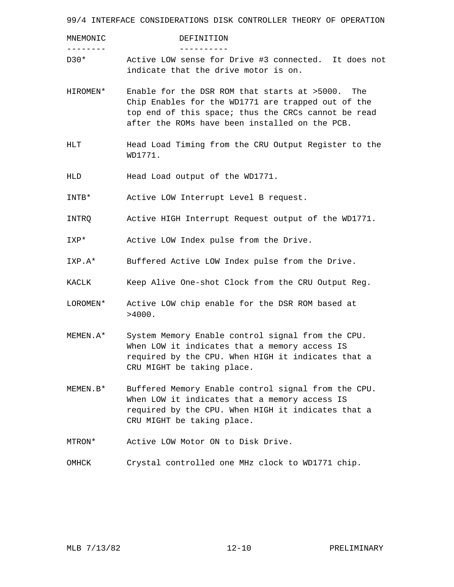| MNEMONTC | <b>DEFINITION</b>                                    |  |
|----------|------------------------------------------------------|--|
|          |                                                      |  |
| D30*     | Active LOW sense for Drive #3 connected. It does not |  |
|          | indicate that the drive motor is on.                 |  |

- HIROMEN\* Enable for the DSR ROM that starts at >5000. The Chip Enables for the WD1771 are trapped out of the top end of this space; thus the CRCs cannot be read after the ROMs have been installed on the PCB.
- HLT Head Load Timing from the CRU Output Register to the WD1771.
- HLD Head Load output of the WD1771.
- INTB\* Active LOW Interrupt Level B request.
- INTRQ Active HIGH Interrupt Request output of the WD1771.
- IXP\* Active LOW Index pulse from the Drive.
- IXP.A\* Buffered Active LOW Index pulse from the Drive.
- KACLK Keep Alive One-shot Clock from the CRU Output Reg.
- LOROMEN\* Active LOW chip enable for the DSR ROM based at  $>4000$ .
- MEMEN.A\* System Memory Enable control signal from the CPU. When LOW it indicates that a memory access IS required by the CPU. When HIGH it indicates that a CRU MIGHT be taking place.
- MEMEN.B\* Buffered Memory Enable control signal from the CPU. When LOW it indicates that a memory access IS required by the CPU. When HIGH it indicates that a CRU MIGHT be taking place.

MTRON\* Active LOW Motor ON to Disk Drive.

OMHCK Crystal controlled one MHz clock to WD1771 chip.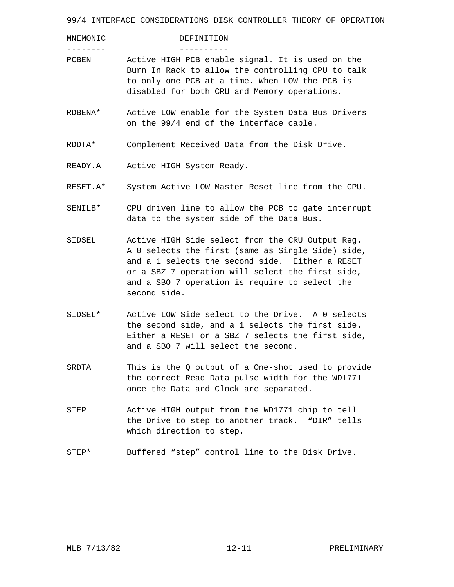MNEMONIC DEFINITION -------- ---------- PCBEN Active HIGH PCB enable signal. It is used on the Burn In Rack to allow the controlling CPU to talk to only one PCB at a time. When LOW the PCB is disabled for both CRU and Memory operations.

- RDBENA\* Active LOW enable for the System Data Bus Drivers on the 99/4 end of the interface cable.
- RDDTA\* Complement Received Data from the Disk Drive.
- READY.A Active HIGH System Ready.
- RESET.A\* System Active LOW Master Reset line from the CPU.
- SENILB\* CPU driven line to allow the PCB to gate interrupt data to the system side of the Data Bus.
- SIDSEL Active HIGH Side select from the CRU Output Reg. A 0 selects the first (same as Single Side) side, and a 1 selects the second side. Either a RESET or a SBZ 7 operation will select the first side, and a SBO 7 operation is require to select the second side.
- SIDSEL\* Active LOW Side select to the Drive. A 0 selects the second side, and a 1 selects the first side. Either a RESET or a SBZ 7 selects the first side, and a SBO 7 will select the second.
- SRDTA This is the Q output of a One-shot used to provide the correct Read Data pulse width for the WD1771 once the Data and Clock are separated.
- STEP Active HIGH output from the WD1771 chip to tell the Drive to step to another track. "DIR" tells which direction to step.
- STEP\* Buffered "step" control line to the Disk Drive.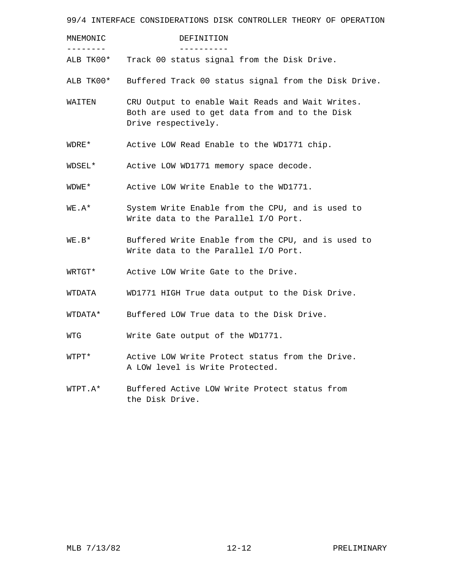MNEMONIC DEFINITION -------- ---------- ALB TK00\* Track 00 status signal from the Disk Drive.

ALB TK00\* Buffered Track 00 status signal from the Disk Drive.

WAITEN CRU Output to enable Wait Reads and Wait Writes. Both are used to get data from and to the Disk Drive respectively.

WDRE\* Active LOW Read Enable to the WD1771 chip.

WDSEL\* Active LOW WD1771 memory space decode.

WDWE\* Active LOW Write Enable to the WD1771.

WE.A\* System Write Enable from the CPU, and is used to Write data to the Parallel I/O Port.

WE.B\* Buffered Write Enable from the CPU, and is used to Write data to the Parallel I/O Port.

WRTGT\* Active LOW Write Gate to the Drive.

WTDATA WD1771 HIGH True data output to the Disk Drive.

WTDATA\* Buffered LOW True data to the Disk Drive.

WTG Write Gate output of the WD1771.

WTPT\* Active LOW Write Protect status from the Drive. A LOW level is Write Protected.

WTPT.A\* Buffered Active LOW Write Protect status from the Disk Drive.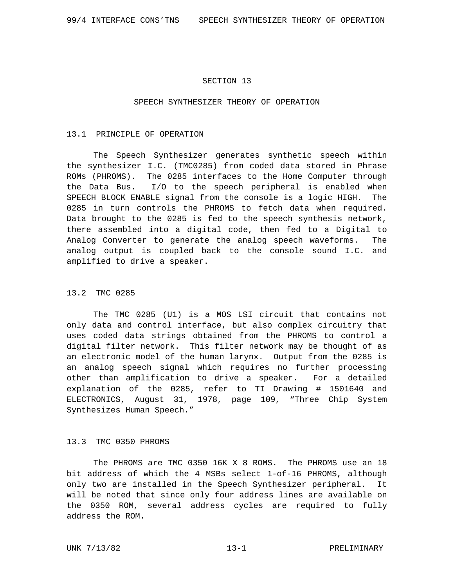#### SECTION 13

### SPEECH SYNTHESIZER THEORY OF OPERATION

## 13.1 PRINCIPLE OF OPERATION

The Speech Synthesizer generates synthetic speech within the synthesizer I.C. (TMC0285) from coded data stored in Phrase ROMs (PHROMS). The 0285 interfaces to the Home Computer through the Data Bus. I/O to the speech peripheral is enabled when SPEECH BLOCK ENABLE signal from the console is a logic HIGH. The 0285 in turn controls the PHROMS to fetch data when required. Data brought to the 0285 is fed to the speech synthesis network, there assembled into a digital code, then fed to a Digital to Analog Converter to generate the analog speech waveforms. The analog output is coupled back to the console sound I.C. and amplified to drive a speaker.

## 13.2 TMC 0285

The TMC 0285 (U1) is a MOS LSI circuit that contains not only data and control interface, but also complex circuitry that uses coded data strings obtained from the PHROMS to control a digital filter network. This filter network may be thought of as an electronic model of the human larynx. Output from the 0285 is an analog speech signal which requires no further processing other than amplification to drive a speaker. For a detailed explanation of the 0285, refer to TI Drawing # 1501640 and ELECTRONICS, August 31, 1978, page 109, "Three Chip System Synthesizes Human Speech."

### 13.3 TMC 0350 PHROMS

The PHROMS are TMC 0350 16K X 8 ROMS. The PHROMS use an 18 bit address of which the 4 MSBs select 1-of-16 PHROMS, although only two are installed in the Speech Synthesizer peripheral. It will be noted that since only four address lines are available on the 0350 ROM, several address cycles are required to fully address the ROM.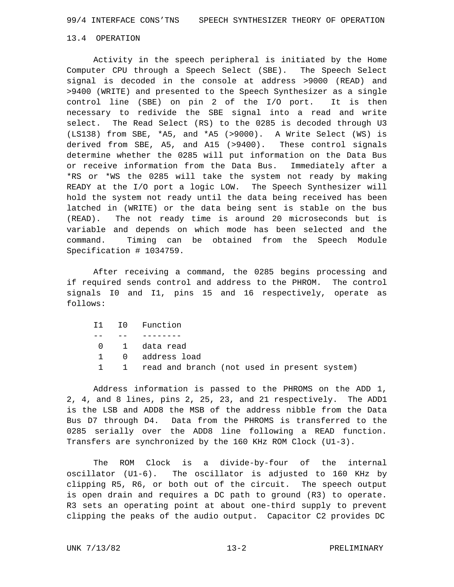## 99/4 INTERFACE CONS'TNS SPEECH SYNTHESIZER THEORY OF OPERATION

## 13.4 OPERATION

Activity in the speech peripheral is initiated by the Home Computer CPU through a Speech Select (SBE). The Speech Select signal is decoded in the console at address >9000 (READ) and >9400 (WRITE) and presented to the Speech Synthesizer as a single control line (SBE) on pin 2 of the I/O port. It is then necessary to redivide the SBE signal into a read and write select. The Read Select (RS) to the 0285 is decoded through U3 (LS138) from SBE, \*A5, and \*A5 (>9000). A Write Select (WS) is derived from SBE, A5, and A15 (>9400). These control signals determine whether the 0285 will put information on the Data Bus or receive information from the Data Bus. Immediately after a \*RS or \*WS the 0285 will take the system not ready by making READY at the I/O port a logic LOW. The Speech Synthesizer will hold the system not ready until the data being received has been latched in (WRITE) or the data being sent is stable on the bus (READ). The not ready time is around 20 microseconds but is variable and depends on which mode has been selected and the command. Timing can be obtained from the Speech Module Specification # 1034759.

After receiving a command, the 0285 begins processing and if required sends control and address to the PHROM. The control signals I0 and I1, pins 15 and 16 respectively, operate as follows:

|  | I1 I0 Function                                   |
|--|--------------------------------------------------|
|  |                                                  |
|  | 0     1     data read                            |
|  | 1 0 address load                                 |
|  | 1 1 read and branch (not used in present system) |

Address information is passed to the PHROMS on the ADD 1, 2, 4, and 8 lines, pins 2, 25, 23, and 21 respectively. The ADD1 is the LSB and ADD8 the MSB of the address nibble from the Data Bus D7 through D4. Data from the PHROMS is transferred to the 0285 serially over the ADD8 line following a READ function. Transfers are synchronized by the 160 KHz ROM Clock (U1-3).

The ROM Clock is a divide-by-four of the internal oscillator (U1-6). The oscillator is adjusted to 160 KHz by clipping R5, R6, or both out of the circuit. The speech output is open drain and requires a DC path to ground (R3) to operate. R3 sets an operating point at about one-third supply to prevent clipping the peaks of the audio output. Capacitor C2 provides DC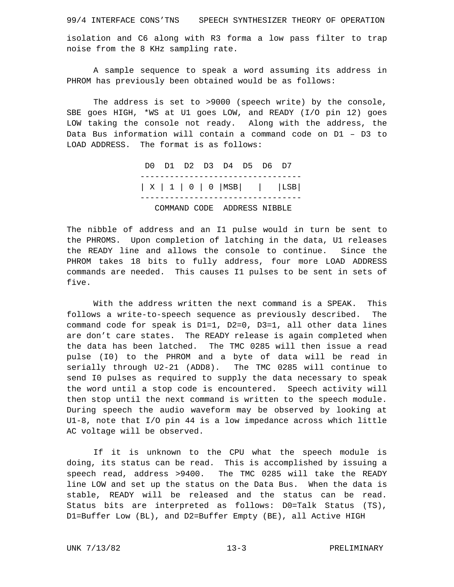99/4 INTERFACE CONS'TNS SPEECH SYNTHESIZER THEORY OF OPERATION

isolation and C6 along with R3 forma a low pass filter to trap noise from the 8 KHz sampling rate.

A sample sequence to speak a word assuming its address in PHROM has previously been obtained would be as follows:

The address is set to >9000 (speech write) by the console, SBE goes HIGH, \*WS at U1 goes LOW, and READY (I/O pin 12) goes LOW taking the console not ready. Along with the address, the Data Bus information will contain a command code on D1 – D3 to LOAD ADDRESS. The format is as follows:

> D0 D1 D2 D3 D4 D5 D6 D7 --------------------------------- | X | 1 | 0 | 0 |MSB| | |LSB| --------------------------------- COMMAND CODE ADDRESS NIBBLE

The nibble of address and an I1 pulse would in turn be sent to the PHROMS. Upon completion of latching in the data, U1 releases the READY line and allows the console to continue. Since the PHROM takes 18 bits to fully address, four more LOAD ADDRESS commands are needed. This causes I1 pulses to be sent in sets of five.

With the address written the next command is a SPEAK. This follows a write-to-speech sequence as previously described. The command code for speak is D1=1, D2=0, D3=1, all other data lines are don't care states. The READY release is again completed when the data has been latched. The TMC 0285 will then issue a read pulse (I0) to the PHROM and a byte of data will be read in serially through U2-21 (ADD8). The TMC 0285 will continue to send I0 pulses as required to supply the data necessary to speak the word until a stop code is encountered. Speech activity will then stop until the next command is written to the speech module. During speech the audio waveform may be observed by looking at U1-8, note that I/O pin 44 is a low impedance across which little AC voltage will be observed.

If it is unknown to the CPU what the speech module is doing, its status can be read. This is accomplished by issuing a speech read, address >9400. The TMC 0285 will take the READY line LOW and set up the status on the Data Bus. When the data is stable, READY will be released and the status can be read. Status bits are interpreted as follows: D0=Talk Status (TS), D1=Buffer Low (BL), and D2=Buffer Empty (BE), all Active HIGH